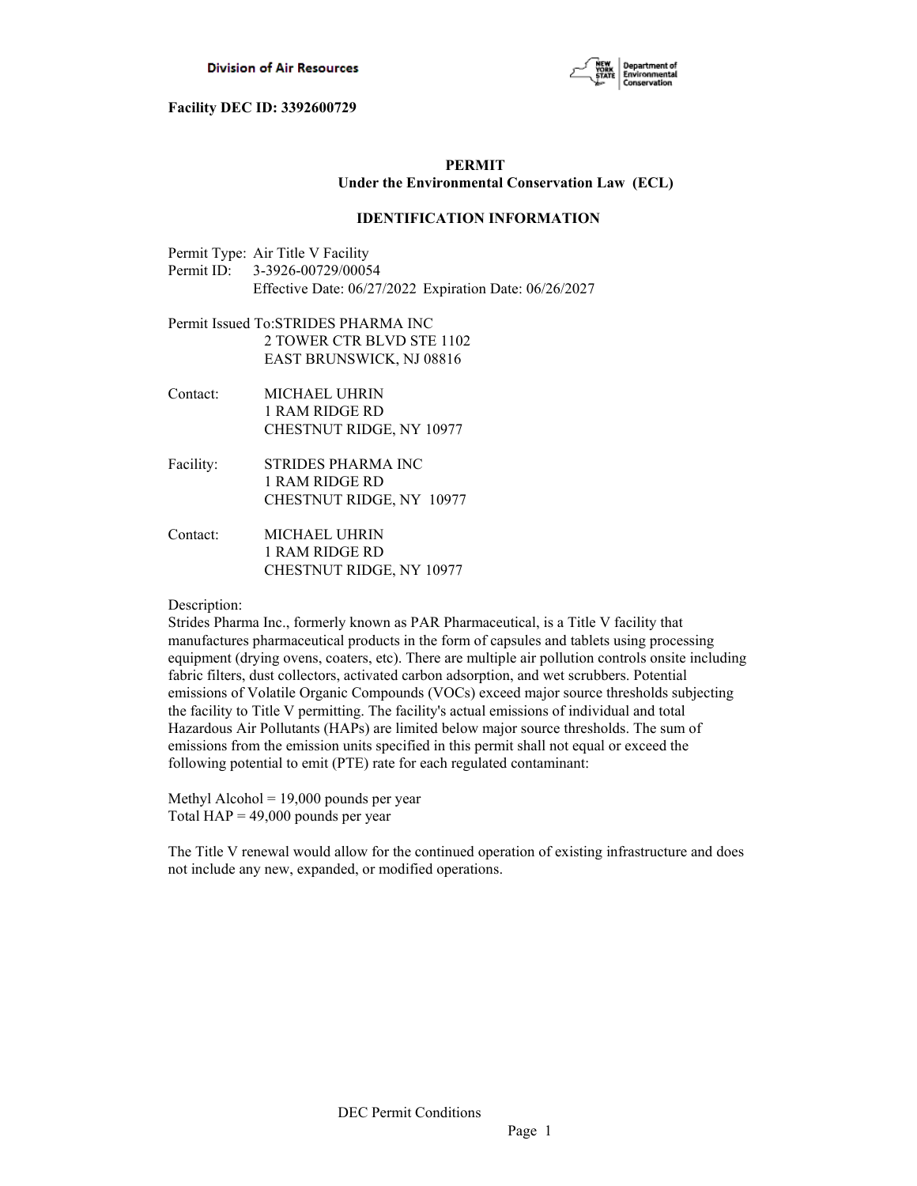

## **PERMIT Under the Environmental Conservation Law (ECL)**

## **IDENTIFICATION INFORMATION**

Permit Type: Air Title V Facility Permit ID: 3-3926-00729/00054 Effective Date: 06/27/2022 Expiration Date: 06/26/2027

- Permit Issued To:STRIDES PHARMA INC 2 TOWER CTR BLVD STE 1102 EAST BRUNSWICK, NJ 08816
- Contact: MICHAEL UHRIN 1 RAM RIDGE RD CHESTNUT RIDGE, NY 10977
- Facility: STRIDES PHARMA INC 1 RAM RIDGE RD CHESTNUT RIDGE, NY 10977
- Contact: MICHAEL UHRIN 1 RAM RIDGE RD CHESTNUT RIDGE, NY 10977

## Description:

Strides Pharma Inc., formerly known as PAR Pharmaceutical, is a Title V facility that manufactures pharmaceutical products in the form of capsules and tablets using processing equipment (drying ovens, coaters, etc). There are multiple air pollution controls onsite including fabric filters, dust collectors, activated carbon adsorption, and wet scrubbers. Potential emissions of Volatile Organic Compounds (VOCs) exceed major source thresholds subjecting the facility to Title V permitting. The facility's actual emissions of individual and total Hazardous Air Pollutants (HAPs) are limited below major source thresholds. The sum of emissions from the emission units specified in this permit shall not equal or exceed the following potential to emit (PTE) rate for each regulated contaminant:

Methyl Alcohol = 19,000 pounds per year Total  $HAP = 49,000$  pounds per year

The Title V renewal would allow for the continued operation of existing infrastructure and does not include any new, expanded, or modified operations.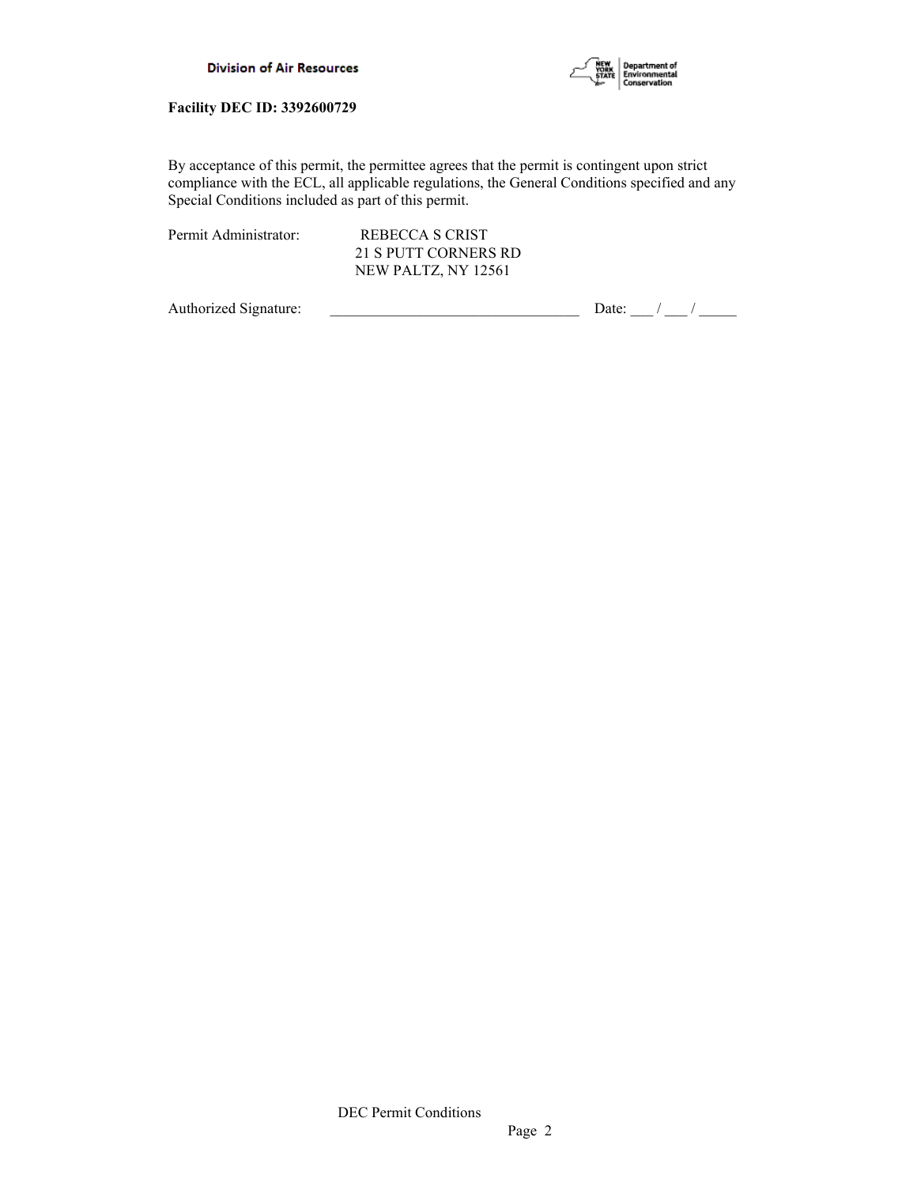

By acceptance of this permit, the permittee agrees that the permit is contingent upon strict compliance with the ECL, all applicable regulations, the General Conditions specified and any Special Conditions included as part of this permit.

Permit Administrator: REBECCA S CRIST

 21 S PUTT CORNERS RD NEW PALTZ, NY 12561

Authorized Signature:  $\frac{1}{\sqrt{2\pi}}$  Date:  $\frac{1}{\sqrt{2\pi}}$  Date:  $\frac{1}{\sqrt{2\pi}}$  /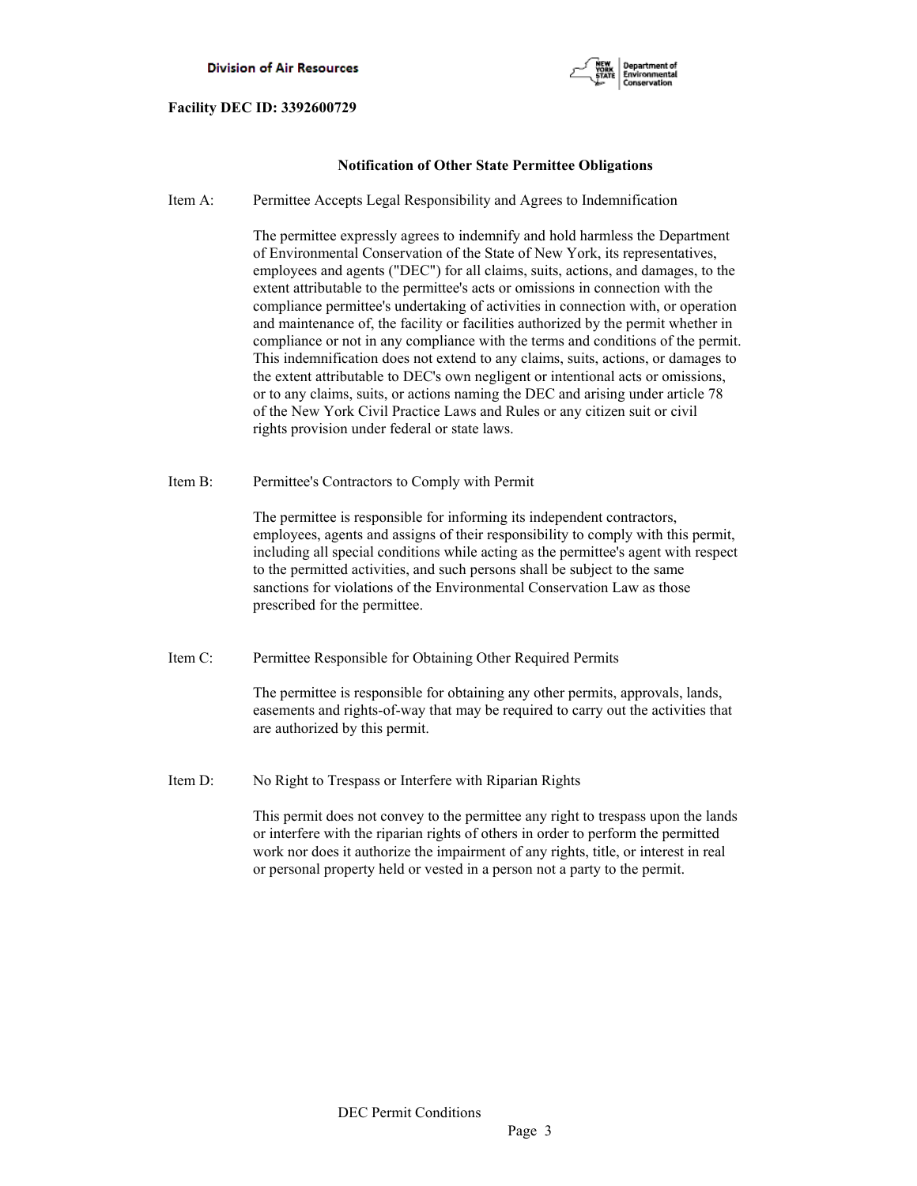



## **Notification of Other State Permittee Obligations**

Item A: Permittee Accepts Legal Responsibility and Agrees to Indemnification

 The permittee expressly agrees to indemnify and hold harmless the Department of Environmental Conservation of the State of New York, its representatives, employees and agents ("DEC") for all claims, suits, actions, and damages, to the extent attributable to the permittee's acts or omissions in connection with the compliance permittee's undertaking of activities in connection with, or operation and maintenance of, the facility or facilities authorized by the permit whether in compliance or not in any compliance with the terms and conditions of the permit. This indemnification does not extend to any claims, suits, actions, or damages to the extent attributable to DEC's own negligent or intentional acts or omissions, or to any claims, suits, or actions naming the DEC and arising under article 78 of the New York Civil Practice Laws and Rules or any citizen suit or civil rights provision under federal or state laws.

Item B: Permittee's Contractors to Comply with Permit

 The permittee is responsible for informing its independent contractors, employees, agents and assigns of their responsibility to comply with this permit, including all special conditions while acting as the permittee's agent with respect to the permitted activities, and such persons shall be subject to the same sanctions for violations of the Environmental Conservation Law as those prescribed for the permittee.

Item C: Permittee Responsible for Obtaining Other Required Permits

 The permittee is responsible for obtaining any other permits, approvals, lands, easements and rights-of-way that may be required to carry out the activities that are authorized by this permit.

Item D: No Right to Trespass or Interfere with Riparian Rights

 This permit does not convey to the permittee any right to trespass upon the lands or interfere with the riparian rights of others in order to perform the permitted work nor does it authorize the impairment of any rights, title, or interest in real or personal property held or vested in a person not a party to the permit.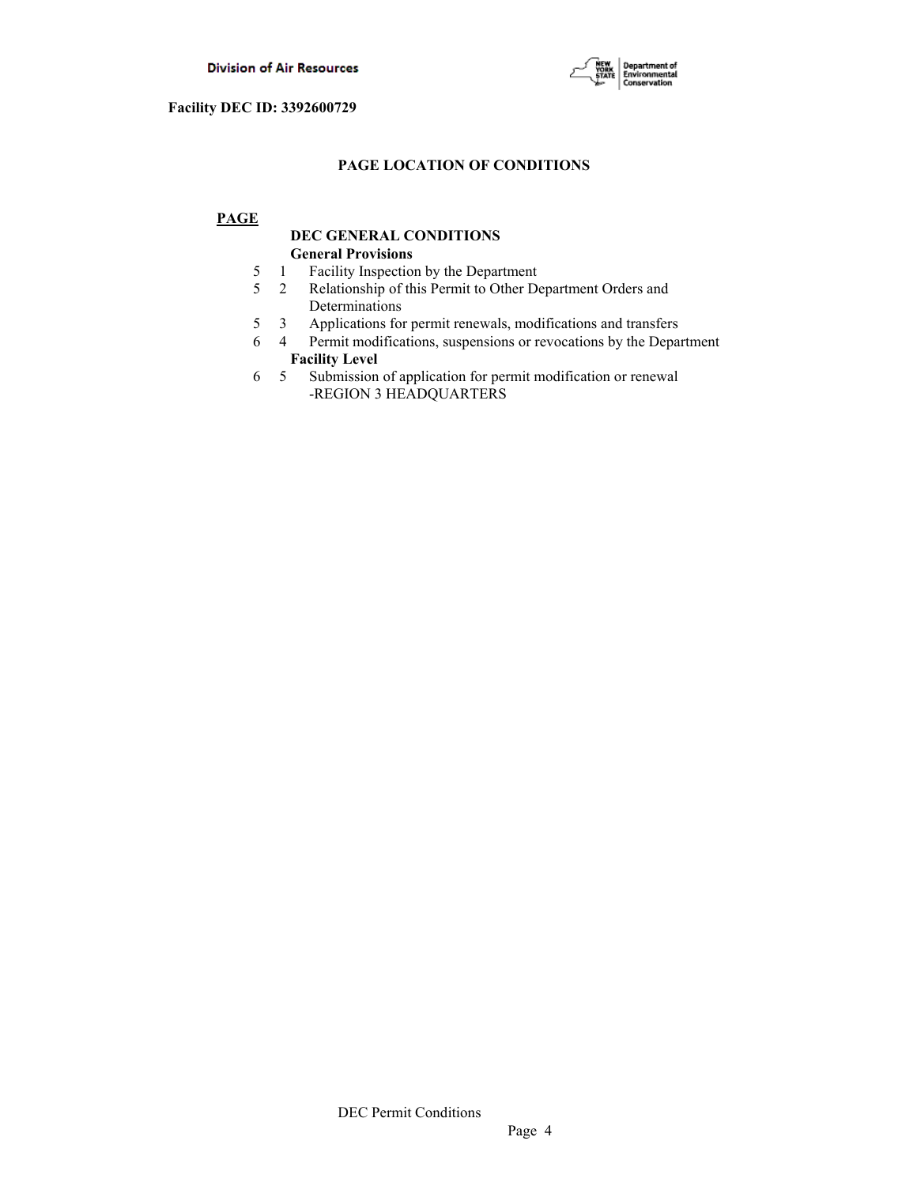

## **PAGE LOCATION OF CONDITIONS**

## **PAGE**

## **DEC GENERAL CONDITIONS General Provisions**

- 5 1 Facility Inspection by the Department
- 5 2 Relationship of this Permit to Other Department Orders and Determinations
- 5 3 Applications for permit renewals, modifications and transfers
- 6 4 Permit modifications, suspensions or revocations by the Department  **Facility Level**
- 6 5 Submission of application for permit modification or renewal -REGION 3 HEADQUARTERS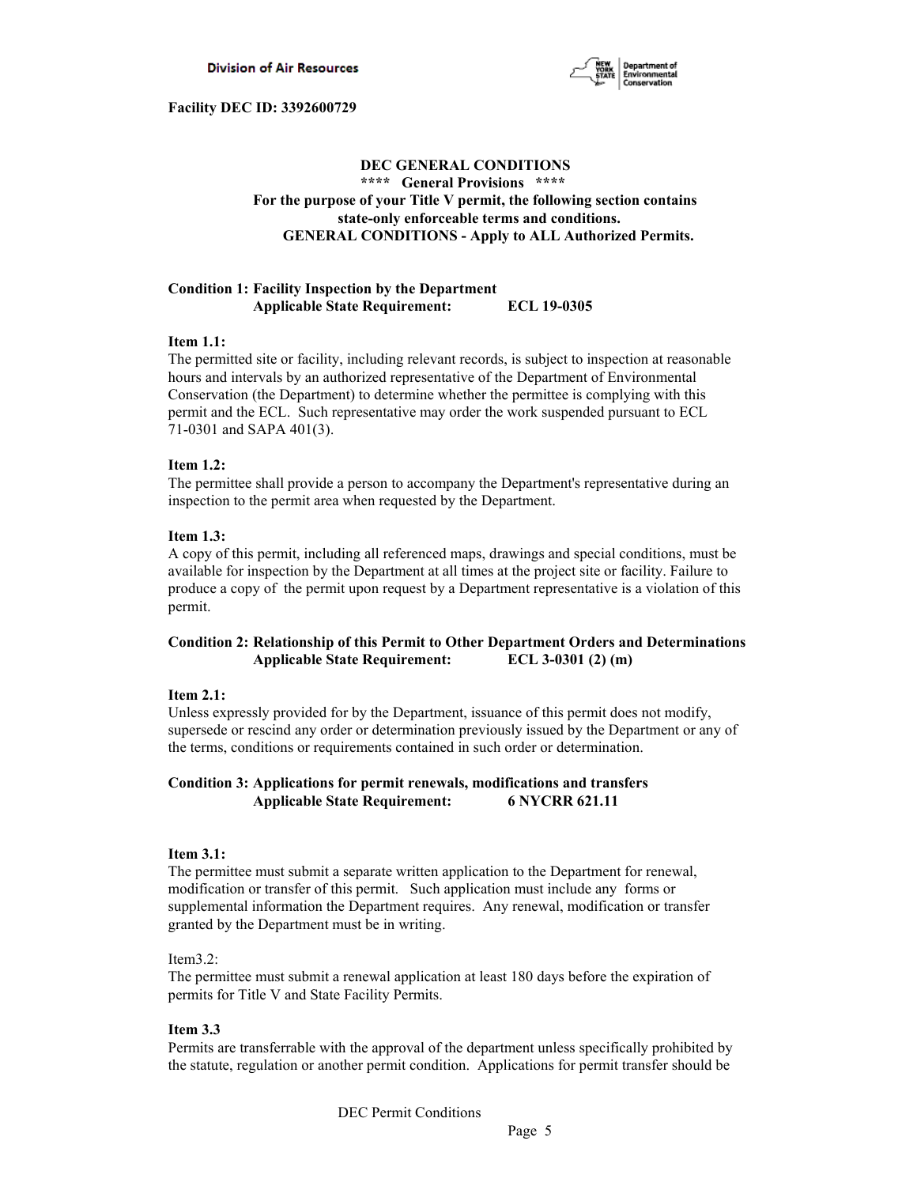

## **DEC GENERAL CONDITIONS \*\*\*\* General Provisions \*\*\*\* For the purpose of your Title V permit, the following section contains state-only enforceable terms and conditions. GENERAL CONDITIONS - Apply to ALL Authorized Permits.**

## **Condition 1: Facility Inspection by the Department Applicable State Requirement: ECL 19-0305**

## **Item 1.1:**

The permitted site or facility, including relevant records, is subject to inspection at reasonable hours and intervals by an authorized representative of the Department of Environmental Conservation (the Department) to determine whether the permittee is complying with this permit and the ECL. Such representative may order the work suspended pursuant to ECL 71-0301 and SAPA 401(3).

## **Item 1.2:**

The permittee shall provide a person to accompany the Department's representative during an inspection to the permit area when requested by the Department.

## **Item 1.3:**

A copy of this permit, including all referenced maps, drawings and special conditions, must be available for inspection by the Department at all times at the project site or facility. Failure to produce a copy of the permit upon request by a Department representative is a violation of this permit.

## **Condition 2: Relationship of this Permit to Other Department Orders and Determinations Applicable State Requirement: ECL 3-0301 (2) (m)**

## **Item 2.1:**

Unless expressly provided for by the Department, issuance of this permit does not modify, supersede or rescind any order or determination previously issued by the Department or any of the terms, conditions or requirements contained in such order or determination.

## **Condition 3: Applications for permit renewals, modifications and transfers Applicable State Requirement: 6 NYCRR 621.11**

## **Item 3.1:**

The permittee must submit a separate written application to the Department for renewal, modification or transfer of this permit. Such application must include any forms or supplemental information the Department requires. Any renewal, modification or transfer granted by the Department must be in writing.

## Item3.2:

The permittee must submit a renewal application at least 180 days before the expiration of permits for Title V and State Facility Permits.

## **Item 3.3**

Permits are transferrable with the approval of the department unless specifically prohibited by the statute, regulation or another permit condition. Applications for permit transfer should be

DEC Permit Conditions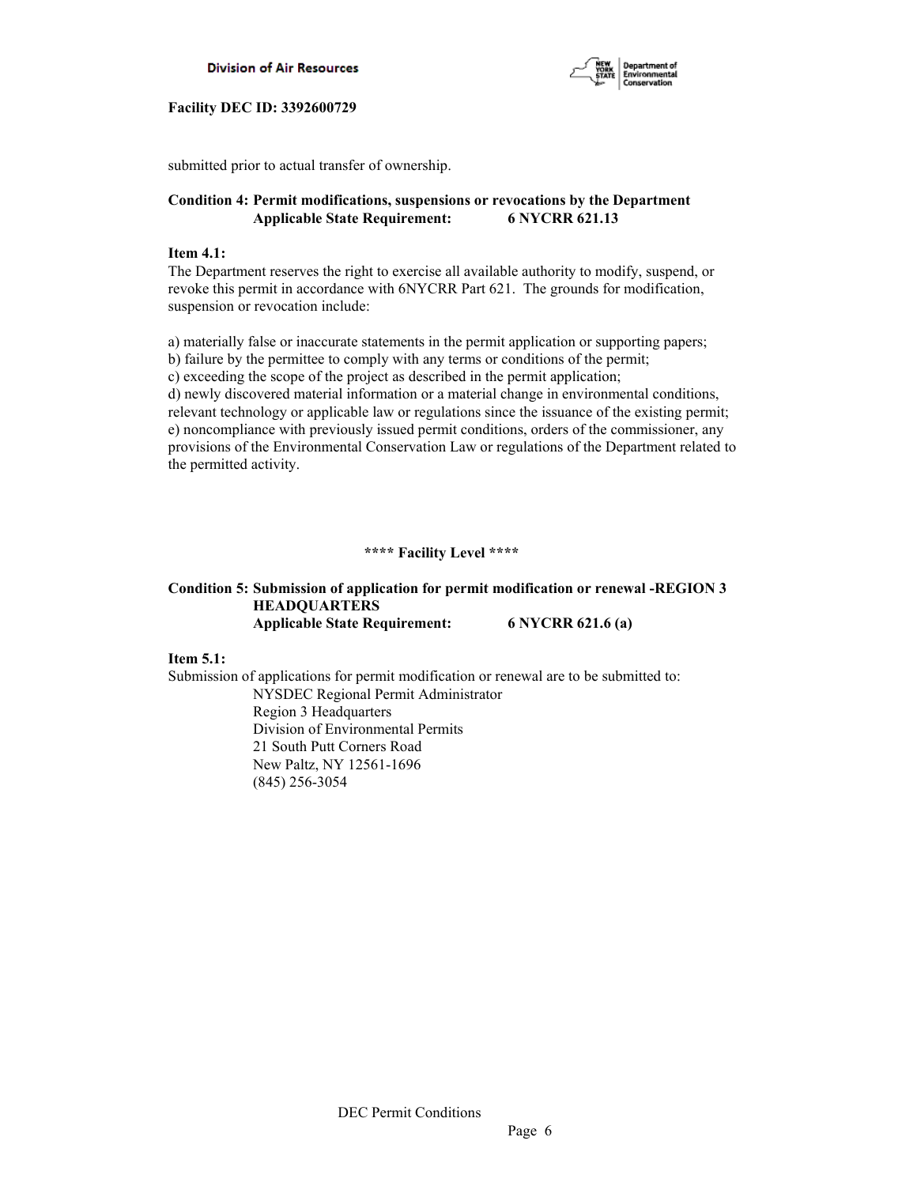



submitted prior to actual transfer of ownership.

## **Condition 4: Permit modifications, suspensions or revocations by the Department Applicable State Requirement: 6 NYCRR 621.13**

#### **Item 4.1:**

The Department reserves the right to exercise all available authority to modify, suspend, or revoke this permit in accordance with 6NYCRR Part 621. The grounds for modification, suspension or revocation include:

a) materially false or inaccurate statements in the permit application or supporting papers; b) failure by the permittee to comply with any terms or conditions of the permit; c) exceeding the scope of the project as described in the permit application; d) newly discovered material information or a material change in environmental conditions, relevant technology or applicable law or regulations since the issuance of the existing permit; e) noncompliance with previously issued permit conditions, orders of the commissioner, any provisions of the Environmental Conservation Law or regulations of the Department related to the permitted activity.

## **\*\*\*\* Facility Level \*\*\*\***

## **Condition 5: Submission of application for permit modification or renewal -REGION 3 HEADQUARTERS Applicable State Requirement: 6 NYCRR 621.6 (a)**

**Item 5.1:**

Submission of applications for permit modification or renewal are to be submitted to: NYSDEC Regional Permit Administrator Region 3 Headquarters Division of Environmental Permits 21 South Putt Corners Road New Paltz, NY 12561-1696 (845) 256-3054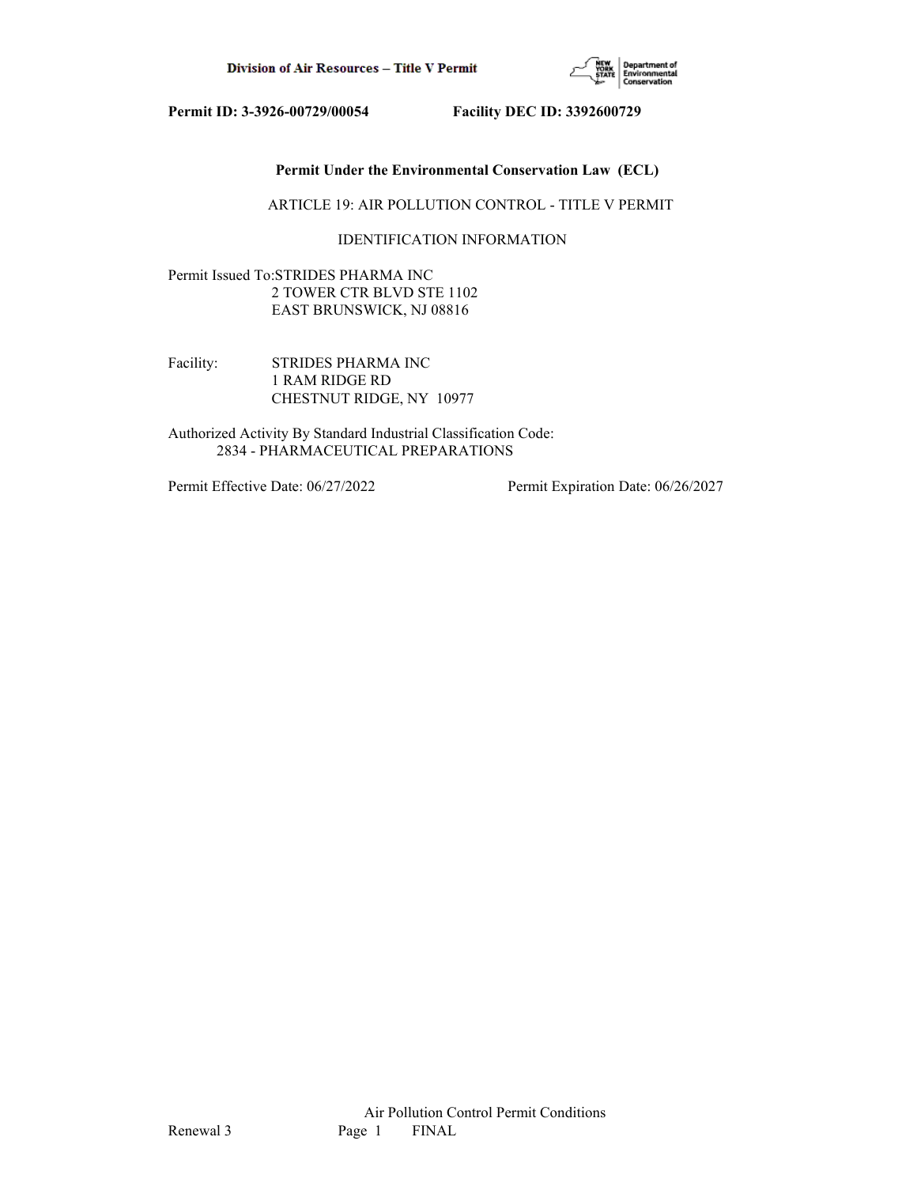

## **Permit Under the Environmental Conservation Law (ECL)**

ARTICLE 19: AIR POLLUTION CONTROL - TITLE V PERMIT

## IDENTIFICATION INFORMATION

Permit Issued To:STRIDES PHARMA INC 2 TOWER CTR BLVD STE 1102 EAST BRUNSWICK, NJ 08816

Facility: STRIDES PHARMA INC 1 RAM RIDGE RD CHESTNUT RIDGE, NY 10977

Authorized Activity By Standard Industrial Classification Code: 2834 - PHARMACEUTICAL PREPARATIONS

Permit Effective Date: 06/27/2022 Permit Expiration Date: 06/26/2027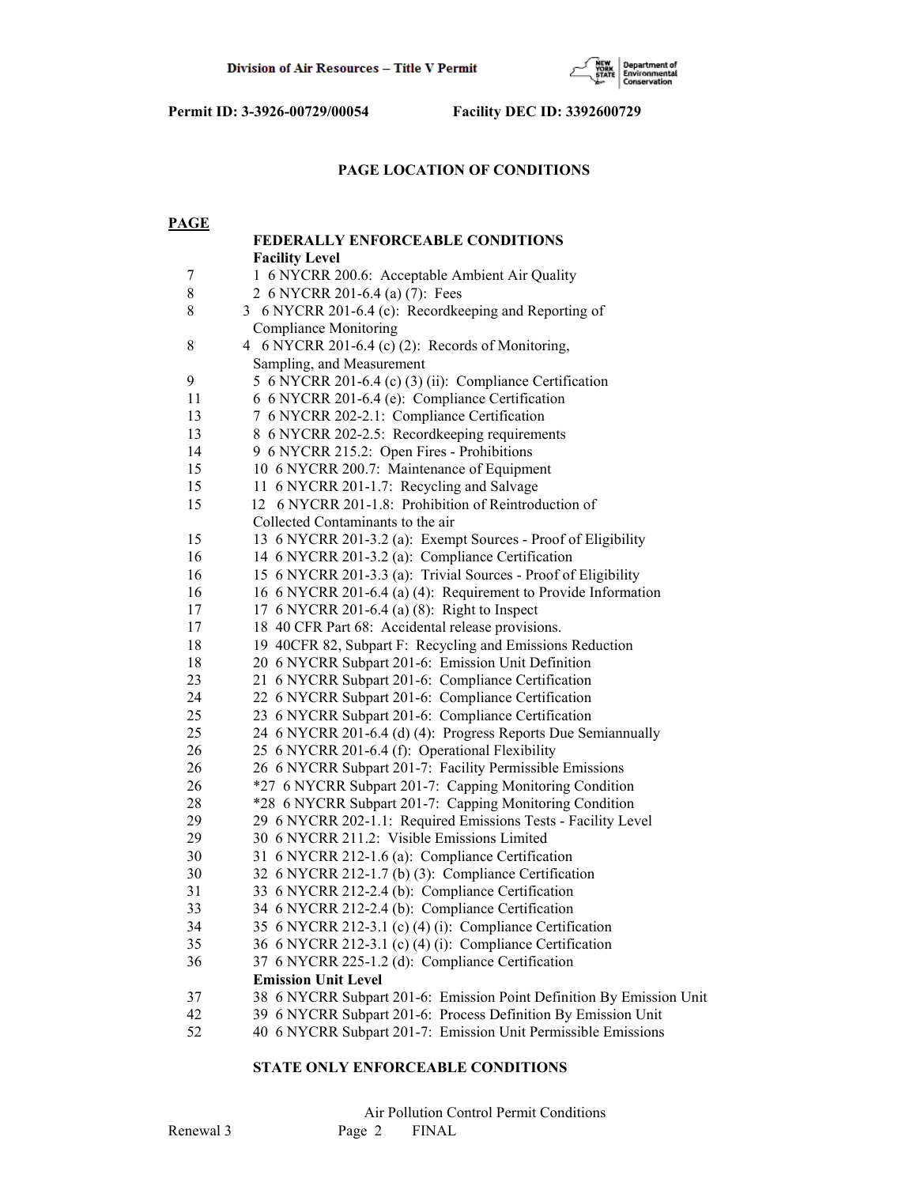

## **PAGE LOCATION OF CONDITIONS**

| <b>PAGE</b>      |                                                                                                          |
|------------------|----------------------------------------------------------------------------------------------------------|
|                  | <b>FEDERALLY ENFORCEABLE CONDITIONS</b>                                                                  |
|                  | <b>Facility Level</b>                                                                                    |
| $\boldsymbol{7}$ | 1 6 NYCRR 200.6: Acceptable Ambient Air Quality                                                          |
| $8\,$            | 2 6 NYCRR 201-6.4 (a) (7): Fees                                                                          |
| 8                | 3 6 NYCRR 201-6.4 (c): Recordkeeping and Reporting of                                                    |
|                  | <b>Compliance Monitoring</b>                                                                             |
| 8                | 4 6 NYCRR 201-6.4 (c) (2): Records of Monitoring,                                                        |
|                  | Sampling, and Measurement                                                                                |
| 9                | 5 6 NYCRR 201-6.4 (c) (3) (ii): Compliance Certification                                                 |
| 11               | 6 6 NYCRR 201-6.4 (e): Compliance Certification                                                          |
| 13               | 7 6 NYCRR 202-2.1: Compliance Certification                                                              |
| 13               | 8 6 NYCRR 202-2.5: Recordkeeping requirements                                                            |
| 14               | 9 6 NYCRR 215.2: Open Fires - Prohibitions                                                               |
| 15               | 10 6 NYCRR 200.7: Maintenance of Equipment                                                               |
| 15               | 11 6 NYCRR 201-1.7: Recycling and Salvage                                                                |
| 15               | 12 6 NYCRR 201-1.8: Prohibition of Reintroduction of                                                     |
|                  | Collected Contaminants to the air                                                                        |
| 15               | 13 6 NYCRR 201-3.2 (a): Exempt Sources - Proof of Eligibility                                            |
| 16               | 14 6 NYCRR 201-3.2 (a): Compliance Certification                                                         |
| 16               | 15 6 NYCRR 201-3.3 (a): Trivial Sources - Proof of Eligibility                                           |
| 16               | 16 6 NYCRR 201-6.4 (a) (4): Requirement to Provide Information                                           |
| 17               | 17 6 NYCRR 201-6.4 (a) (8): Right to Inspect                                                             |
| 17               | 18 40 CFR Part 68: Accidental release provisions.                                                        |
| 18               | 19 40CFR 82, Subpart F: Recycling and Emissions Reduction                                                |
| 18<br>23         | 20 6 NYCRR Subpart 201-6: Emission Unit Definition                                                       |
| 24               | 21 6 NYCRR Subpart 201-6: Compliance Certification                                                       |
| 25               | 22 6 NYCRR Subpart 201-6: Compliance Certification<br>23 6 NYCRR Subpart 201-6: Compliance Certification |
| 25               | 24 6 NYCRR 201-6.4 (d) (4): Progress Reports Due Semiannually                                            |
| 26               | 25 6 NYCRR 201-6.4 (f): Operational Flexibility                                                          |
| 26               | 26 6 NYCRR Subpart 201-7: Facility Permissible Emissions                                                 |
| 26               | *27 6 NYCRR Subpart 201-7: Capping Monitoring Condition                                                  |
| 28               | *28 6 NYCRR Subpart 201-7: Capping Monitoring Condition                                                  |
| 29               | 29 6 NYCRR 202-1.1: Required Emissions Tests - Facility Level                                            |
| 29               | 30 6 NYCRR 211.2: Visible Emissions Limited                                                              |
| 30               | 31 6 NYCRR 212-1.6 (a): Compliance Certification                                                         |
| 30               | 32 6 NYCRR 212-1.7 (b) (3): Compliance Certification                                                     |
| 31               | 33 6 NYCRR 212-2.4 (b): Compliance Certification                                                         |
| 33               | 34 6 NYCRR 212-2.4 (b): Compliance Certification                                                         |
| 34               | 35 6 NYCRR 212-3.1 (c) (4) (i): Compliance Certification                                                 |
| 35               | 36 6 NYCRR 212-3.1 (c) (4) (i): Compliance Certification                                                 |
| 36               | 37 6 NYCRR 225-1.2 (d): Compliance Certification                                                         |
|                  | <b>Emission Unit Level</b>                                                                               |
| 37               | 38 6 NYCRR Subpart 201-6: Emission Point Definition By Emission Unit                                     |
| 42               | 39 6 NYCRR Subpart 201-6: Process Definition By Emission Unit                                            |
| 52               | 40 6 NYCRR Subpart 201-7: Emission Unit Permissible Emissions                                            |

## **STATE ONLY ENFORCEABLE CONDITIONS**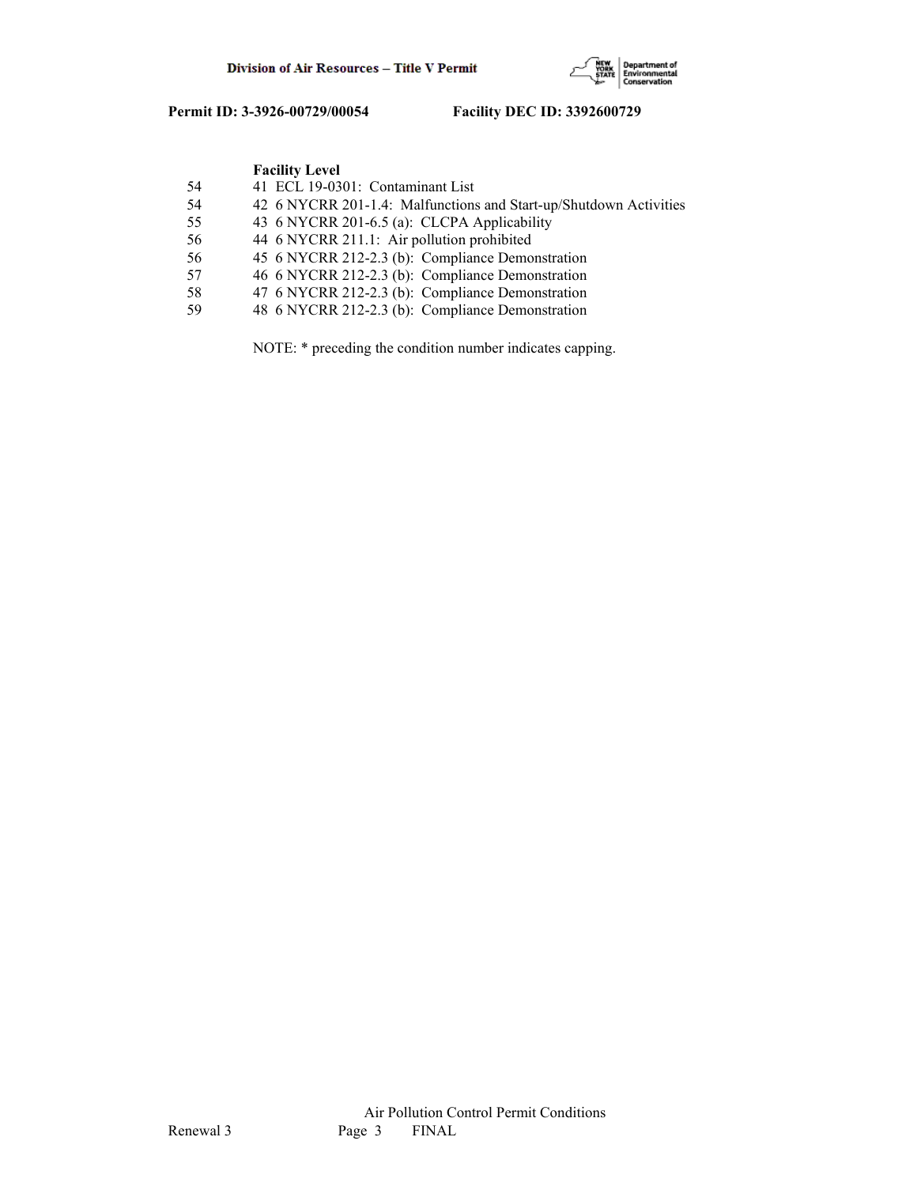

|    | <b>Facility Level</b>                                             |
|----|-------------------------------------------------------------------|
| 54 | 41 ECL 19-0301: Contaminant List                                  |
| 54 | 42 6 NYCRR 201-1.4: Malfunctions and Start-up/Shutdown Activities |
| 55 | 43 6 NYCRR 201-6.5 (a): CLCPA Applicability                       |
| 56 | 44 6 NYCRR 211.1: Air pollution prohibited                        |
| 56 | 45 6 NYCRR 212-2.3 (b): Compliance Demonstration                  |
| 57 | 46 6 NYCRR 212-2.3 (b): Compliance Demonstration                  |
| 58 | 47 6 NYCRR 212-2.3 (b): Compliance Demonstration                  |
| 59 | 48 6 NYCRR 212-2.3 (b): Compliance Demonstration                  |

NOTE: \* preceding the condition number indicates capping.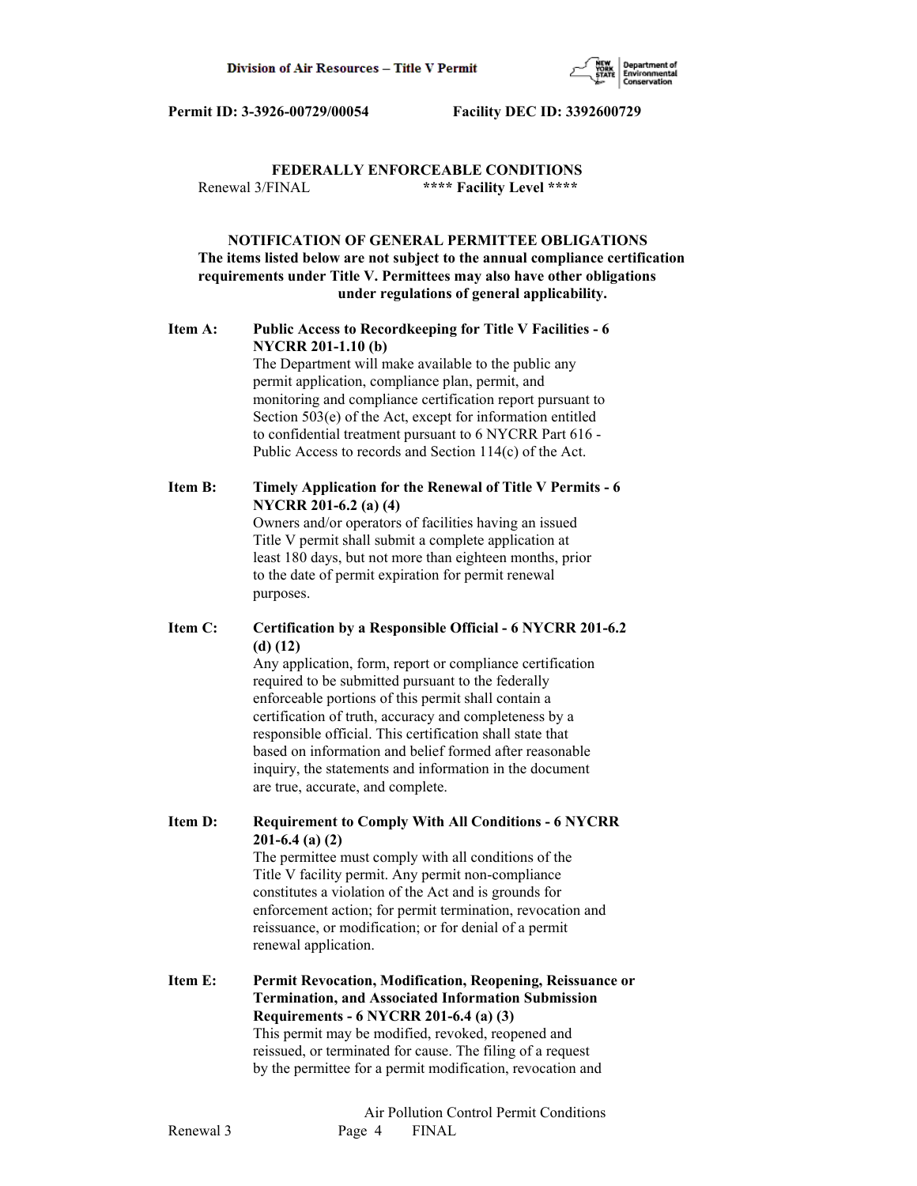

## **FEDERALLY ENFORCEABLE CONDITIONS** Renewal 3/FINAL **\*\*\*\* Facility Level \*\*\*\***

## **NOTIFICATION OF GENERAL PERMITTEE OBLIGATIONS The items listed below are not subject to the annual compliance certification requirements under Title V. Permittees may also have other obligations under regulations of general applicability.**

## **Item A: Public Access to Recordkeeping for Title V Facilities - 6 NYCRR 201-1.10 (b)**

 The Department will make available to the public any permit application, compliance plan, permit, and monitoring and compliance certification report pursuant to Section 503(e) of the Act, except for information entitled to confidential treatment pursuant to 6 NYCRR Part 616 - Public Access to records and Section 114(c) of the Act.

## **Item B: Timely Application for the Renewal of Title V Permits - 6 NYCRR 201-6.2 (a) (4)**

 Owners and/or operators of facilities having an issued Title V permit shall submit a complete application at least 180 days, but not more than eighteen months, prior to the date of permit expiration for permit renewal purposes.

## **Item C: Certification by a Responsible Official - 6 NYCRR 201-6.2 (d) (12)**

 Any application, form, report or compliance certification required to be submitted pursuant to the federally enforceable portions of this permit shall contain a certification of truth, accuracy and completeness by a responsible official. This certification shall state that based on information and belief formed after reasonable inquiry, the statements and information in the document are true, accurate, and complete.

**Item D: Requirement to Comply With All Conditions - 6 NYCRR 201-6.4 (a) (2)**

 The permittee must comply with all conditions of the Title V facility permit. Any permit non-compliance constitutes a violation of the Act and is grounds for enforcement action; for permit termination, revocation and reissuance, or modification; or for denial of a permit renewal application.

**Item E: Permit Revocation, Modification, Reopening, Reissuance or Termination, and Associated Information Submission Requirements - 6 NYCRR 201-6.4 (a) (3)** This permit may be modified, revoked, reopened and reissued, or terminated for cause. The filing of a request by the permittee for a permit modification, revocation and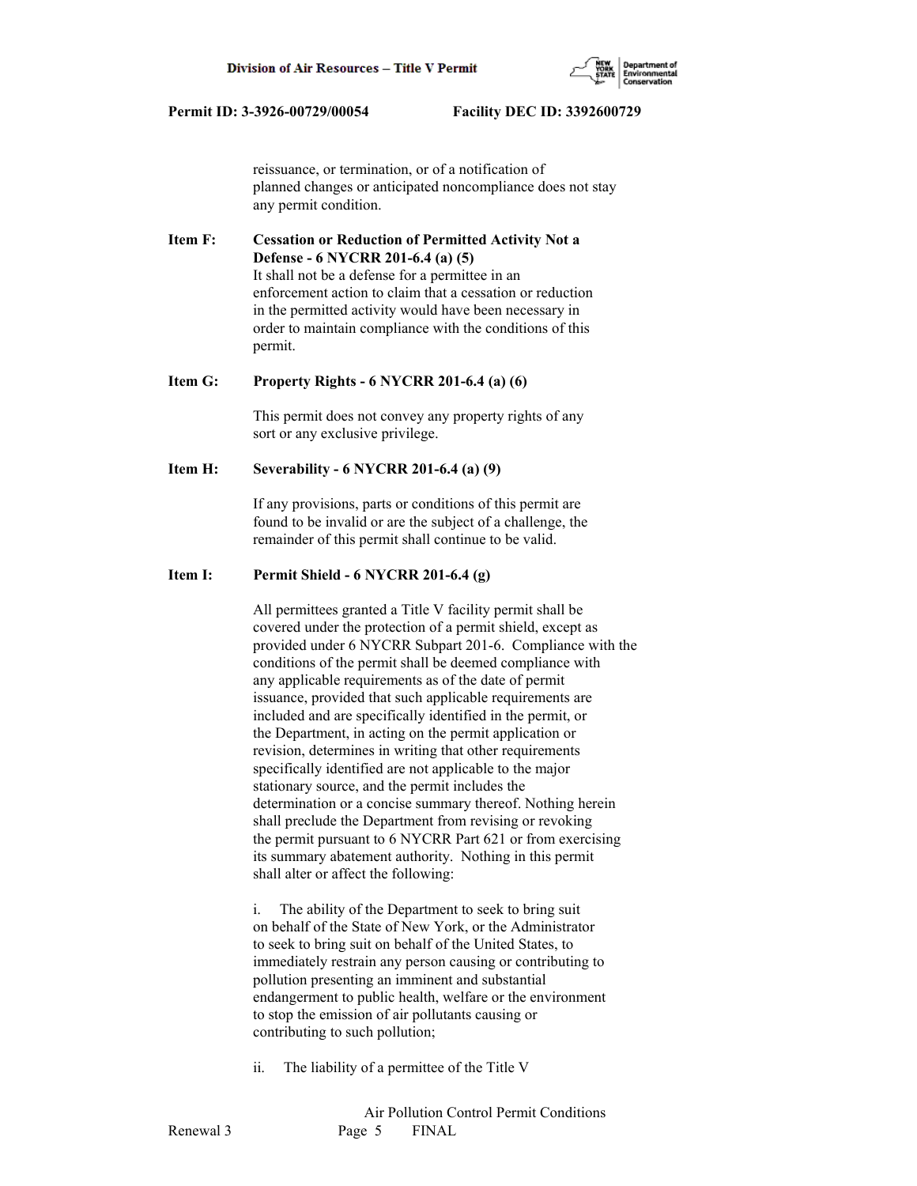

 reissuance, or termination, or of a notification of planned changes or anticipated noncompliance does not stay any permit condition.

**Item F: Cessation or Reduction of Permitted Activity Not a Defense - 6 NYCRR 201-6.4 (a) (5)** It shall not be a defense for a permittee in an enforcement action to claim that a cessation or reduction in the permitted activity would have been necessary in order to maintain compliance with the conditions of this permit.

#### **Item G: Property Rights - 6 NYCRR 201-6.4 (a) (6)**

 This permit does not convey any property rights of any sort or any exclusive privilege.

## **Item H: Severability - 6 NYCRR 201-6.4 (a) (9)**

 If any provisions, parts or conditions of this permit are found to be invalid or are the subject of a challenge, the remainder of this permit shall continue to be valid.

#### **Item I: Permit Shield - 6 NYCRR 201-6.4 (g)**

 All permittees granted a Title V facility permit shall be covered under the protection of a permit shield, except as provided under 6 NYCRR Subpart 201-6. Compliance with the conditions of the permit shall be deemed compliance with any applicable requirements as of the date of permit issuance, provided that such applicable requirements are included and are specifically identified in the permit, or the Department, in acting on the permit application or revision, determines in writing that other requirements specifically identified are not applicable to the major stationary source, and the permit includes the determination or a concise summary thereof. Nothing herein shall preclude the Department from revising or revoking the permit pursuant to 6 NYCRR Part 621 or from exercising its summary abatement authority. Nothing in this permit shall alter or affect the following:

 i. The ability of the Department to seek to bring suit on behalf of the State of New York, or the Administrator to seek to bring suit on behalf of the United States, to immediately restrain any person causing or contributing to pollution presenting an imminent and substantial endangerment to public health, welfare or the environment to stop the emission of air pollutants causing or contributing to such pollution;

ii. The liability of a permittee of the Title V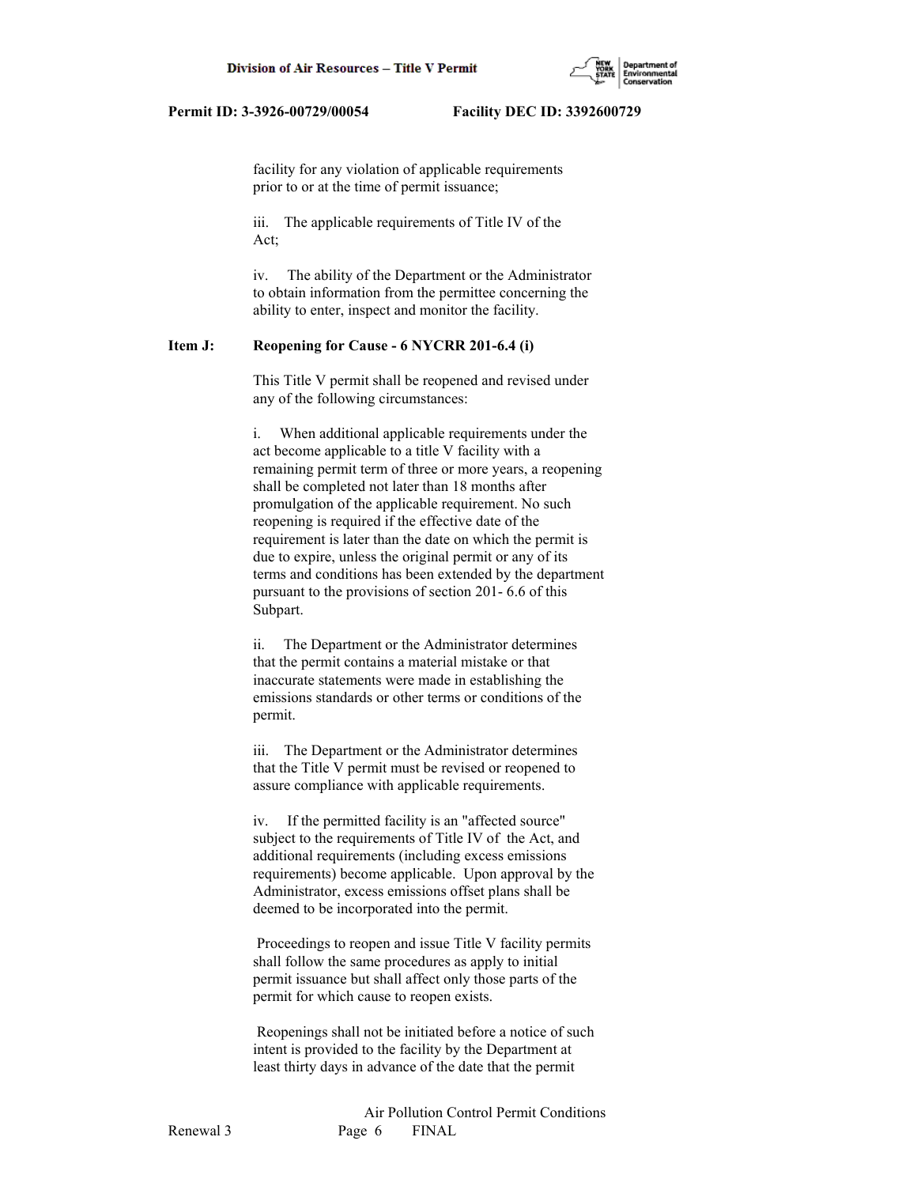

 facility for any violation of applicable requirements prior to or at the time of permit issuance;

 iii. The applicable requirements of Title IV of the Act;

 iv. The ability of the Department or the Administrator to obtain information from the permittee concerning the ability to enter, inspect and monitor the facility.

## **Item J: Reopening for Cause - 6 NYCRR 201-6.4 (i)**

 This Title V permit shall be reopened and revised under any of the following circumstances:

 i. When additional applicable requirements under the act become applicable to a title V facility with a remaining permit term of three or more years, a reopening shall be completed not later than 18 months after promulgation of the applicable requirement. No such reopening is required if the effective date of the requirement is later than the date on which the permit is due to expire, unless the original permit or any of its terms and conditions has been extended by the department pursuant to the provisions of section 201- 6.6 of this Subpart.

 ii. The Department or the Administrator determines that the permit contains a material mistake or that inaccurate statements were made in establishing the emissions standards or other terms or conditions of the permit.

 iii. The Department or the Administrator determines that the Title V permit must be revised or reopened to assure compliance with applicable requirements.

 iv. If the permitted facility is an "affected source" subject to the requirements of Title IV of the Act, and additional requirements (including excess emissions requirements) become applicable. Upon approval by the Administrator, excess emissions offset plans shall be deemed to be incorporated into the permit.

 Proceedings to reopen and issue Title V facility permits shall follow the same procedures as apply to initial permit issuance but shall affect only those parts of the permit for which cause to reopen exists.

 Reopenings shall not be initiated before a notice of such intent is provided to the facility by the Department at least thirty days in advance of the date that the permit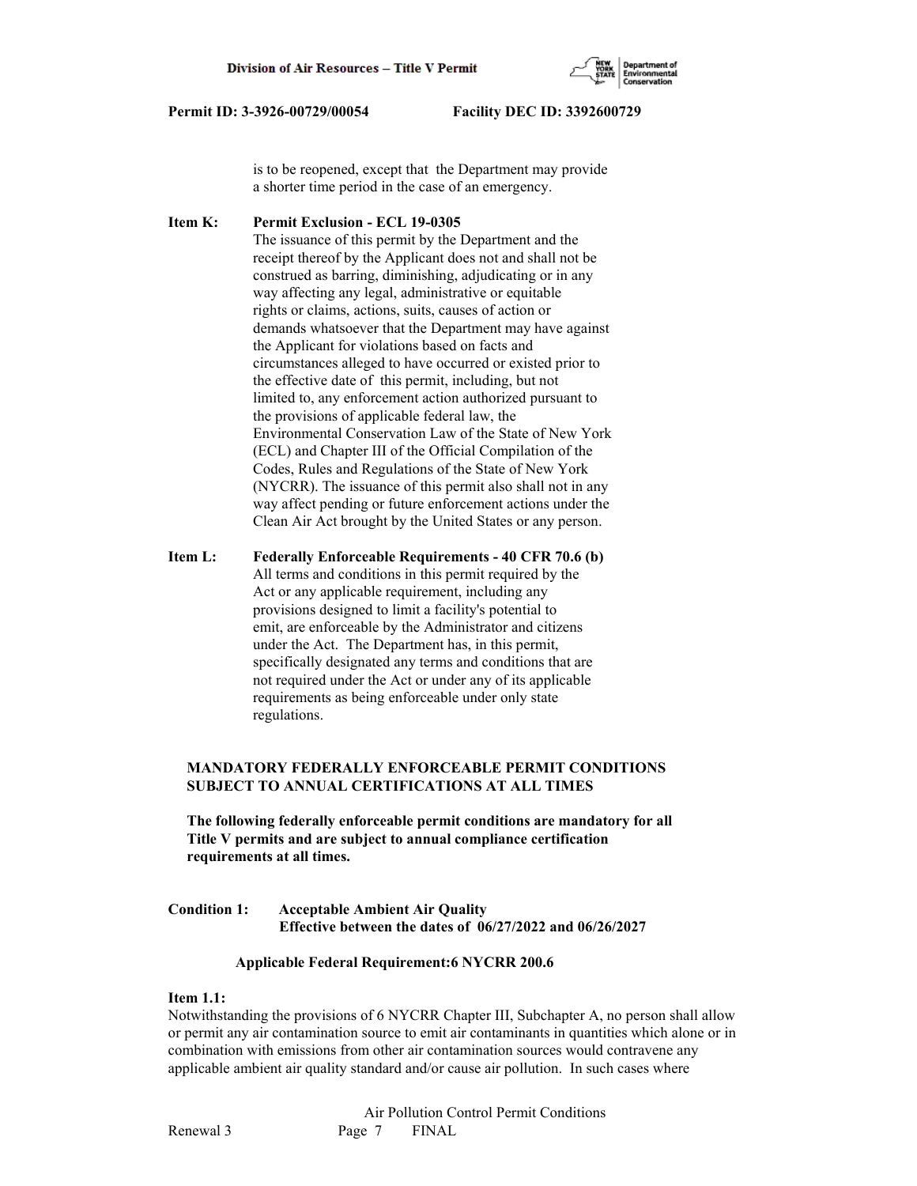

 is to be reopened, except that the Department may provide a shorter time period in the case of an emergency.

**Item K: Permit Exclusion - ECL 19-0305** The issuance of this permit by the Department and the receipt thereof by the Applicant does not and shall not be construed as barring, diminishing, adjudicating or in any way affecting any legal, administrative or equitable rights or claims, actions, suits, causes of action or demands whatsoever that the Department may have against the Applicant for violations based on facts and circumstances alleged to have occurred or existed prior to the effective date of this permit, including, but not limited to, any enforcement action authorized pursuant to the provisions of applicable federal law, the Environmental Conservation Law of the State of New York (ECL) and Chapter III of the Official Compilation of the Codes, Rules and Regulations of the State of New York (NYCRR). The issuance of this permit also shall not in any way affect pending or future enforcement actions under the Clean Air Act brought by the United States or any person.

**Item L: Federally Enforceable Requirements - 40 CFR 70.6 (b)** All terms and conditions in this permit required by the Act or any applicable requirement, including any provisions designed to limit a facility's potential to emit, are enforceable by the Administrator and citizens under the Act. The Department has, in this permit, specifically designated any terms and conditions that are not required under the Act or under any of its applicable requirements as being enforceable under only state regulations.

## **MANDATORY FEDERALLY ENFORCEABLE PERMIT CONDITIONS SUBJECT TO ANNUAL CERTIFICATIONS AT ALL TIMES**

 **The following federally enforceable permit conditions are mandatory for all Title V permits and are subject to annual compliance certification requirements at all times.**

**Condition 1: Acceptable Ambient Air Quality Effective between the dates of 06/27/2022 and 06/26/2027**

## **Applicable Federal Requirement:6 NYCRR 200.6**

## **Item 1.1:**

Notwithstanding the provisions of 6 NYCRR Chapter III, Subchapter A, no person shall allow or permit any air contamination source to emit air contaminants in quantities which alone or in combination with emissions from other air contamination sources would contravene any applicable ambient air quality standard and/or cause air pollution. In such cases where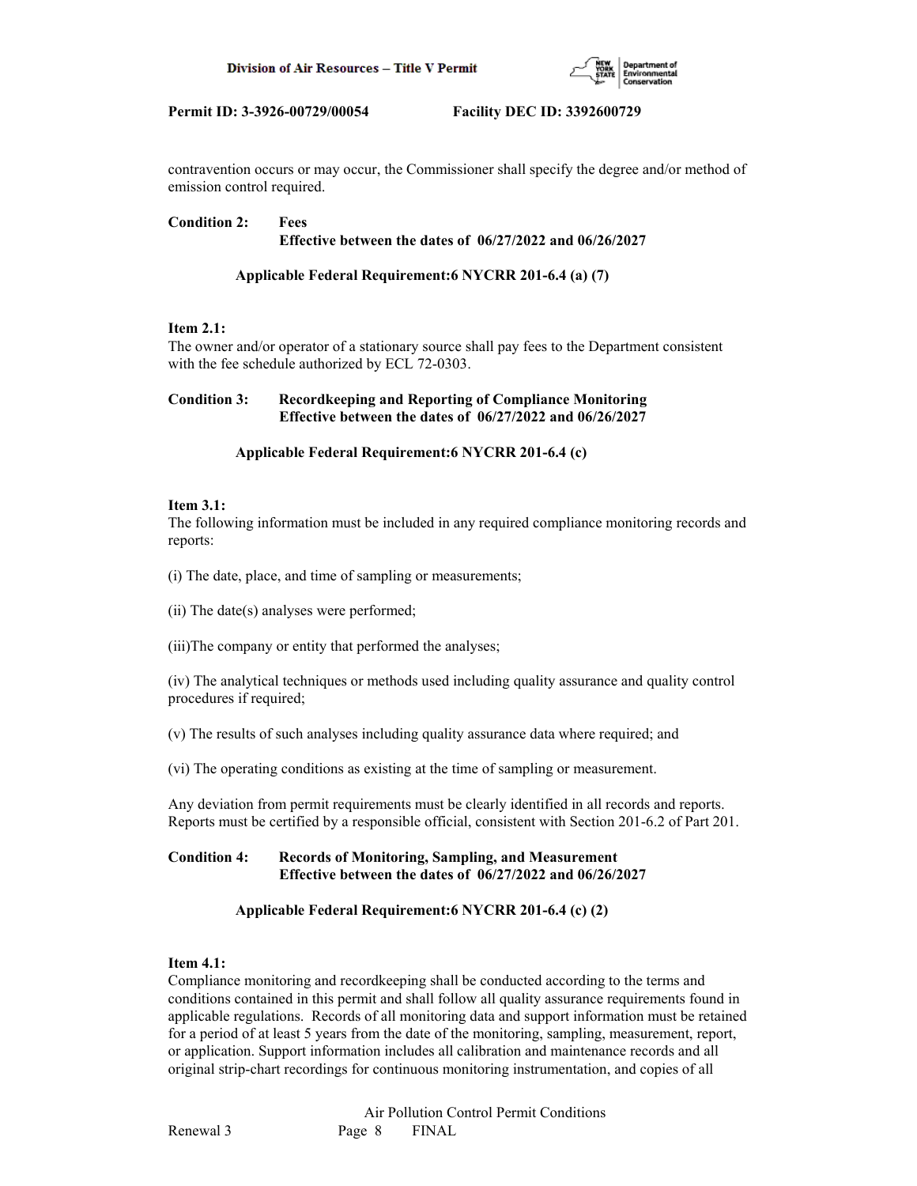

contravention occurs or may occur, the Commissioner shall specify the degree and/or method of emission control required.

## **Condition 2: Fees Effective between the dates of 06/27/2022 and 06/26/2027**

## **Applicable Federal Requirement:6 NYCRR 201-6.4 (a) (7)**

## **Item 2.1:**

The owner and/or operator of a stationary source shall pay fees to the Department consistent with the fee schedule authorized by ECL 72-0303.

## **Condition 3: Recordkeeping and Reporting of Compliance Monitoring Effective between the dates of 06/27/2022 and 06/26/2027**

## **Applicable Federal Requirement:6 NYCRR 201-6.4 (c)**

## **Item 3.1:**

The following information must be included in any required compliance monitoring records and reports:

(i) The date, place, and time of sampling or measurements;

(ii) The date(s) analyses were performed;

(iii)The company or entity that performed the analyses;

(iv) The analytical techniques or methods used including quality assurance and quality control procedures if required;

(v) The results of such analyses including quality assurance data where required; and

(vi) The operating conditions as existing at the time of sampling or measurement.

Any deviation from permit requirements must be clearly identified in all records and reports. Reports must be certified by a responsible official, consistent with Section 201-6.2 of Part 201.

## **Condition 4: Records of Monitoring, Sampling, and Measurement Effective between the dates of 06/27/2022 and 06/26/2027**

## **Applicable Federal Requirement:6 NYCRR 201-6.4 (c) (2)**

## **Item 4.1:**

Compliance monitoring and recordkeeping shall be conducted according to the terms and conditions contained in this permit and shall follow all quality assurance requirements found in applicable regulations. Records of all monitoring data and support information must be retained for a period of at least 5 years from the date of the monitoring, sampling, measurement, report, or application. Support information includes all calibration and maintenance records and all original strip-chart recordings for continuous monitoring instrumentation, and copies of all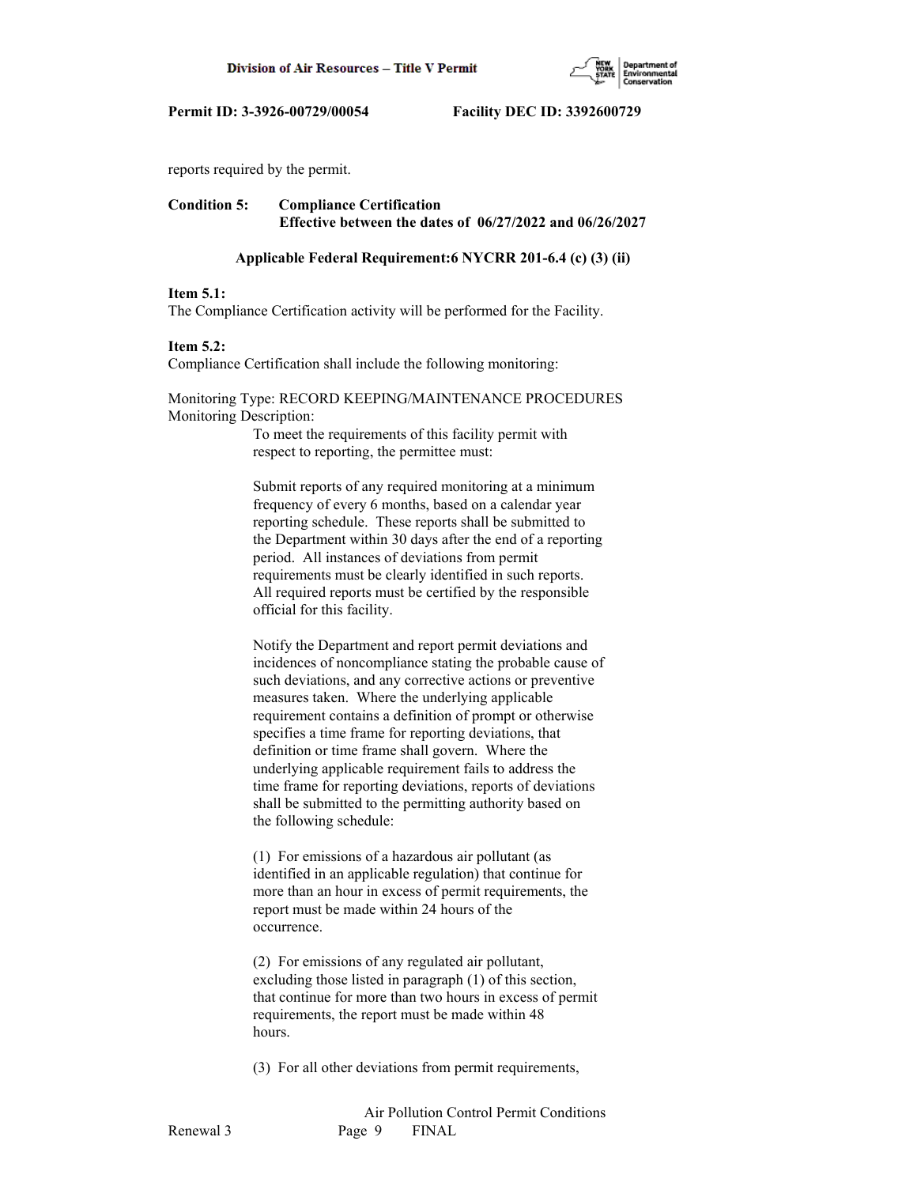

reports required by the permit.

## **Condition 5: Compliance Certification Effective between the dates of 06/27/2022 and 06/26/2027**

#### **Applicable Federal Requirement:6 NYCRR 201-6.4 (c) (3) (ii)**

#### **Item 5.1:**

The Compliance Certification activity will be performed for the Facility.

#### **Item 5.2:**

Compliance Certification shall include the following monitoring:

## Monitoring Type: RECORD KEEPING/MAINTENANCE PROCEDURES Monitoring Description:

 To meet the requirements of this facility permit with respect to reporting, the permittee must:

 Submit reports of any required monitoring at a minimum frequency of every 6 months, based on a calendar year reporting schedule. These reports shall be submitted to the Department within 30 days after the end of a reporting period. All instances of deviations from permit requirements must be clearly identified in such reports. All required reports must be certified by the responsible official for this facility.

 Notify the Department and report permit deviations and incidences of noncompliance stating the probable cause of such deviations, and any corrective actions or preventive measures taken. Where the underlying applicable requirement contains a definition of prompt or otherwise specifies a time frame for reporting deviations, that definition or time frame shall govern. Where the underlying applicable requirement fails to address the time frame for reporting deviations, reports of deviations shall be submitted to the permitting authority based on the following schedule:

 (1) For emissions of a hazardous air pollutant (as identified in an applicable regulation) that continue for more than an hour in excess of permit requirements, the report must be made within 24 hours of the occurrence.

 (2) For emissions of any regulated air pollutant, excluding those listed in paragraph (1) of this section, that continue for more than two hours in excess of permit requirements, the report must be made within 48 hours.

(3) For all other deviations from permit requirements,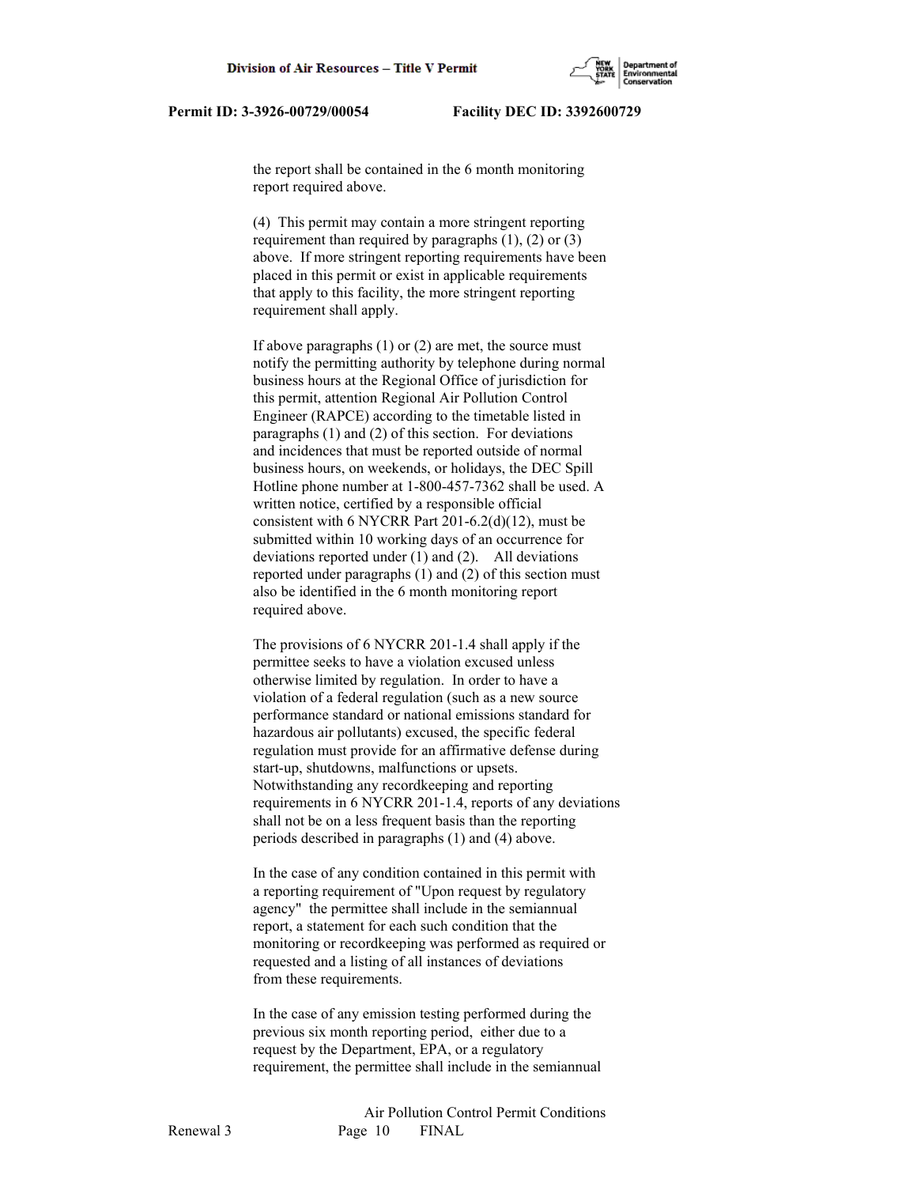the report shall be contained in the 6 month monitoring report required above.

 (4) This permit may contain a more stringent reporting requirement than required by paragraphs  $(1)$ ,  $(2)$  or  $(3)$  above. If more stringent reporting requirements have been placed in this permit or exist in applicable requirements that apply to this facility, the more stringent reporting requirement shall apply.

 If above paragraphs (1) or (2) are met, the source must notify the permitting authority by telephone during normal business hours at the Regional Office of jurisdiction for this permit, attention Regional Air Pollution Control Engineer (RAPCE) according to the timetable listed in paragraphs (1) and (2) of this section. For deviations and incidences that must be reported outside of normal business hours, on weekends, or holidays, the DEC Spill Hotline phone number at 1-800-457-7362 shall be used. A written notice, certified by a responsible official consistent with 6 NYCRR Part 201-6.2(d)(12), must be submitted within 10 working days of an occurrence for deviations reported under (1) and (2). All deviations reported under paragraphs (1) and (2) of this section must also be identified in the 6 month monitoring report required above.

 The provisions of 6 NYCRR 201-1.4 shall apply if the permittee seeks to have a violation excused unless otherwise limited by regulation. In order to have a violation of a federal regulation (such as a new source performance standard or national emissions standard for hazardous air pollutants) excused, the specific federal regulation must provide for an affirmative defense during start-up, shutdowns, malfunctions or upsets. Notwithstanding any recordkeeping and reporting requirements in 6 NYCRR 201-1.4, reports of any deviations shall not be on a less frequent basis than the reporting periods described in paragraphs (1) and (4) above.

 In the case of any condition contained in this permit with a reporting requirement of "Upon request by regulatory agency" the permittee shall include in the semiannual report, a statement for each such condition that the monitoring or recordkeeping was performed as required or requested and a listing of all instances of deviations from these requirements.

 In the case of any emission testing performed during the previous six month reporting period, either due to a request by the Department, EPA, or a regulatory requirement, the permittee shall include in the semiannual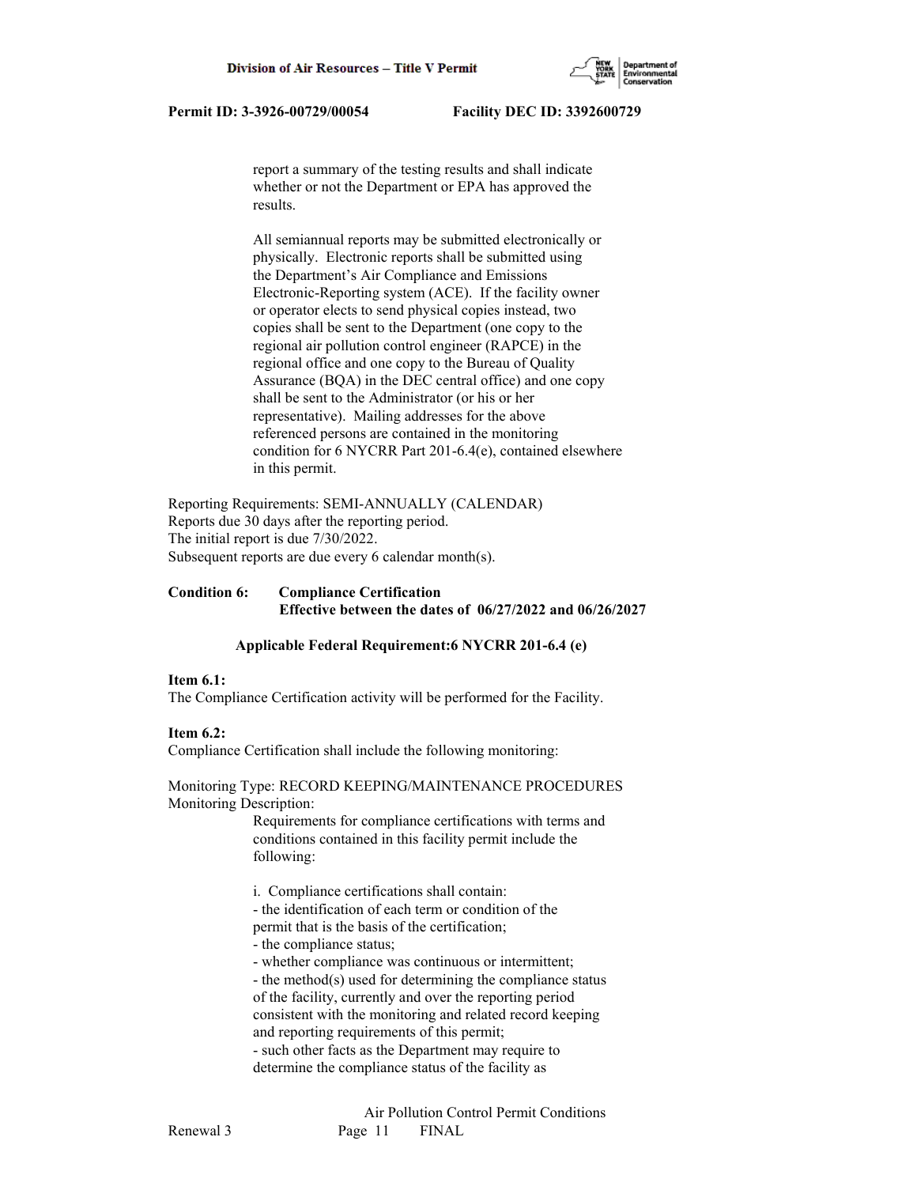

 report a summary of the testing results and shall indicate whether or not the Department or EPA has approved the results.

 All semiannual reports may be submitted electronically or physically. Electronic reports shall be submitted using the Department's Air Compliance and Emissions Electronic-Reporting system (ACE). If the facility owner or operator elects to send physical copies instead, two copies shall be sent to the Department (one copy to the regional air pollution control engineer (RAPCE) in the regional office and one copy to the Bureau of Quality Assurance (BQA) in the DEC central office) and one copy shall be sent to the Administrator (or his or her representative). Mailing addresses for the above referenced persons are contained in the monitoring condition for 6 NYCRR Part 201-6.4(e), contained elsewhere in this permit.

Reporting Requirements: SEMI-ANNUALLY (CALENDAR) Reports due 30 days after the reporting period. The initial report is due 7/30/2022. Subsequent reports are due every 6 calendar month(s).

## **Condition 6: Compliance Certification Effective between the dates of 06/27/2022 and 06/26/2027**

## **Applicable Federal Requirement:6 NYCRR 201-6.4 (e)**

## **Item 6.1:**

The Compliance Certification activity will be performed for the Facility.

## **Item 6.2:**

Compliance Certification shall include the following monitoring:

Monitoring Type: RECORD KEEPING/MAINTENANCE PROCEDURES Monitoring Description:

> Requirements for compliance certifications with terms and conditions contained in this facility permit include the following:

i. Compliance certifications shall contain:

 - the identification of each term or condition of the permit that is the basis of the certification;

- the compliance status;

- whether compliance was continuous or intermittent;

 - the method(s) used for determining the compliance status of the facility, currently and over the reporting period consistent with the monitoring and related record keeping and reporting requirements of this permit;

 - such other facts as the Department may require to determine the compliance status of the facility as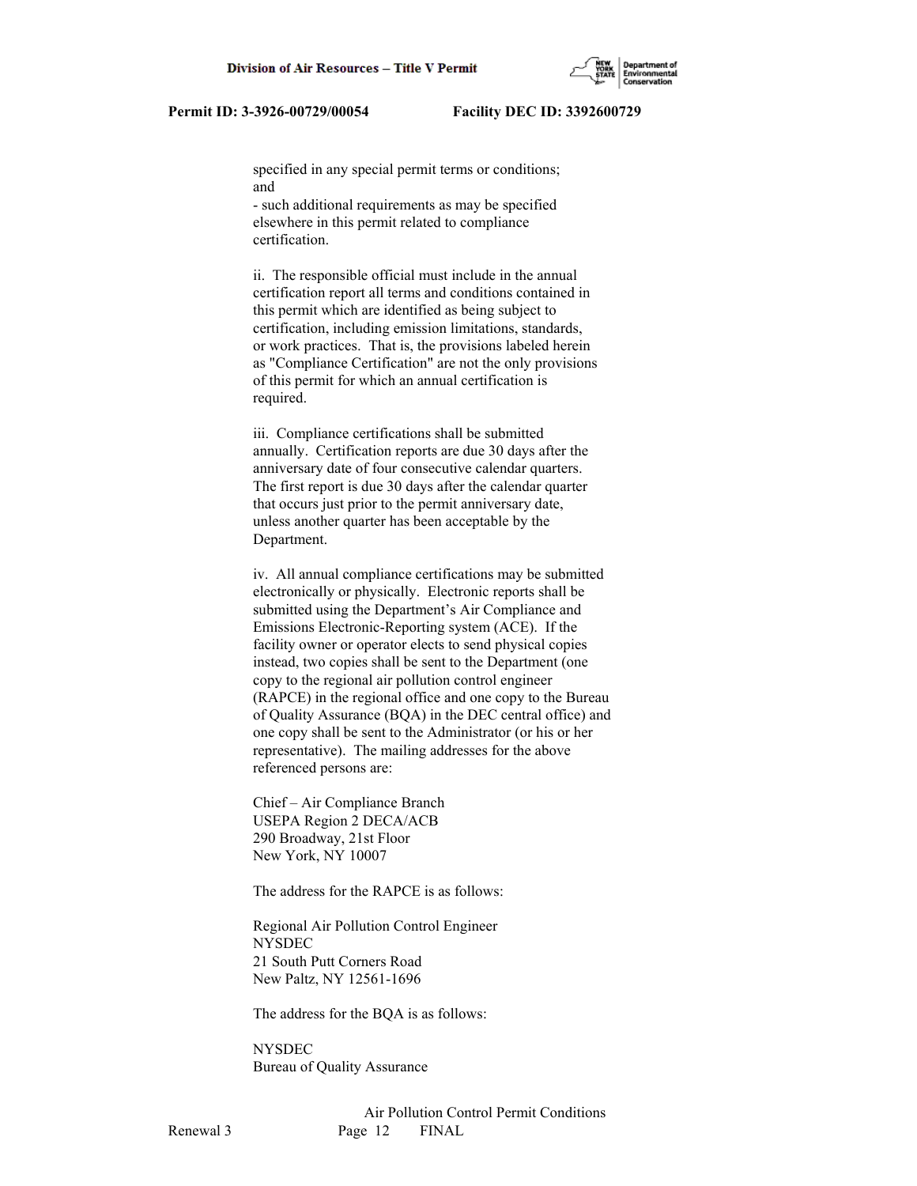specified in any special permit terms or conditions; and

 - such additional requirements as may be specified elsewhere in this permit related to compliance certification.

 ii. The responsible official must include in the annual certification report all terms and conditions contained in this permit which are identified as being subject to certification, including emission limitations, standards, or work practices. That is, the provisions labeled herein as "Compliance Certification" are not the only provisions of this permit for which an annual certification is required.

 iii. Compliance certifications shall be submitted annually. Certification reports are due 30 days after the anniversary date of four consecutive calendar quarters. The first report is due 30 days after the calendar quarter that occurs just prior to the permit anniversary date, unless another quarter has been acceptable by the Department.

 iv. All annual compliance certifications may be submitted electronically or physically. Electronic reports shall be submitted using the Department's Air Compliance and Emissions Electronic-Reporting system (ACE). If the facility owner or operator elects to send physical copies instead, two copies shall be sent to the Department (one copy to the regional air pollution control engineer (RAPCE) in the regional office and one copy to the Bureau of Quality Assurance (BQA) in the DEC central office) and one copy shall be sent to the Administrator (or his or her representative). The mailing addresses for the above referenced persons are:

 Chief – Air Compliance Branch USEPA Region 2 DECA/ACB 290 Broadway, 21st Floor New York, NY 10007

The address for the RAPCE is as follows:

 Regional Air Pollution Control Engineer NYSDEC 21 South Putt Corners Road New Paltz, NY 12561-1696

The address for the BQA is as follows:

**NYSDEC** Bureau of Quality Assurance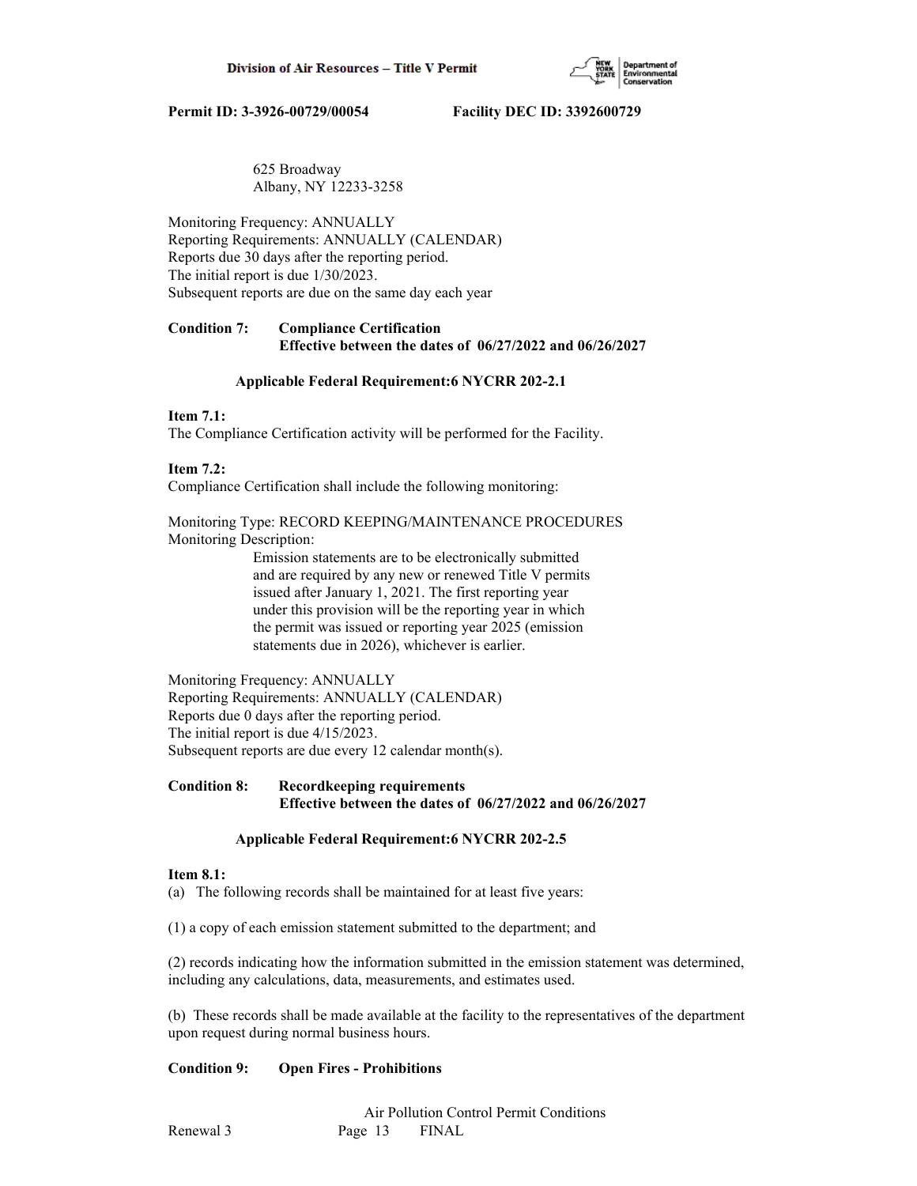

## 625 Broadway Albany, NY 12233-3258

Monitoring Frequency: ANNUALLY Reporting Requirements: ANNUALLY (CALENDAR) Reports due 30 days after the reporting period. The initial report is due 1/30/2023. Subsequent reports are due on the same day each year

## **Condition 7: Compliance Certification Effective between the dates of 06/27/2022 and 06/26/2027**

## **Applicable Federal Requirement:6 NYCRR 202-2.1**

## **Item 7.1:**

The Compliance Certification activity will be performed for the Facility.

## **Item 7.2:**

Compliance Certification shall include the following monitoring:

Monitoring Type: RECORD KEEPING/MAINTENANCE PROCEDURES Monitoring Description:

> Emission statements are to be electronically submitted and are required by any new or renewed Title V permits issued after January 1, 2021. The first reporting year under this provision will be the reporting year in which the permit was issued or reporting year 2025 (emission statements due in 2026), whichever is earlier.

Monitoring Frequency: ANNUALLY Reporting Requirements: ANNUALLY (CALENDAR) Reports due 0 days after the reporting period. The initial report is due 4/15/2023. Subsequent reports are due every 12 calendar month(s).

## **Condition 8: Recordkeeping requirements Effective between the dates of 06/27/2022 and 06/26/2027**

## **Applicable Federal Requirement:6 NYCRR 202-2.5**

## **Item 8.1:**

(a) The following records shall be maintained for at least five years:

(1) a copy of each emission statement submitted to the department; and

(2) records indicating how the information submitted in the emission statement was determined, including any calculations, data, measurements, and estimates used.

(b) These records shall be made available at the facility to the representatives of the department upon request during normal business hours.

## **Condition 9: Open Fires - Prohibitions**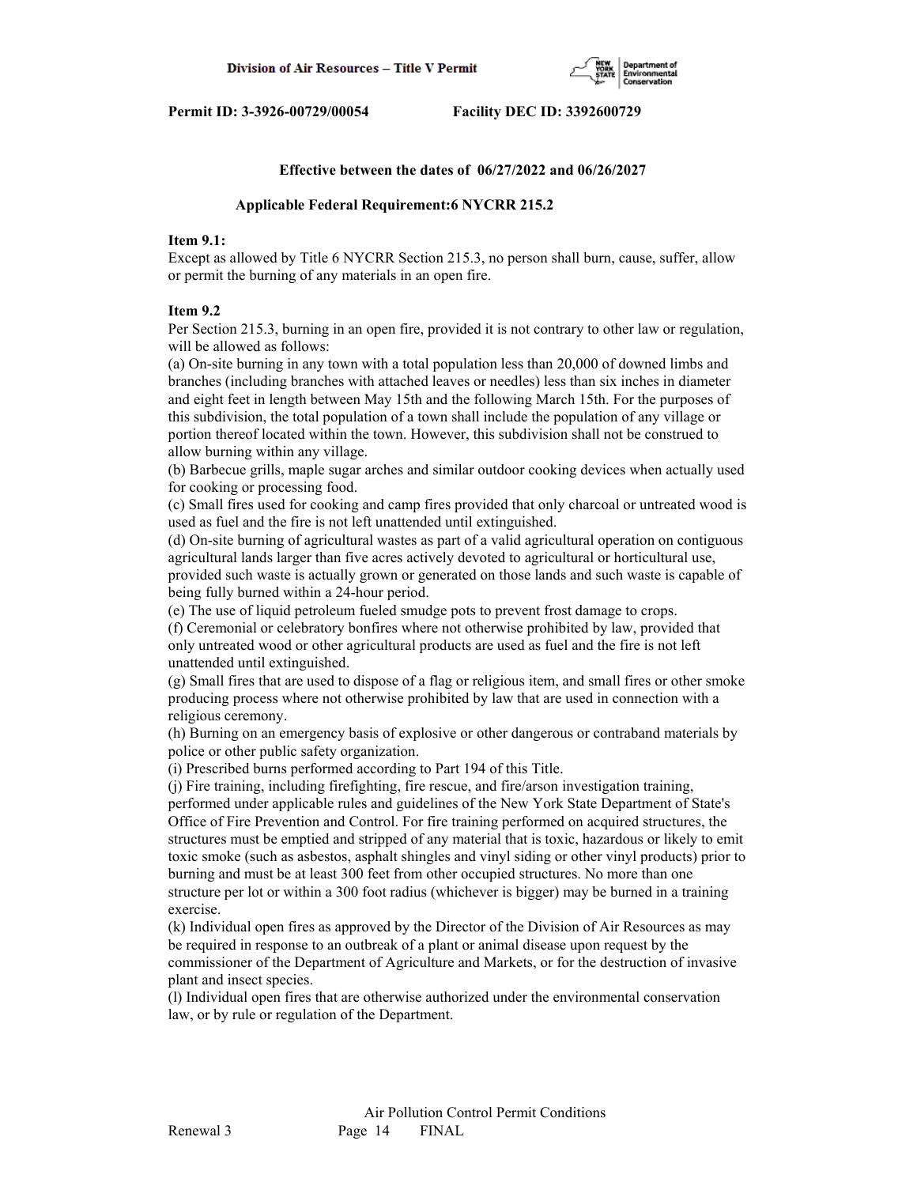

#### **Effective between the dates of 06/27/2022 and 06/26/2027**

#### **Applicable Federal Requirement:6 NYCRR 215.2**

## **Item 9.1:**

Except as allowed by Title 6 NYCRR Section 215.3, no person shall burn, cause, suffer, allow or permit the burning of any materials in an open fire.

#### **Item 9.2**

Per Section 215.3, burning in an open fire, provided it is not contrary to other law or regulation, will be allowed as follows:

(a) On-site burning in any town with a total population less than 20,000 of downed limbs and branches (including branches with attached leaves or needles) less than six inches in diameter and eight feet in length between May 15th and the following March 15th. For the purposes of this subdivision, the total population of a town shall include the population of any village or portion thereof located within the town. However, this subdivision shall not be construed to allow burning within any village.

(b) Barbecue grills, maple sugar arches and similar outdoor cooking devices when actually used for cooking or processing food.

(c) Small fires used for cooking and camp fires provided that only charcoal or untreated wood is used as fuel and the fire is not left unattended until extinguished.

(d) On-site burning of agricultural wastes as part of a valid agricultural operation on contiguous agricultural lands larger than five acres actively devoted to agricultural or horticultural use,

provided such waste is actually grown or generated on those lands and such waste is capable of being fully burned within a 24-hour period.

(e) The use of liquid petroleum fueled smudge pots to prevent frost damage to crops.

(f) Ceremonial or celebratory bonfires where not otherwise prohibited by law, provided that only untreated wood or other agricultural products are used as fuel and the fire is not left unattended until extinguished.

(g) Small fires that are used to dispose of a flag or religious item, and small fires or other smoke producing process where not otherwise prohibited by law that are used in connection with a religious ceremony.

(h) Burning on an emergency basis of explosive or other dangerous or contraband materials by police or other public safety organization.

(i) Prescribed burns performed according to Part 194 of this Title.

(j) Fire training, including firefighting, fire rescue, and fire/arson investigation training, performed under applicable rules and guidelines of the New York State Department of State's Office of Fire Prevention and Control. For fire training performed on acquired structures, the structures must be emptied and stripped of any material that is toxic, hazardous or likely to emit toxic smoke (such as asbestos, asphalt shingles and vinyl siding or other vinyl products) prior to burning and must be at least 300 feet from other occupied structures. No more than one structure per lot or within a 300 foot radius (whichever is bigger) may be burned in a training exercise.

(k) Individual open fires as approved by the Director of the Division of Air Resources as may be required in response to an outbreak of a plant or animal disease upon request by the commissioner of the Department of Agriculture and Markets, or for the destruction of invasive plant and insect species.

(l) Individual open fires that are otherwise authorized under the environmental conservation law, or by rule or regulation of the Department.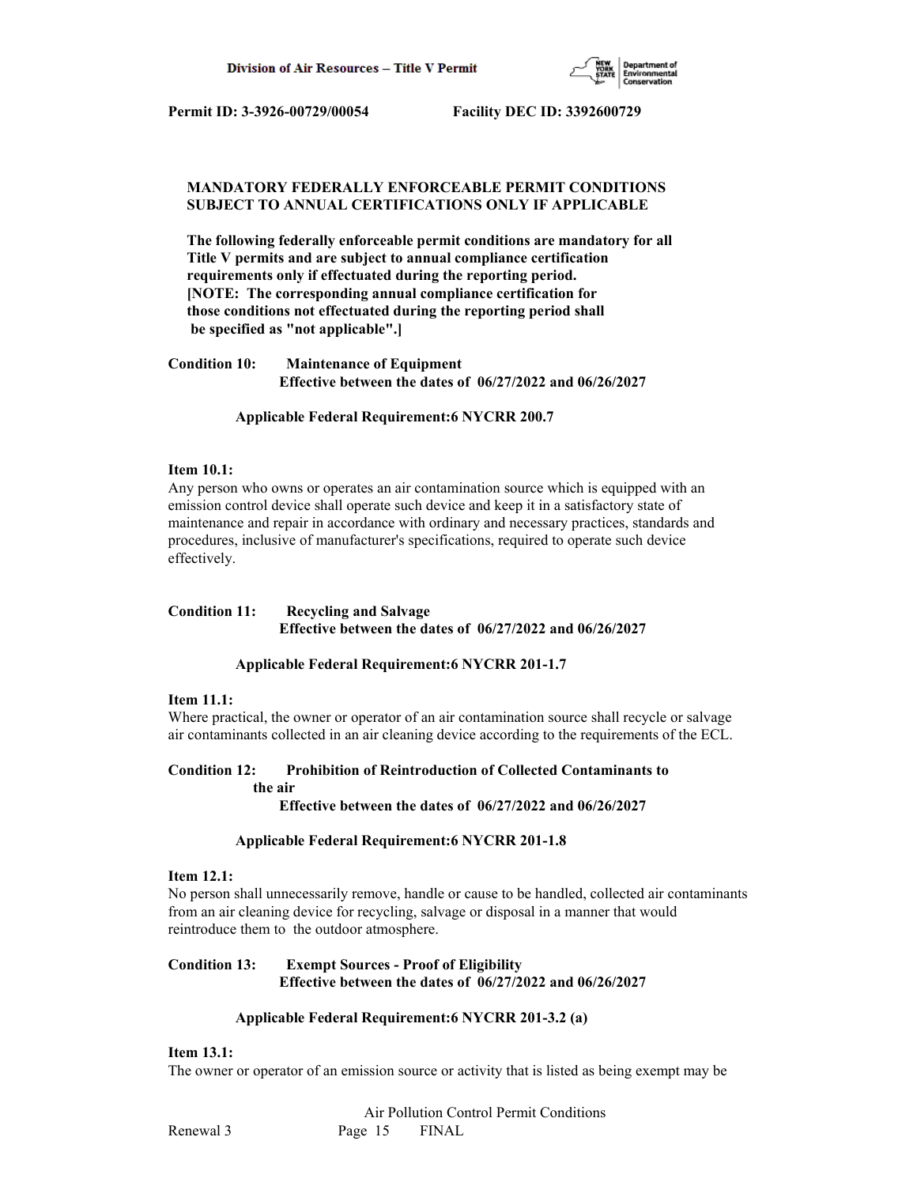

## **MANDATORY FEDERALLY ENFORCEABLE PERMIT CONDITIONS SUBJECT TO ANNUAL CERTIFICATIONS ONLY IF APPLICABLE**

 **The following federally enforceable permit conditions are mandatory for all Title V permits and are subject to annual compliance certification requirements only if effectuated during the reporting period. [NOTE: The corresponding annual compliance certification for those conditions not effectuated during the reporting period shall be specified as "not applicable".]**

**Condition 10: Maintenance of Equipment Effective between the dates of 06/27/2022 and 06/26/2027**

 **Applicable Federal Requirement:6 NYCRR 200.7**

## **Item 10.1:**

Any person who owns or operates an air contamination source which is equipped with an emission control device shall operate such device and keep it in a satisfactory state of maintenance and repair in accordance with ordinary and necessary practices, standards and procedures, inclusive of manufacturer's specifications, required to operate such device effectively.

## **Condition 11: Recycling and Salvage Effective between the dates of 06/27/2022 and 06/26/2027**

## **Applicable Federal Requirement:6 NYCRR 201-1.7**

## **Item 11.1:**

Where practical, the owner or operator of an air contamination source shall recycle or salvage air contaminants collected in an air cleaning device according to the requirements of the ECL.

## **Condition 12: Prohibition of Reintroduction of Collected Contaminants to the air**

 **Effective between the dates of 06/27/2022 and 06/26/2027**

## **Applicable Federal Requirement:6 NYCRR 201-1.8**

#### **Item 12.1:**

No person shall unnecessarily remove, handle or cause to be handled, collected air contaminants from an air cleaning device for recycling, salvage or disposal in a manner that would reintroduce them to the outdoor atmosphere.

## **Condition 13: Exempt Sources - Proof of Eligibility Effective between the dates of 06/27/2022 and 06/26/2027**

## **Applicable Federal Requirement:6 NYCRR 201-3.2 (a)**

## **Item 13.1:**

The owner or operator of an emission source or activity that is listed as being exempt may be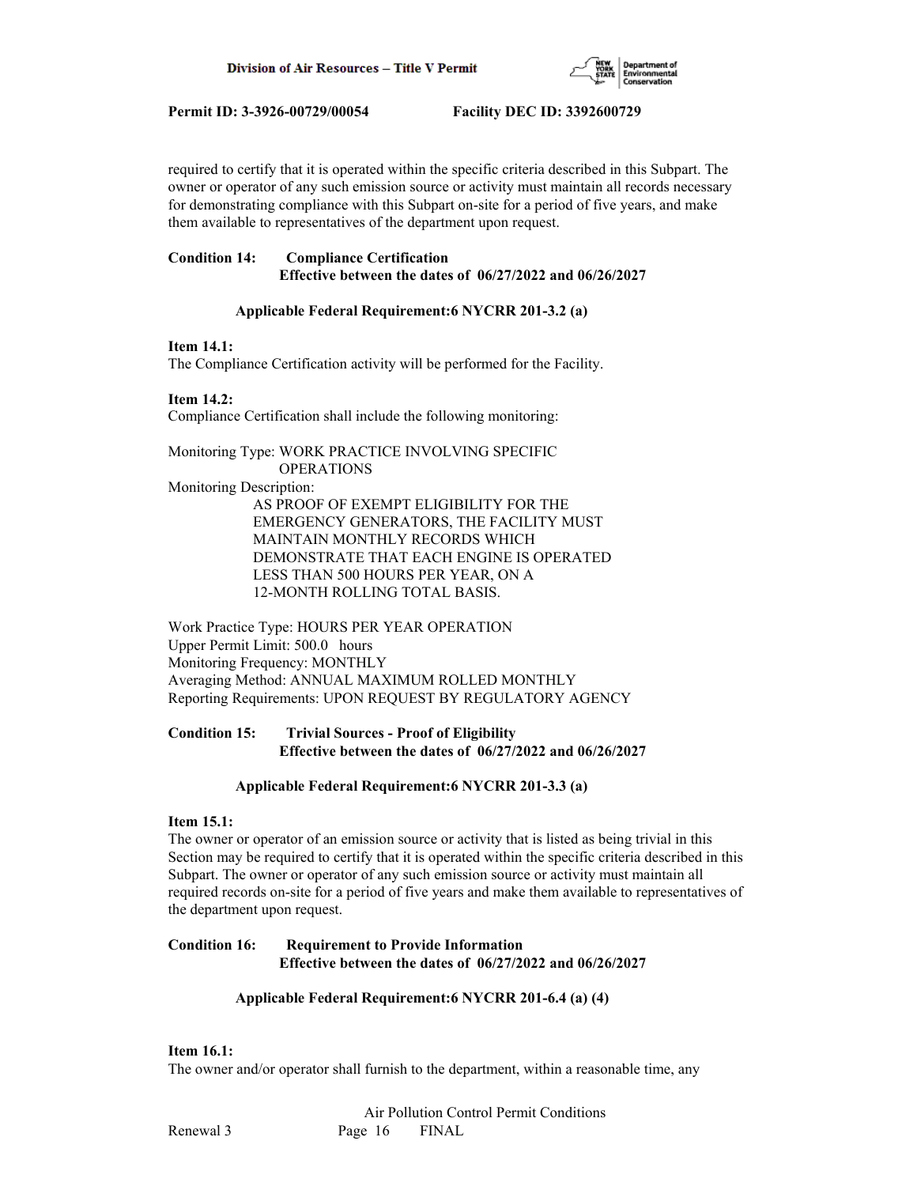

required to certify that it is operated within the specific criteria described in this Subpart. The owner or operator of any such emission source or activity must maintain all records necessary for demonstrating compliance with this Subpart on-site for a period of five years, and make them available to representatives of the department upon request.

## **Condition 14: Compliance Certification Effective between the dates of 06/27/2022 and 06/26/2027**

## **Applicable Federal Requirement:6 NYCRR 201-3.2 (a)**

## **Item 14.1:**

The Compliance Certification activity will be performed for the Facility.

## **Item 14.2:**

Compliance Certification shall include the following monitoring:

Monitoring Type: WORK PRACTICE INVOLVING SPECIFIC OPERATIONS Monitoring Description: AS PROOF OF EXEMPT ELIGIBILITY FOR THE EMERGENCY GENERATORS, THE FACILITY MUST MAINTAIN MONTHLY RECORDS WHICH DEMONSTRATE THAT EACH ENGINE IS OPERATED LESS THAN 500 HOURS PER YEAR, ON A 12-MONTH ROLLING TOTAL BASIS.

Work Practice Type: HOURS PER YEAR OPERATION Upper Permit Limit: 500.0 hours Monitoring Frequency: MONTHLY Averaging Method: ANNUAL MAXIMUM ROLLED MONTHLY Reporting Requirements: UPON REQUEST BY REGULATORY AGENCY

## **Condition 15: Trivial Sources - Proof of Eligibility Effective between the dates of 06/27/2022 and 06/26/2027**

## **Applicable Federal Requirement:6 NYCRR 201-3.3 (a)**

## **Item 15.1:**

The owner or operator of an emission source or activity that is listed as being trivial in this Section may be required to certify that it is operated within the specific criteria described in this Subpart. The owner or operator of any such emission source or activity must maintain all required records on-site for a period of five years and make them available to representatives of the department upon request.

## **Condition 16: Requirement to Provide Information Effective between the dates of 06/27/2022 and 06/26/2027**

## **Applicable Federal Requirement:6 NYCRR 201-6.4 (a) (4)**

## **Item 16.1:**

The owner and/or operator shall furnish to the department, within a reasonable time, any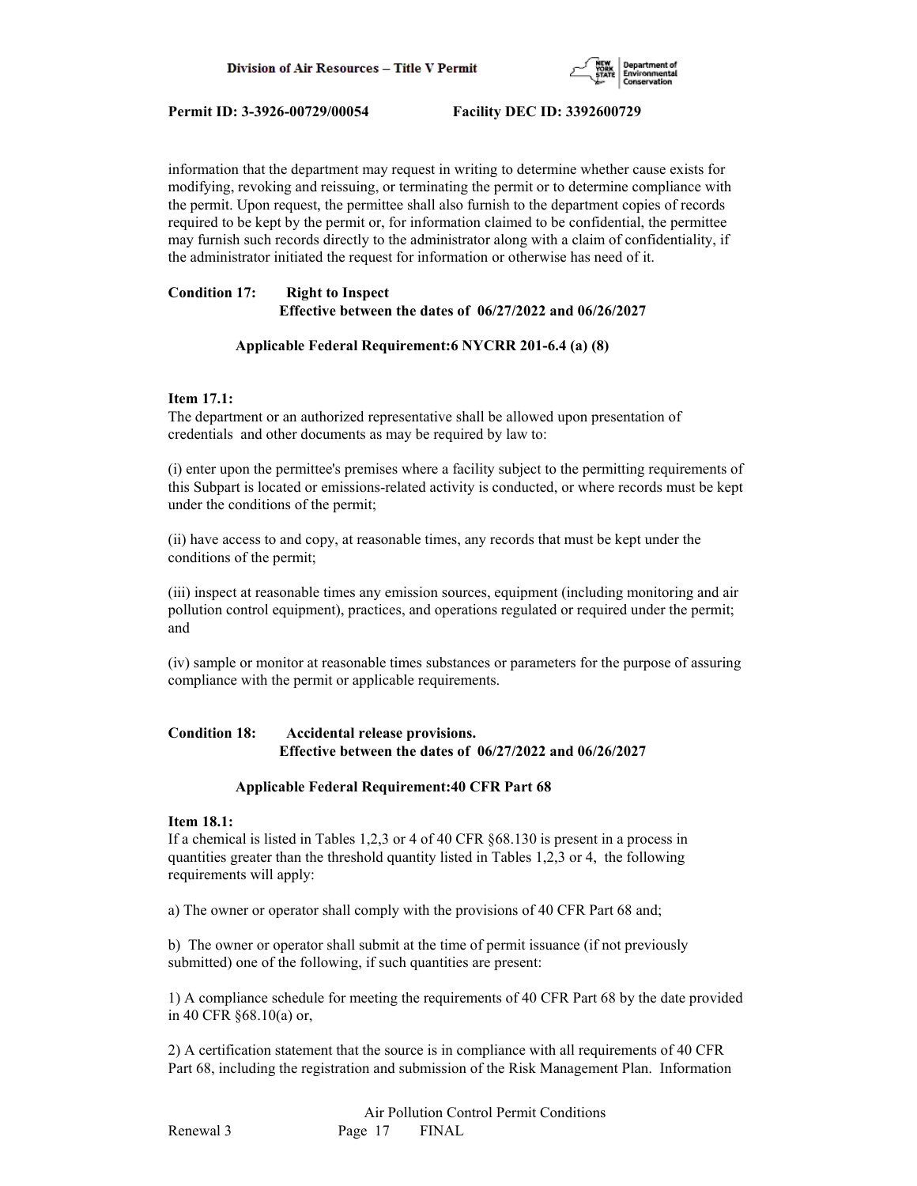

information that the department may request in writing to determine whether cause exists for modifying, revoking and reissuing, or terminating the permit or to determine compliance with the permit. Upon request, the permittee shall also furnish to the department copies of records required to be kept by the permit or, for information claimed to be confidential, the permittee may furnish such records directly to the administrator along with a claim of confidentiality, if the administrator initiated the request for information or otherwise has need of it.

## **Condition 17: Right to Inspect Effective between the dates of 06/27/2022 and 06/26/2027**

## **Applicable Federal Requirement:6 NYCRR 201-6.4 (a) (8)**

## **Item 17.1:**

The department or an authorized representative shall be allowed upon presentation of credentials and other documents as may be required by law to:

(i) enter upon the permittee's premises where a facility subject to the permitting requirements of this Subpart is located or emissions-related activity is conducted, or where records must be kept under the conditions of the permit;

(ii) have access to and copy, at reasonable times, any records that must be kept under the conditions of the permit;

(iii) inspect at reasonable times any emission sources, equipment (including monitoring and air pollution control equipment), practices, and operations regulated or required under the permit; and

(iv) sample or monitor at reasonable times substances or parameters for the purpose of assuring compliance with the permit or applicable requirements.

## **Condition 18: Accidental release provisions. Effective between the dates of 06/27/2022 and 06/26/2027**

## **Applicable Federal Requirement:40 CFR Part 68**

## **Item 18.1:**

If a chemical is listed in Tables 1,2,3 or 4 of 40 CFR §68.130 is present in a process in quantities greater than the threshold quantity listed in Tables 1,2,3 or 4, the following requirements will apply:

a) The owner or operator shall comply with the provisions of 40 CFR Part 68 and;

b) The owner or operator shall submit at the time of permit issuance (if not previously submitted) one of the following, if such quantities are present:

1) A compliance schedule for meeting the requirements of 40 CFR Part 68 by the date provided in 40 CFR §68.10(a) or,

2) A certification statement that the source is in compliance with all requirements of 40 CFR Part 68, including the registration and submission of the Risk Management Plan. Information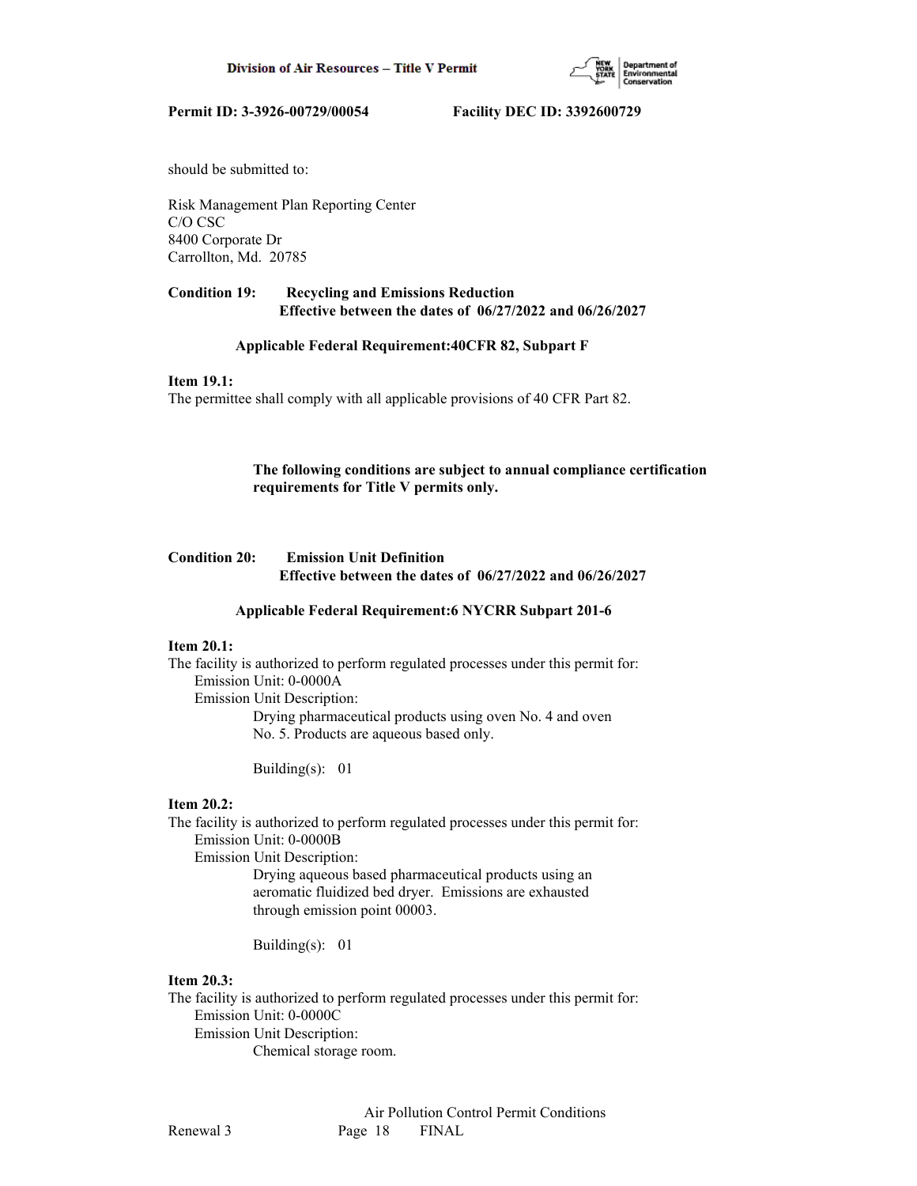

should be submitted to:

Risk Management Plan Reporting Center C/O CSC 8400 Corporate Dr Carrollton, Md. 20785

## **Condition 19: Recycling and Emissions Reduction Effective between the dates of 06/27/2022 and 06/26/2027**

## **Applicable Federal Requirement:40CFR 82, Subpart F**

## **Item 19.1:**

The permittee shall comply with all applicable provisions of 40 CFR Part 82.

## **The following conditions are subject to annual compliance certification requirements for Title V permits only.**

## **Condition 20: Emission Unit Definition Effective between the dates of 06/27/2022 and 06/26/2027**

## **Applicable Federal Requirement:6 NYCRR Subpart 201-6**

## **Item 20.1:**

The facility is authorized to perform regulated processes under this permit for: Emission Unit: 0-0000A Emission Unit Description: Drying pharmaceutical products using oven No. 4 and oven

No. 5. Products are aqueous based only.

Building(s): 01

#### **Item 20.2:**

The facility is authorized to perform regulated processes under this permit for: Emission Unit: 0-0000B

Emission Unit Description:

 Drying aqueous based pharmaceutical products using an aeromatic fluidized bed dryer. Emissions are exhausted through emission point 00003.

Building(s): 01

## **Item 20.3:**

The facility is authorized to perform regulated processes under this permit for: Emission Unit: 0-0000C Emission Unit Description: Chemical storage room.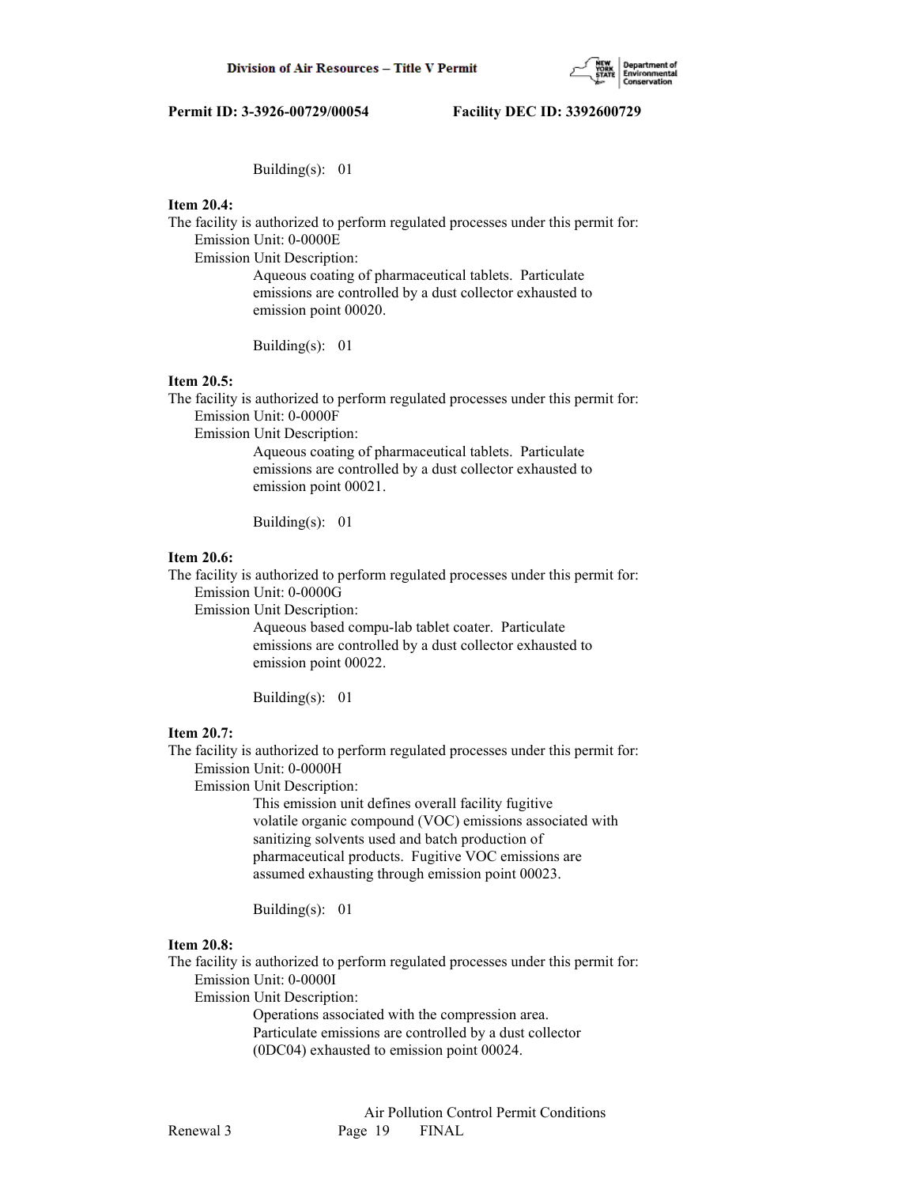

Building(s): 01

## **Item 20.4:**

The facility is authorized to perform regulated processes under this permit for: Emission Unit: 0-0000E

Emission Unit Description:

 Aqueous coating of pharmaceutical tablets. Particulate emissions are controlled by a dust collector exhausted to emission point 00020.

Building(s): 01

#### **Item 20.5:**

The facility is authorized to perform regulated processes under this permit for: Emission Unit: 0-0000F

Emission Unit Description:

 Aqueous coating of pharmaceutical tablets. Particulate emissions are controlled by a dust collector exhausted to emission point 00021.

Building(s): 01

#### **Item 20.6:**

The facility is authorized to perform regulated processes under this permit for:

Emission Unit: 0-0000G

Emission Unit Description:

 Aqueous based compu-lab tablet coater. Particulate emissions are controlled by a dust collector exhausted to emission point 00022.

Building(s): 01

## **Item 20.7:**

The facility is authorized to perform regulated processes under this permit for: Emission Unit: 0-0000H

Emission Unit Description:

 This emission unit defines overall facility fugitive volatile organic compound (VOC) emissions associated with sanitizing solvents used and batch production of pharmaceutical products. Fugitive VOC emissions are assumed exhausting through emission point 00023.

Building(s): 01

## **Item 20.8:**

The facility is authorized to perform regulated processes under this permit for: Emission Unit: 0-0000I

Emission Unit Description:

 Operations associated with the compression area. Particulate emissions are controlled by a dust collector (0DC04) exhausted to emission point 00024.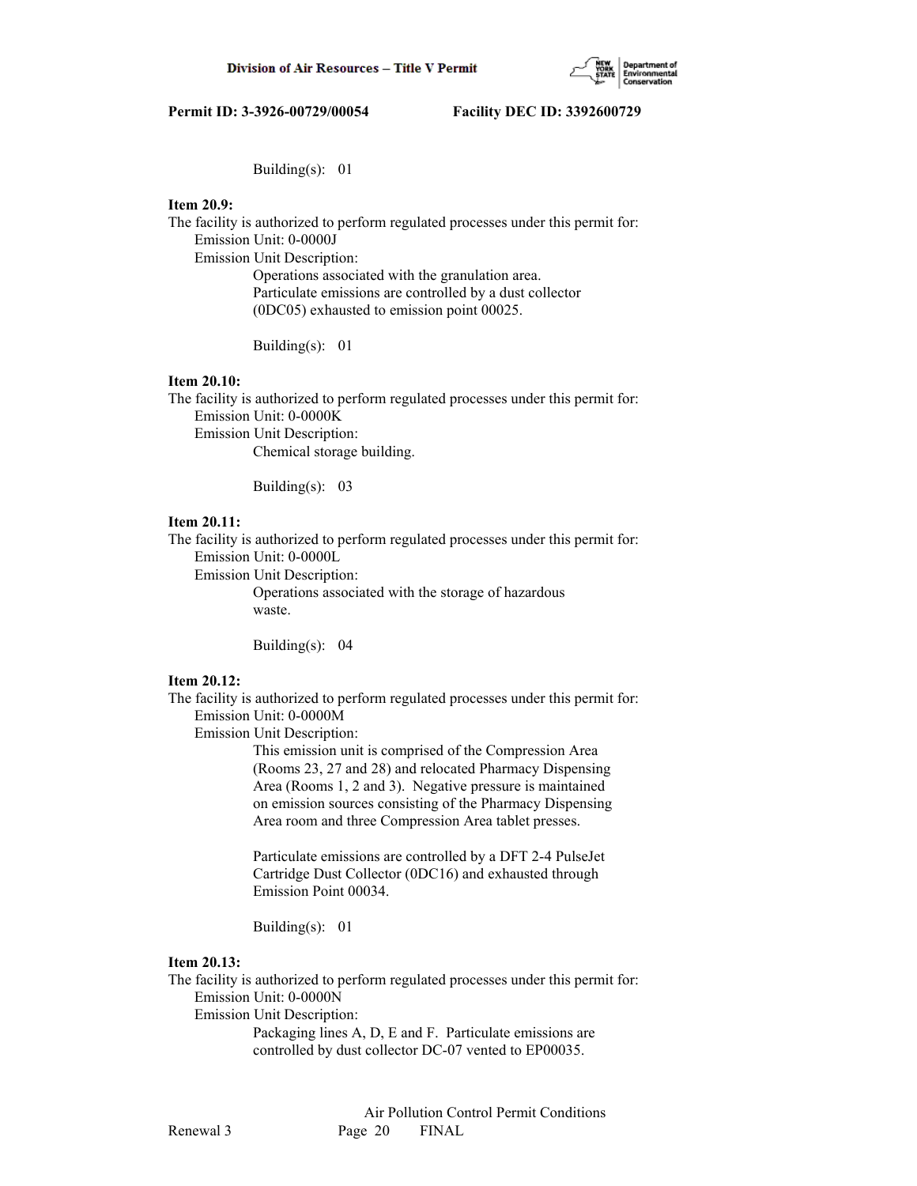

Building(s): 01

## **Item 20.9:**

The facility is authorized to perform regulated processes under this permit for: Emission Unit: 0-0000J

Emission Unit Description:

 Operations associated with the granulation area. Particulate emissions are controlled by a dust collector (0DC05) exhausted to emission point 00025.

Building(s): 01

#### **Item 20.10:**

The facility is authorized to perform regulated processes under this permit for: Emission Unit: 0-0000K Emission Unit Description:

Chemical storage building.

Building(s): 03

## **Item 20.11:**

The facility is authorized to perform regulated processes under this permit for: Emission Unit: 0-0000L

Emission Unit Description:

 Operations associated with the storage of hazardous waste.

Building(s): 04

#### **Item 20.12:**

The facility is authorized to perform regulated processes under this permit for: Emission Unit: 0-0000M

Emission Unit Description:

 This emission unit is comprised of the Compression Area (Rooms 23, 27 and 28) and relocated Pharmacy Dispensing Area (Rooms 1, 2 and 3). Negative pressure is maintained on emission sources consisting of the Pharmacy Dispensing Area room and three Compression Area tablet presses.

 Particulate emissions are controlled by a DFT 2-4 PulseJet Cartridge Dust Collector (0DC16) and exhausted through Emission Point 00034.

Building(s): 01

## **Item 20.13:**

The facility is authorized to perform regulated processes under this permit for: Emission Unit: 0-0000N

Emission Unit Description:

 Packaging lines A, D, E and F. Particulate emissions are controlled by dust collector DC-07 vented to EP00035.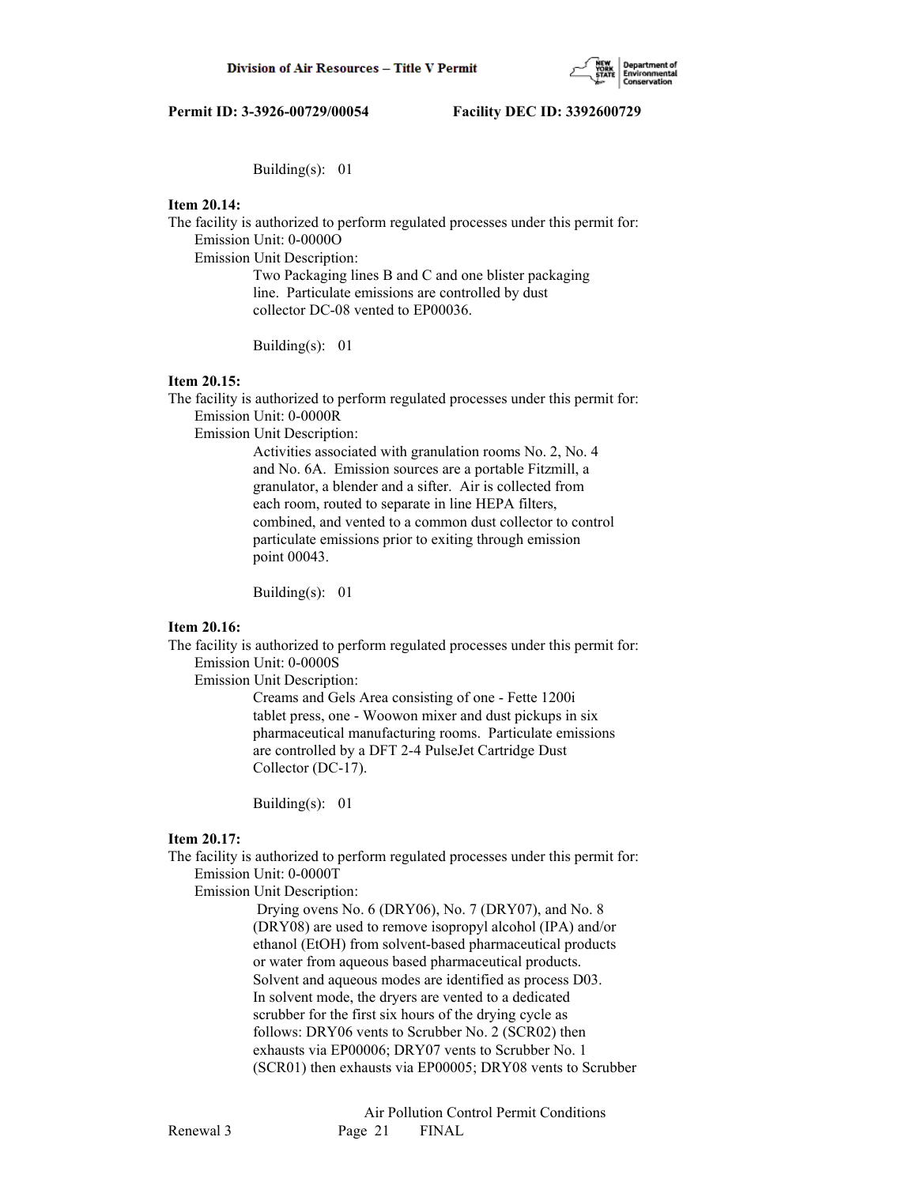

Building(s): 01

## **Item 20.14:**

The facility is authorized to perform regulated processes under this permit for: Emission Unit: 0-0000O

Emission Unit Description:

 Two Packaging lines B and C and one blister packaging line. Particulate emissions are controlled by dust collector DC-08 vented to EP00036.

Building(s): 01

#### **Item 20.15:**

The facility is authorized to perform regulated processes under this permit for: Emission Unit: 0-0000R

Emission Unit Description:

 Activities associated with granulation rooms No. 2, No. 4 and No. 6A. Emission sources are a portable Fitzmill, a granulator, a blender and a sifter. Air is collected from each room, routed to separate in line HEPA filters, combined, and vented to a common dust collector to control particulate emissions prior to exiting through emission point 00043.

Building(s): 01

## **Item 20.16:**

The facility is authorized to perform regulated processes under this permit for: Emission Unit: 0-0000S

Emission Unit Description:

 Creams and Gels Area consisting of one - Fette 1200i tablet press, one - Woowon mixer and dust pickups in six pharmaceutical manufacturing rooms. Particulate emissions are controlled by a DFT 2-4 PulseJet Cartridge Dust Collector (DC-17).

Building(s): 01

## **Item 20.17:**

The facility is authorized to perform regulated processes under this permit for: Emission Unit: 0-0000T

Emission Unit Description:

 Drying ovens No. 6 (DRY06), No. 7 (DRY07), and No. 8 (DRY08) are used to remove isopropyl alcohol (IPA) and/or ethanol (EtOH) from solvent-based pharmaceutical products or water from aqueous based pharmaceutical products. Solvent and aqueous modes are identified as process D03. In solvent mode, the dryers are vented to a dedicated scrubber for the first six hours of the drying cycle as follows: DRY06 vents to Scrubber No. 2 (SCR02) then exhausts via EP00006; DRY07 vents to Scrubber No. 1 (SCR01) then exhausts via EP00005; DRY08 vents to Scrubber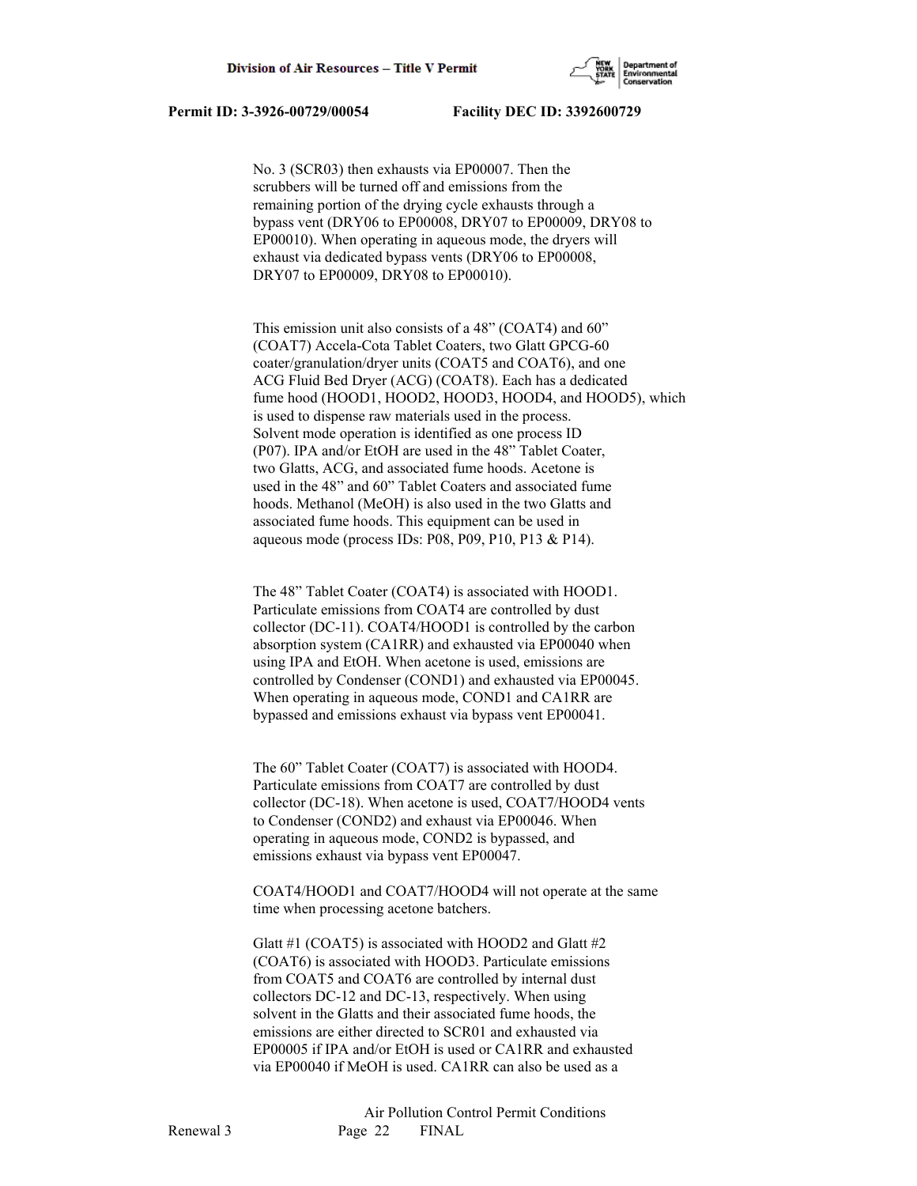

 No. 3 (SCR03) then exhausts via EP00007. Then the scrubbers will be turned off and emissions from the remaining portion of the drying cycle exhausts through a bypass vent (DRY06 to EP00008, DRY07 to EP00009, DRY08 to EP00010). When operating in aqueous mode, the dryers will exhaust via dedicated bypass vents (DRY06 to EP00008, DRY07 to EP00009, DRY08 to EP00010).

 This emission unit also consists of a 48" (COAT4) and 60" (COAT7) Accela-Cota Tablet Coaters, two Glatt GPCG-60 coater/granulation/dryer units (COAT5 and COAT6), and one ACG Fluid Bed Dryer (ACG) (COAT8). Each has a dedicated fume hood (HOOD1, HOOD2, HOOD3, HOOD4, and HOOD5), which is used to dispense raw materials used in the process. Solvent mode operation is identified as one process ID (P07). IPA and/or EtOH are used in the 48" Tablet Coater, two Glatts, ACG, and associated fume hoods. Acetone is used in the 48" and 60" Tablet Coaters and associated fume hoods. Methanol (MeOH) is also used in the two Glatts and associated fume hoods. This equipment can be used in aqueous mode (process IDs: P08, P09, P10, P13  $&$  P14).

 The 48" Tablet Coater (COAT4) is associated with HOOD1. Particulate emissions from COAT4 are controlled by dust collector (DC-11). COAT4/HOOD1 is controlled by the carbon absorption system (CA1RR) and exhausted via EP00040 when using IPA and EtOH. When acetone is used, emissions are controlled by Condenser (COND1) and exhausted via EP00045. When operating in aqueous mode, COND1 and CA1RR are bypassed and emissions exhaust via bypass vent EP00041.

 The 60" Tablet Coater (COAT7) is associated with HOOD4. Particulate emissions from COAT7 are controlled by dust collector (DC-18). When acetone is used, COAT7/HOOD4 vents to Condenser (COND2) and exhaust via EP00046. When operating in aqueous mode, COND2 is bypassed, and emissions exhaust via bypass vent EP00047.

 COAT4/HOOD1 and COAT7/HOOD4 will not operate at the same time when processing acetone batchers.

 Glatt #1 (COAT5) is associated with HOOD2 and Glatt #2 (COAT6) is associated with HOOD3. Particulate emissions from COAT5 and COAT6 are controlled by internal dust collectors DC-12 and DC-13, respectively. When using solvent in the Glatts and their associated fume hoods, the emissions are either directed to SCR01 and exhausted via EP00005 if IPA and/or EtOH is used or CA1RR and exhausted via EP00040 if MeOH is used. CA1RR can also be used as a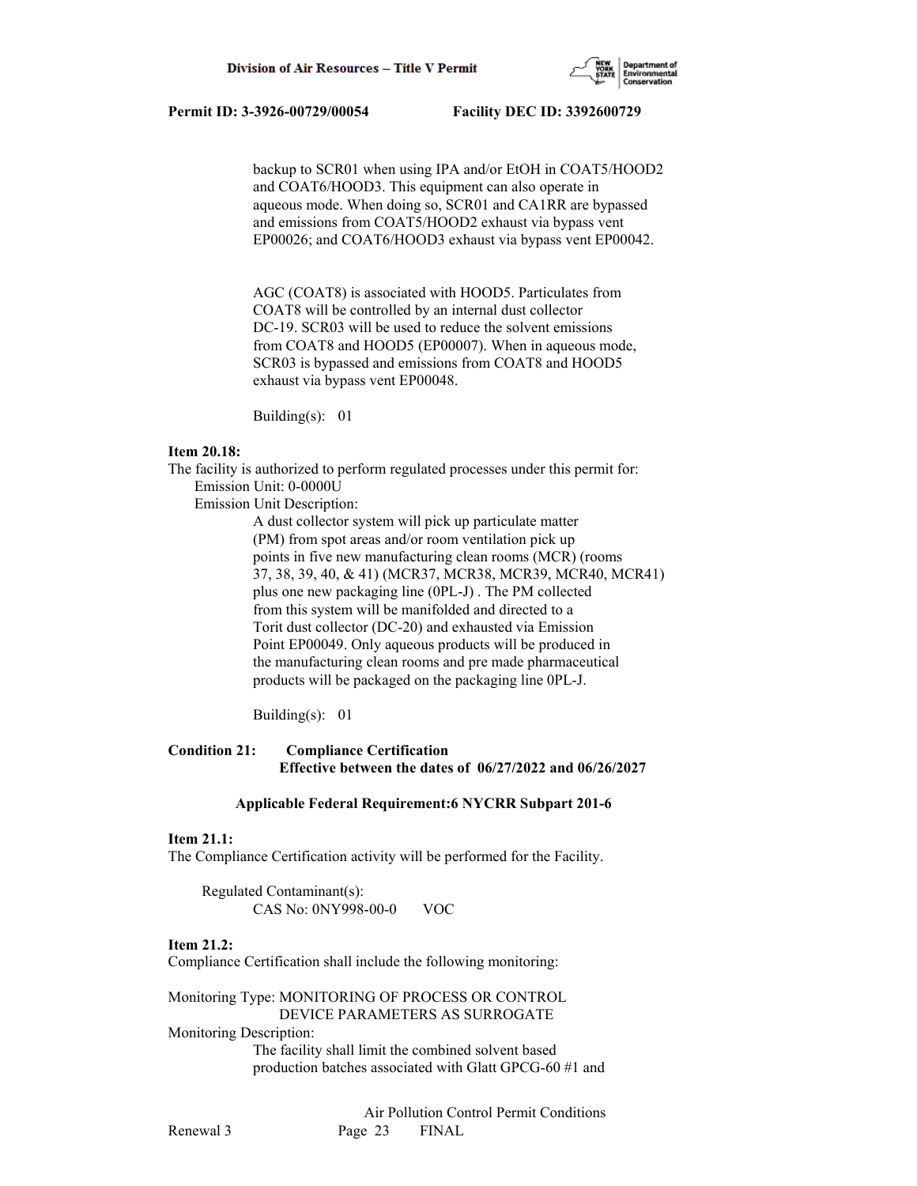

 backup to SCR01 when using IPA and/or EtOH in COAT5/HOOD2 and COAT6/HOOD3. This equipment can also operate in aqueous mode. When doing so, SCR01 and CA1RR are bypassed and emissions from COAT5/HOOD2 exhaust via bypass vent EP00026; and COAT6/HOOD3 exhaust via bypass vent EP00042.

 AGC (COAT8) is associated with HOOD5. Particulates from COAT8 will be controlled by an internal dust collector DC-19. SCR03 will be used to reduce the solvent emissions from COAT8 and HOOD5 (EP00007). When in aqueous mode, SCR03 is bypassed and emissions from COAT8 and HOOD5 exhaust via bypass vent EP00048.

Building(s): 01

## **Item 20.18:**

The facility is authorized to perform regulated processes under this permit for: Emission Unit: 0-0000U

Emission Unit Description:

 A dust collector system will pick up particulate matter (PM) from spot areas and/or room ventilation pick up points in five new manufacturing clean rooms (MCR) (rooms 37, 38, 39, 40, & 41) (MCR37, MCR38, MCR39, MCR40, MCR41) plus one new packaging line (0PL-J) . The PM collected from this system will be manifolded and directed to a Torit dust collector (DC-20) and exhausted via Emission Point EP00049. Only aqueous products will be produced in the manufacturing clean rooms and pre made pharmaceutical products will be packaged on the packaging line 0PL-J.

Building(s): 01

## **Condition 21: Compliance Certification Effective between the dates of 06/27/2022 and 06/26/2027**

#### **Applicable Federal Requirement:6 NYCRR Subpart 201-6**

#### **Item 21.1:**

The Compliance Certification activity will be performed for the Facility.

 Regulated Contaminant(s): CAS No: 0NY998-00-0 VOC

## **Item 21.2:**

Compliance Certification shall include the following monitoring:

Monitoring Type: MONITORING OF PROCESS OR CONTROL DEVICE PARAMETERS AS SURROGATE

Monitoring Description:

 The facility shall limit the combined solvent based production batches associated with Glatt GPCG-60 #1 and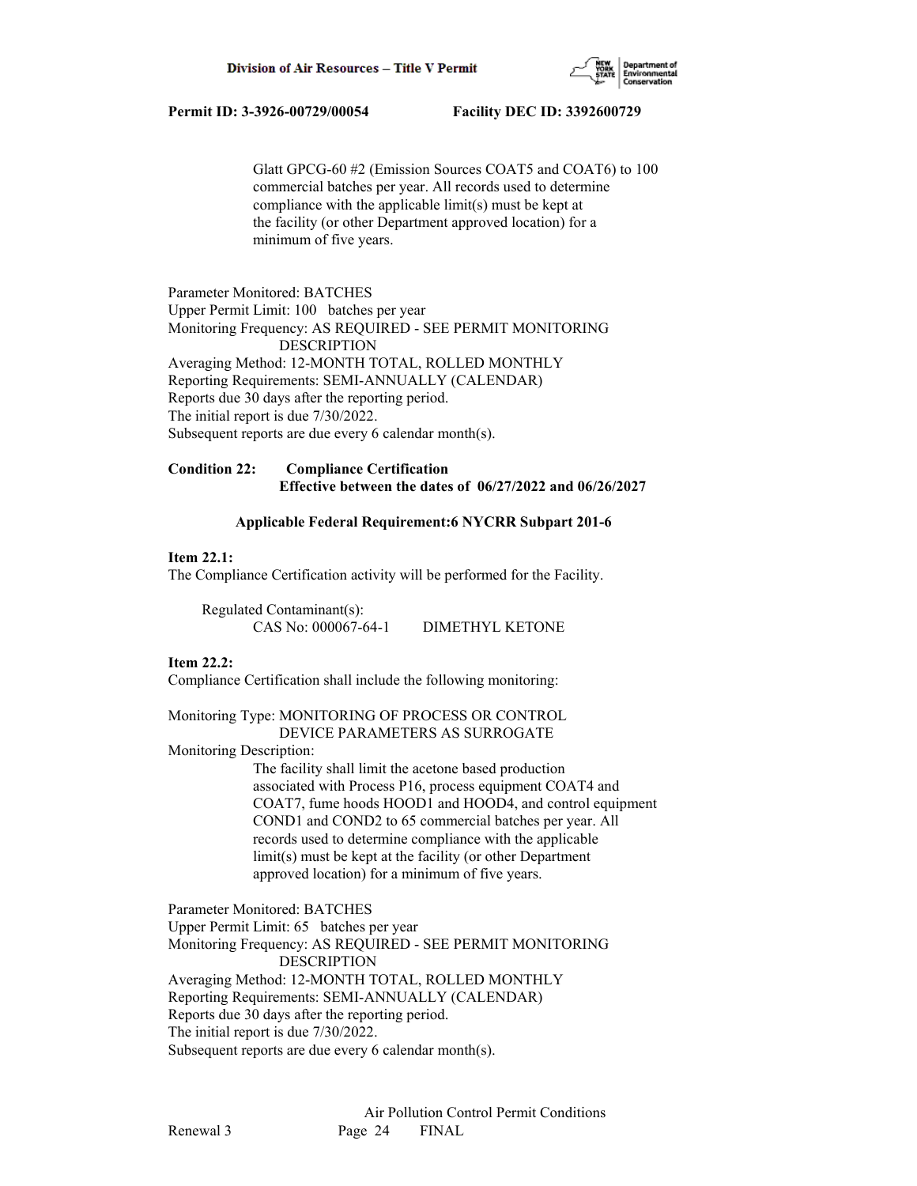

 Glatt GPCG-60 #2 (Emission Sources COAT5 and COAT6) to 100 commercial batches per year. All records used to determine compliance with the applicable limit(s) must be kept at the facility (or other Department approved location) for a minimum of five years.

Parameter Monitored: BATCHES Upper Permit Limit: 100 batches per year Monitoring Frequency: AS REQUIRED - SEE PERMIT MONITORING DESCRIPTION Averaging Method: 12-MONTH TOTAL, ROLLED MONTHLY Reporting Requirements: SEMI-ANNUALLY (CALENDAR) Reports due 30 days after the reporting period. The initial report is due 7/30/2022. Subsequent reports are due every 6 calendar month(s).

## **Condition 22: Compliance Certification Effective between the dates of 06/27/2022 and 06/26/2027**

#### **Applicable Federal Requirement:6 NYCRR Subpart 201-6**

#### **Item 22.1:**

The Compliance Certification activity will be performed for the Facility.

| Regulated Contaminant(s): |                 |
|---------------------------|-----------------|
| CAS No: 000067-64-1       | DIMETHYL KETONE |

#### **Item 22.2:**

Compliance Certification shall include the following monitoring:

## Monitoring Type: MONITORING OF PROCESS OR CONTROL DEVICE PARAMETERS AS SURROGATE

Monitoring Description:

 The facility shall limit the acetone based production associated with Process P16, process equipment COAT4 and COAT7, fume hoods HOOD1 and HOOD4, and control equipment COND1 and COND2 to 65 commercial batches per year. All records used to determine compliance with the applicable limit(s) must be kept at the facility (or other Department approved location) for a minimum of five years.

Parameter Monitored: BATCHES Upper Permit Limit: 65 batches per year Monitoring Frequency: AS REQUIRED - SEE PERMIT MONITORING DESCRIPTION Averaging Method: 12-MONTH TOTAL, ROLLED MONTHLY Reporting Requirements: SEMI-ANNUALLY (CALENDAR) Reports due 30 days after the reporting period. The initial report is due 7/30/2022. Subsequent reports are due every 6 calendar month(s).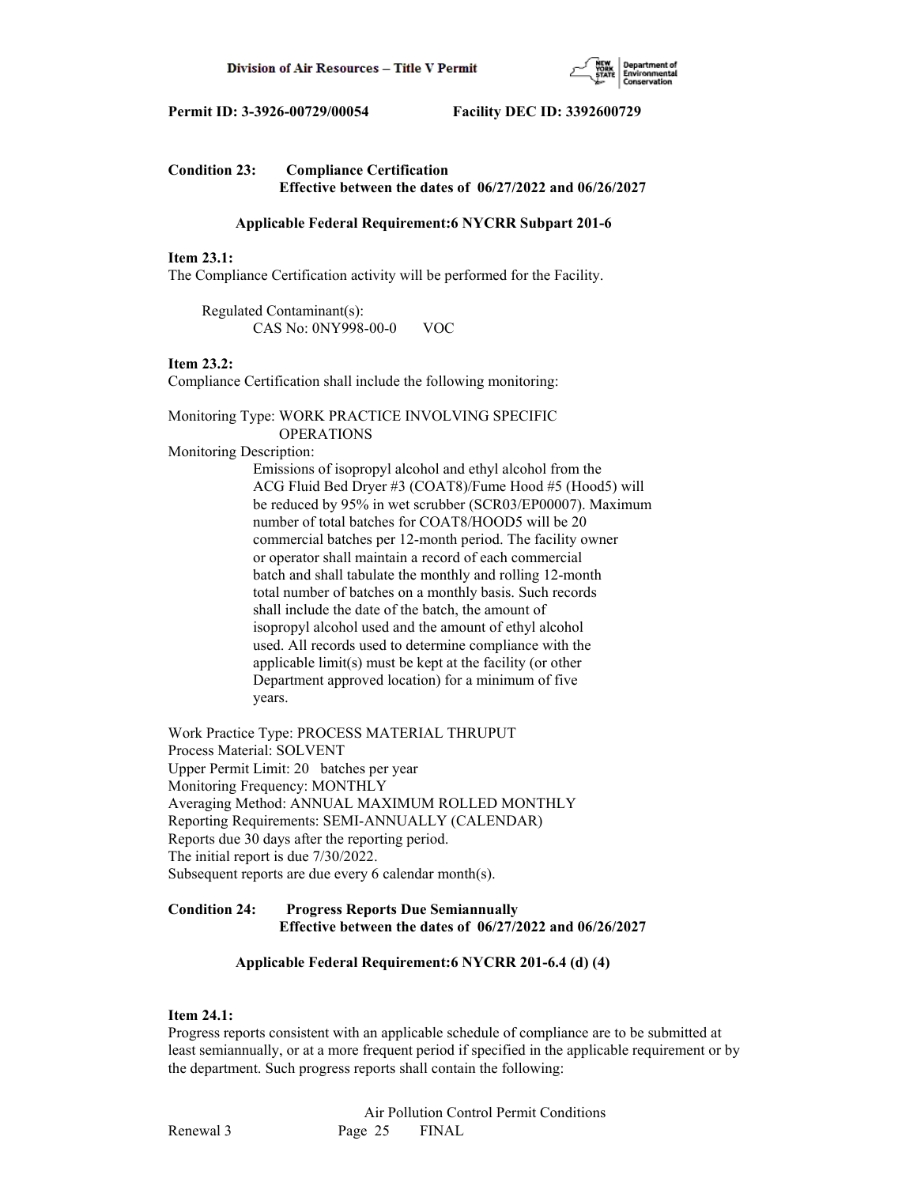

| <b>Condition 23:</b> | <b>Compliance Certification</b>                              |  |  |
|----------------------|--------------------------------------------------------------|--|--|
|                      | Effective between the dates of $06/27/2022$ and $06/26/2027$ |  |  |

#### **Applicable Federal Requirement:6 NYCRR Subpart 201-6**

#### **Item 23.1:**

The Compliance Certification activity will be performed for the Facility.

 Regulated Contaminant(s): CAS No: 0NY998-00-0 VOC

#### **Item 23.2:**

Compliance Certification shall include the following monitoring:

## Monitoring Type: WORK PRACTICE INVOLVING SPECIFIC OPERATIONS

Monitoring Description:

 Emissions of isopropyl alcohol and ethyl alcohol from the ACG Fluid Bed Dryer #3 (COAT8)/Fume Hood #5 (Hood5) will be reduced by 95% in wet scrubber (SCR03/EP00007). Maximum number of total batches for COAT8/HOOD5 will be 20 commercial batches per 12-month period. The facility owner or operator shall maintain a record of each commercial batch and shall tabulate the monthly and rolling 12-month total number of batches on a monthly basis. Such records shall include the date of the batch, the amount of isopropyl alcohol used and the amount of ethyl alcohol used. All records used to determine compliance with the applicable limit(s) must be kept at the facility (or other Department approved location) for a minimum of five years.

Work Practice Type: PROCESS MATERIAL THRUPUT Process Material: SOLVENT Upper Permit Limit: 20 batches per year Monitoring Frequency: MONTHLY Averaging Method: ANNUAL MAXIMUM ROLLED MONTHLY Reporting Requirements: SEMI-ANNUALLY (CALENDAR) Reports due 30 days after the reporting period. The initial report is due 7/30/2022. Subsequent reports are due every 6 calendar month(s).

## **Condition 24: Progress Reports Due Semiannually Effective between the dates of 06/27/2022 and 06/26/2027**

## **Applicable Federal Requirement:6 NYCRR 201-6.4 (d) (4)**

## **Item 24.1:**

Progress reports consistent with an applicable schedule of compliance are to be submitted at least semiannually, or at a more frequent period if specified in the applicable requirement or by the department. Such progress reports shall contain the following: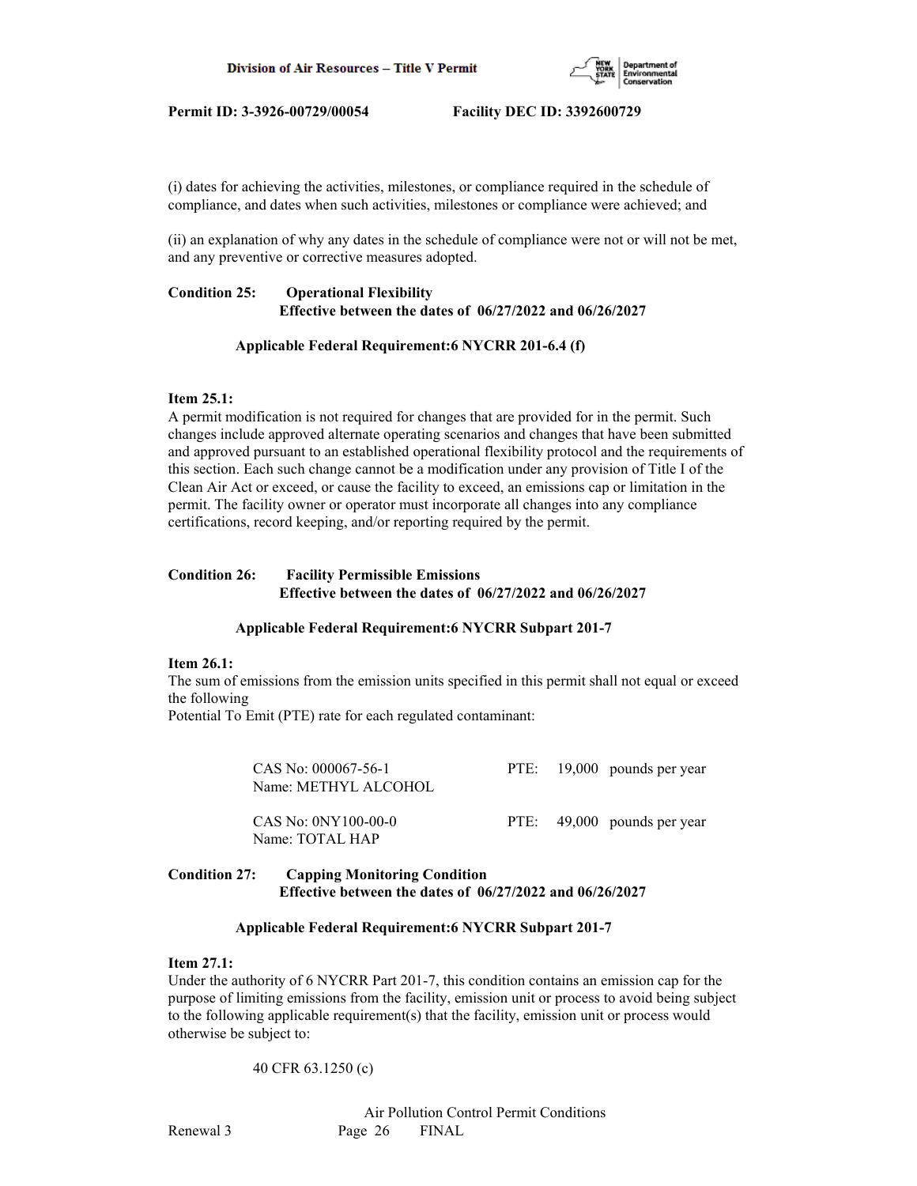

(i) dates for achieving the activities, milestones, or compliance required in the schedule of compliance, and dates when such activities, milestones or compliance were achieved; and

(ii) an explanation of why any dates in the schedule of compliance were not or will not be met, and any preventive or corrective measures adopted.

## **Condition 25: Operational Flexibility Effective between the dates of 06/27/2022 and 06/26/2027**

## **Applicable Federal Requirement:6 NYCRR 201-6.4 (f)**

## **Item 25.1:**

A permit modification is not required for changes that are provided for in the permit. Such changes include approved alternate operating scenarios and changes that have been submitted and approved pursuant to an established operational flexibility protocol and the requirements of this section. Each such change cannot be a modification under any provision of Title I of the Clean Air Act or exceed, or cause the facility to exceed, an emissions cap or limitation in the permit. The facility owner or operator must incorporate all changes into any compliance certifications, record keeping, and/or reporting required by the permit.

## **Condition 26: Facility Permissible Emissions Effective between the dates of 06/27/2022 and 06/26/2027**

## **Applicable Federal Requirement:6 NYCRR Subpart 201-7**

## **Item 26.1:**

The sum of emissions from the emission units specified in this permit shall not equal or exceed the following

Potential To Emit (PTE) rate for each regulated contaminant:

| CAS No: 000067-56-1<br>Name: METHYL ALCOHOL |  | PTE: 19,000 pounds per year |
|---------------------------------------------|--|-----------------------------|
| CAS No: 0NY100-00-0<br>Name: TOTAL HAP      |  | PTE: 49,000 pounds per year |

## **Condition 27: Capping Monitoring Condition Effective between the dates of 06/27/2022 and 06/26/2027**

## **Applicable Federal Requirement:6 NYCRR Subpart 201-7**

## **Item 27.1:**

Under the authority of 6 NYCRR Part 201-7, this condition contains an emission cap for the purpose of limiting emissions from the facility, emission unit or process to avoid being subject to the following applicable requirement(s) that the facility, emission unit or process would otherwise be subject to:

## 40 CFR 63.1250 (c)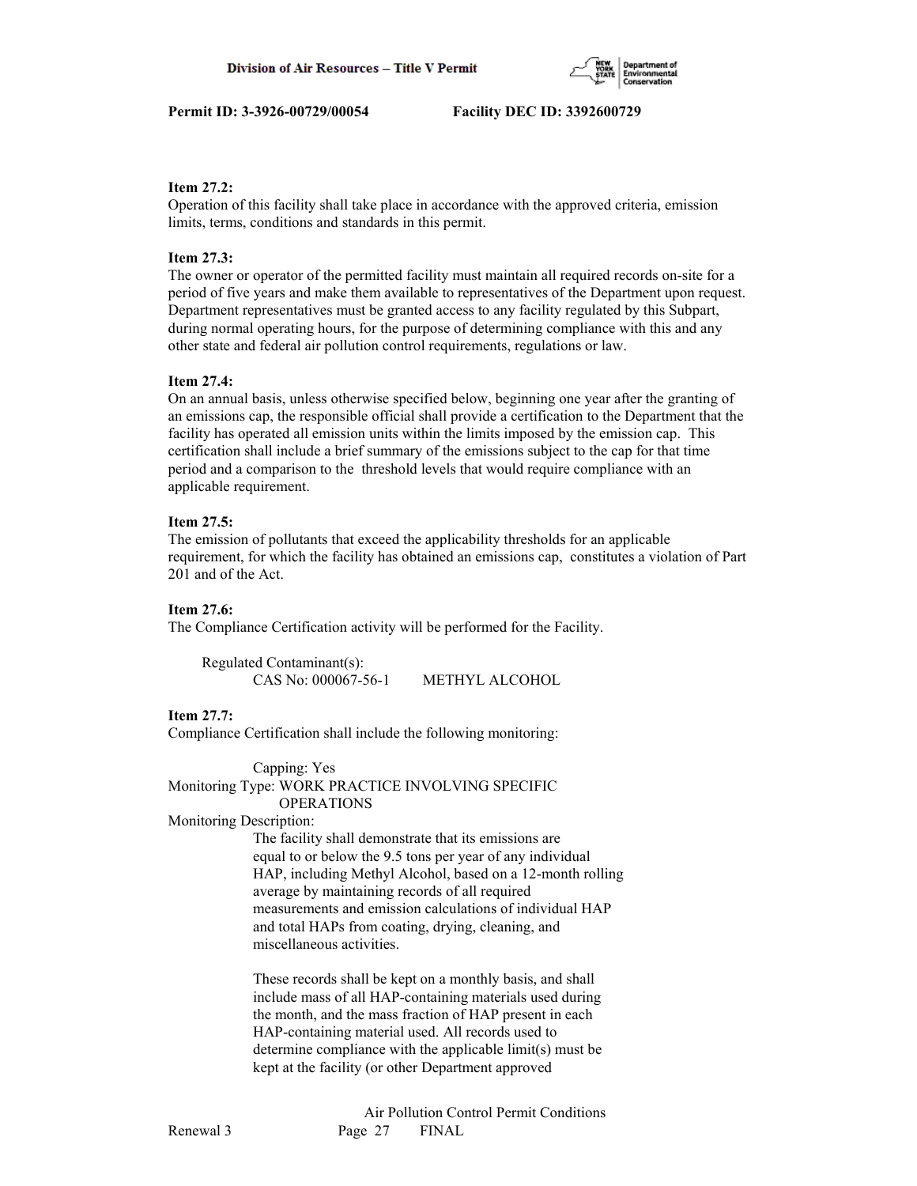

## **Item 27.2:**

Operation of this facility shall take place in accordance with the approved criteria, emission limits, terms, conditions and standards in this permit.

## **Item 27.3:**

The owner or operator of the permitted facility must maintain all required records on-site for a period of five years and make them available to representatives of the Department upon request. Department representatives must be granted access to any facility regulated by this Subpart, during normal operating hours, for the purpose of determining compliance with this and any other state and federal air pollution control requirements, regulations or law.

## **Item 27.4:**

On an annual basis, unless otherwise specified below, beginning one year after the granting of an emissions cap, the responsible official shall provide a certification to the Department that the facility has operated all emission units within the limits imposed by the emission cap. This certification shall include a brief summary of the emissions subject to the cap for that time period and a comparison to the threshold levels that would require compliance with an applicable requirement.

## **Item 27.5:**

The emission of pollutants that exceed the applicability thresholds for an applicable requirement, for which the facility has obtained an emissions cap, constitutes a violation of Part 201 and of the Act.

## **Item 27.6:**

The Compliance Certification activity will be performed for the Facility.

| Regulated Contaminant(s): |                |
|---------------------------|----------------|
| CAS No: 000067-56-1       | METHYL ALCOHOL |

## **Item 27.7:**

Compliance Certification shall include the following monitoring:

 Capping: Yes Monitoring Type: WORK PRACTICE INVOLVING SPECIFIC OPERATIONS

## Monitoring Description:

 The facility shall demonstrate that its emissions are equal to or below the 9.5 tons per year of any individual HAP, including Methyl Alcohol, based on a 12-month rolling average by maintaining records of all required measurements and emission calculations of individual HAP and total HAPs from coating, drying, cleaning, and miscellaneous activities.

 These records shall be kept on a monthly basis, and shall include mass of all HAP-containing materials used during the month, and the mass fraction of HAP present in each HAP-containing material used. All records used to determine compliance with the applicable limit(s) must be kept at the facility (or other Department approved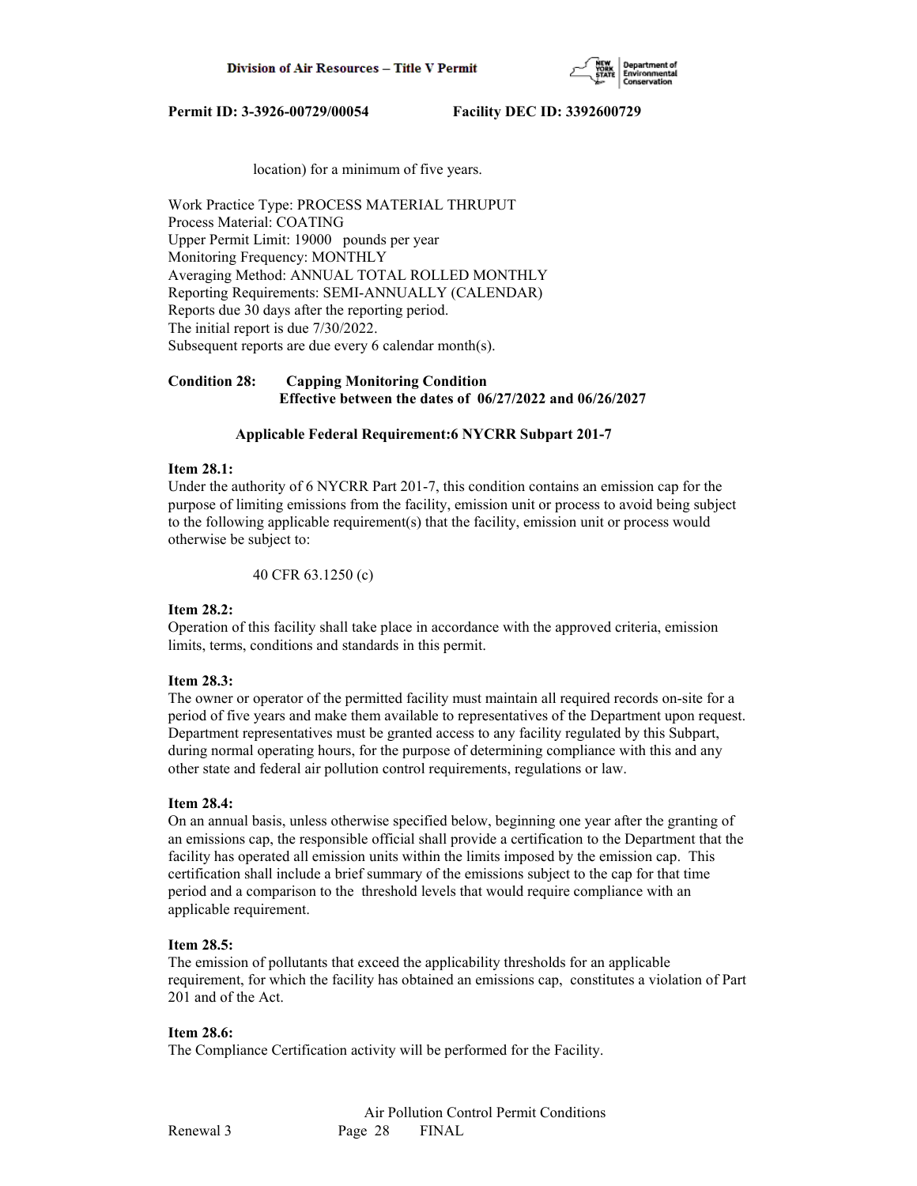

location) for a minimum of five years.

Work Practice Type: PROCESS MATERIAL THRUPUT Process Material: COATING Upper Permit Limit: 19000 pounds per year Monitoring Frequency: MONTHLY Averaging Method: ANNUAL TOTAL ROLLED MONTHLY Reporting Requirements: SEMI-ANNUALLY (CALENDAR) Reports due 30 days after the reporting period. The initial report is due 7/30/2022. Subsequent reports are due every 6 calendar month(s).

## **Condition 28: Capping Monitoring Condition Effective between the dates of 06/27/2022 and 06/26/2027**

#### **Applicable Federal Requirement:6 NYCRR Subpart 201-7**

#### **Item 28.1:**

Under the authority of 6 NYCRR Part 201-7, this condition contains an emission cap for the purpose of limiting emissions from the facility, emission unit or process to avoid being subject to the following applicable requirement(s) that the facility, emission unit or process would otherwise be subject to:

40 CFR 63.1250 (c)

## **Item 28.2:**

Operation of this facility shall take place in accordance with the approved criteria, emission limits, terms, conditions and standards in this permit.

#### **Item 28.3:**

The owner or operator of the permitted facility must maintain all required records on-site for a period of five years and make them available to representatives of the Department upon request. Department representatives must be granted access to any facility regulated by this Subpart, during normal operating hours, for the purpose of determining compliance with this and any other state and federal air pollution control requirements, regulations or law.

#### **Item 28.4:**

On an annual basis, unless otherwise specified below, beginning one year after the granting of an emissions cap, the responsible official shall provide a certification to the Department that the facility has operated all emission units within the limits imposed by the emission cap. This certification shall include a brief summary of the emissions subject to the cap for that time period and a comparison to the threshold levels that would require compliance with an applicable requirement.

#### **Item 28.5:**

The emission of pollutants that exceed the applicability thresholds for an applicable requirement, for which the facility has obtained an emissions cap, constitutes a violation of Part 201 and of the Act.

#### **Item 28.6:**

The Compliance Certification activity will be performed for the Facility.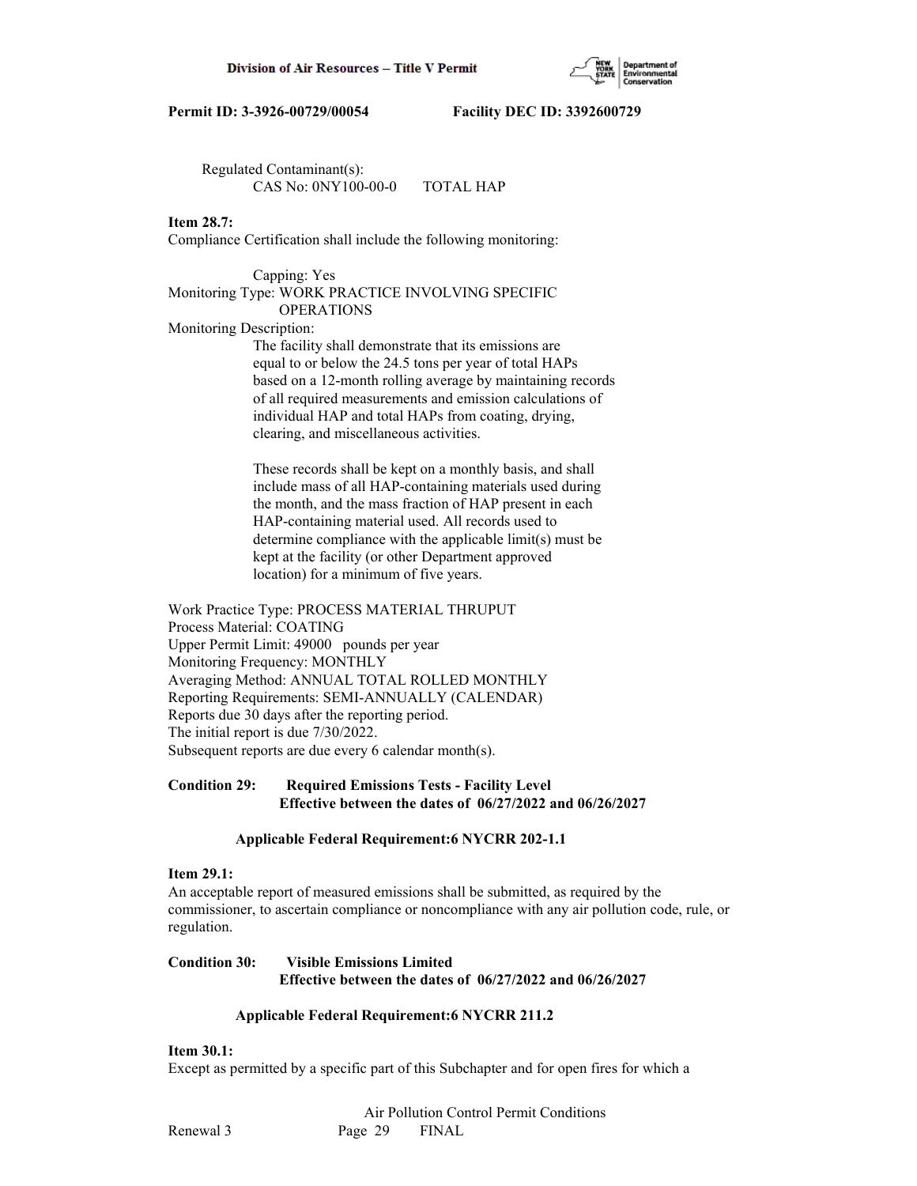

 Regulated Contaminant(s): CAS No: 0NY100-00-0 TOTAL HAP

## **Item 28.7:**

Compliance Certification shall include the following monitoring:

#### Capping: Yes

## Monitoring Type: WORK PRACTICE INVOLVING SPECIFIC OPERATIONS

Monitoring Description:

 The facility shall demonstrate that its emissions are equal to or below the 24.5 tons per year of total HAPs based on a 12-month rolling average by maintaining records of all required measurements and emission calculations of individual HAP and total HAPs from coating, drying, clearing, and miscellaneous activities.

 These records shall be kept on a monthly basis, and shall include mass of all HAP-containing materials used during the month, and the mass fraction of HAP present in each HAP-containing material used. All records used to determine compliance with the applicable limit(s) must be kept at the facility (or other Department approved location) for a minimum of five years.

Work Practice Type: PROCESS MATERIAL THRUPUT Process Material: COATING Upper Permit Limit: 49000 pounds per year Monitoring Frequency: MONTHLY Averaging Method: ANNUAL TOTAL ROLLED MONTHLY Reporting Requirements: SEMI-ANNUALLY (CALENDAR) Reports due 30 days after the reporting period. The initial report is due 7/30/2022. Subsequent reports are due every 6 calendar month(s).

## **Condition 29: Required Emissions Tests - Facility Level Effective between the dates of 06/27/2022 and 06/26/2027**

## **Applicable Federal Requirement:6 NYCRR 202-1.1**

## **Item 29.1:**

An acceptable report of measured emissions shall be submitted, as required by the commissioner, to ascertain compliance or noncompliance with any air pollution code, rule, or regulation.

## **Condition 30: Visible Emissions Limited Effective between the dates of 06/27/2022 and 06/26/2027**

## **Applicable Federal Requirement:6 NYCRR 211.2**

## **Item 30.1:**

Except as permitted by a specific part of this Subchapter and for open fires for which a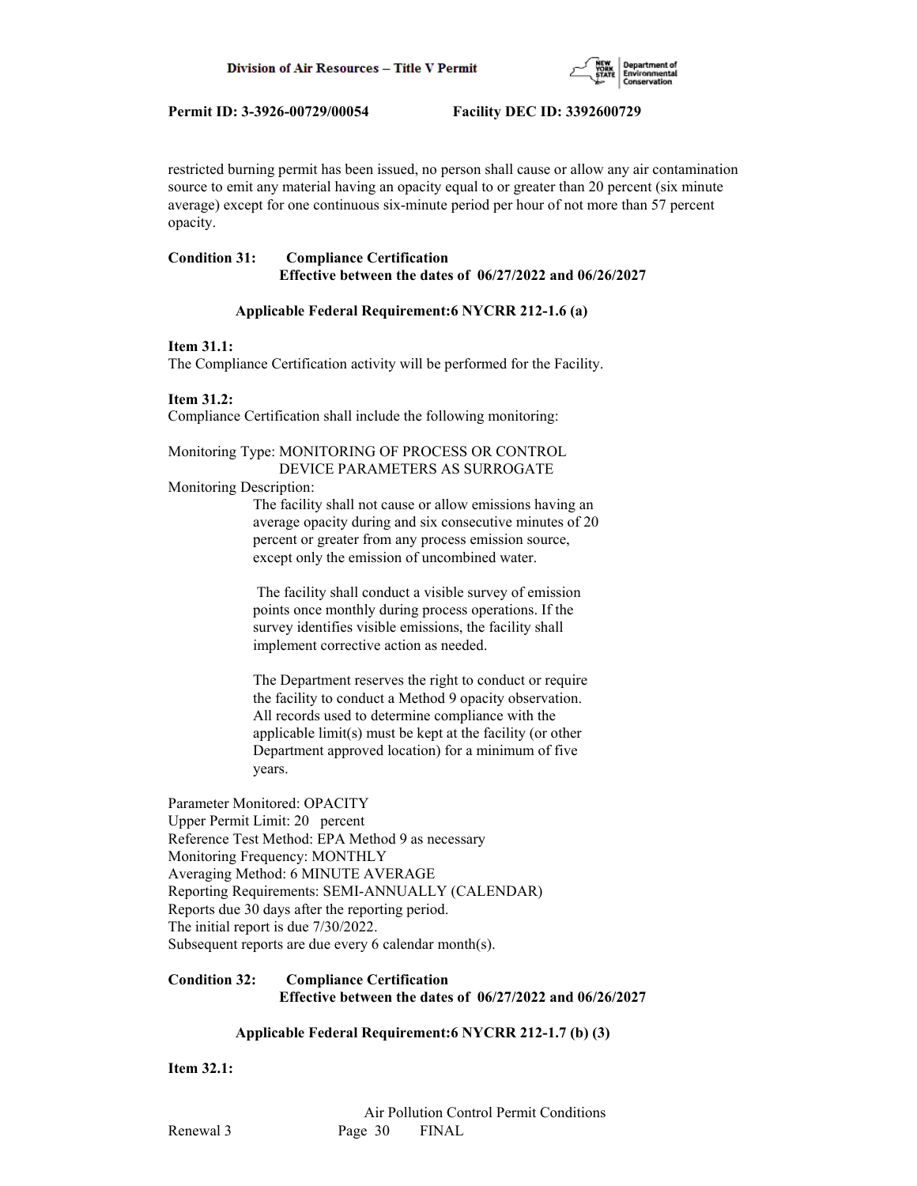

restricted burning permit has been issued, no person shall cause or allow any air contamination source to emit any material having an opacity equal to or greater than 20 percent (six minute average) except for one continuous six-minute period per hour of not more than 57 percent opacity.

## **Condition 31: Compliance Certification Effective between the dates of 06/27/2022 and 06/26/2027**

## **Applicable Federal Requirement:6 NYCRR 212-1.6 (a)**

#### **Item 31.1:**

The Compliance Certification activity will be performed for the Facility.

## **Item 31.2:**

Compliance Certification shall include the following monitoring:

#### Monitoring Type: MONITORING OF PROCESS OR CONTROL DEVICE PARAMETERS AS SURROGATE

Monitoring Description:

 The facility shall not cause or allow emissions having an average opacity during and six consecutive minutes of 20 percent or greater from any process emission source, except only the emission of uncombined water.

 The facility shall conduct a visible survey of emission points once monthly during process operations. If the survey identifies visible emissions, the facility shall implement corrective action as needed.

 The Department reserves the right to conduct or require the facility to conduct a Method 9 opacity observation. All records used to determine compliance with the applicable limit(s) must be kept at the facility (or other Department approved location) for a minimum of five years.

Parameter Monitored: OPACITY Upper Permit Limit: 20 percent Reference Test Method: EPA Method 9 as necessary Monitoring Frequency: MONTHLY Averaging Method: 6 MINUTE AVERAGE Reporting Requirements: SEMI-ANNUALLY (CALENDAR) Reports due 30 days after the reporting period. The initial report is due 7/30/2022. Subsequent reports are due every 6 calendar month(s).

## **Condition 32: Compliance Certification Effective between the dates of 06/27/2022 and 06/26/2027**

## **Applicable Federal Requirement:6 NYCRR 212-1.7 (b) (3)**

**Item 32.1:**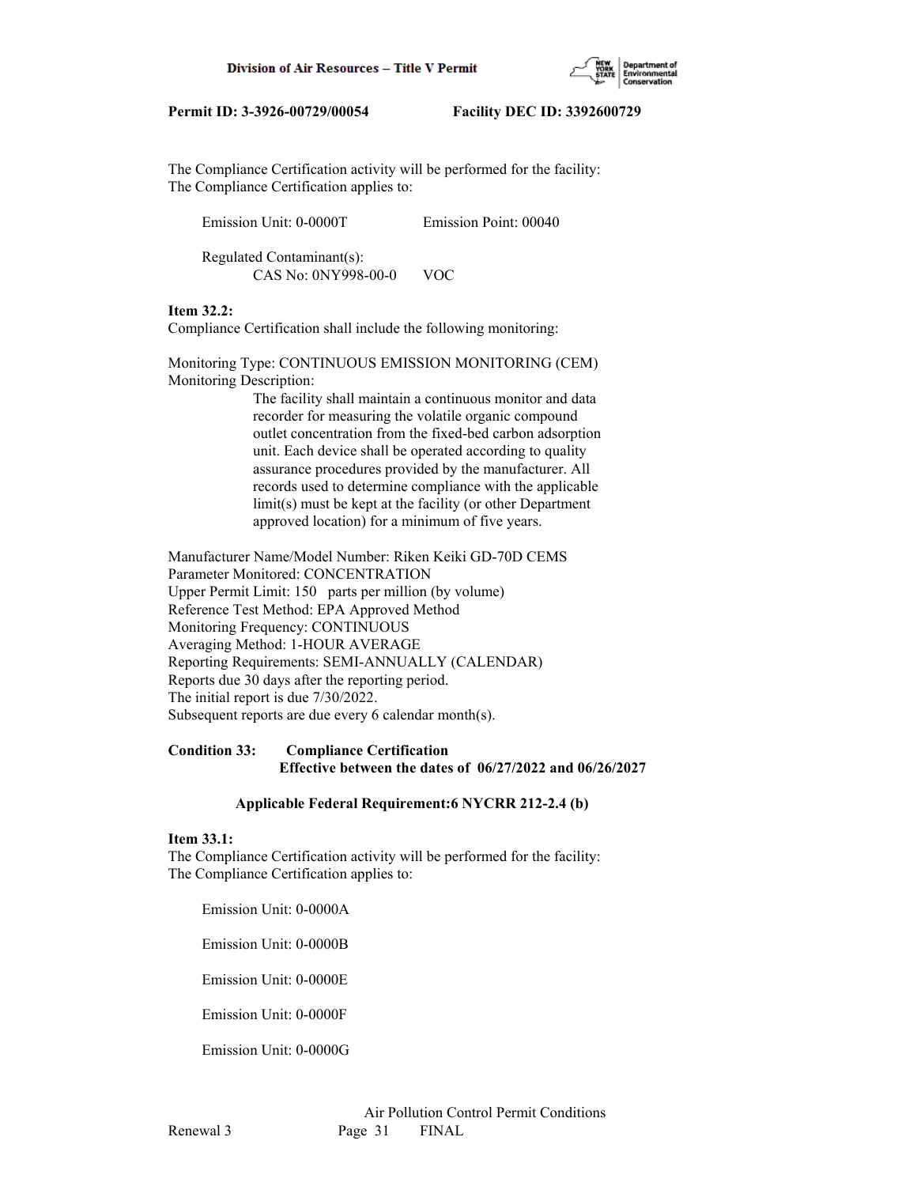

The Compliance Certification activity will be performed for the facility: The Compliance Certification applies to:

| Emission Unit: 0-0000T                           | Emission Point: 00040 |
|--------------------------------------------------|-----------------------|
| Regulated Contaminant(s):<br>CAS No: 0NY998-00-0 | VOC.                  |

## **Item 32.2:**

Compliance Certification shall include the following monitoring:

Monitoring Type: CONTINUOUS EMISSION MONITORING (CEM) Monitoring Description:

> The facility shall maintain a continuous monitor and data recorder for measuring the volatile organic compound outlet concentration from the fixed-bed carbon adsorption unit. Each device shall be operated according to quality assurance procedures provided by the manufacturer. All records used to determine compliance with the applicable limit(s) must be kept at the facility (or other Department approved location) for a minimum of five years.

Manufacturer Name/Model Number: Riken Keiki GD-70D CEMS Parameter Monitored: CONCENTRATION Upper Permit Limit: 150 parts per million (by volume) Reference Test Method: EPA Approved Method Monitoring Frequency: CONTINUOUS Averaging Method: 1-HOUR AVERAGE Reporting Requirements: SEMI-ANNUALLY (CALENDAR) Reports due 30 days after the reporting period. The initial report is due 7/30/2022. Subsequent reports are due every 6 calendar month(s).

## **Condition 33: Compliance Certification Effective between the dates of 06/27/2022 and 06/26/2027**

## **Applicable Federal Requirement:6 NYCRR 212-2.4 (b)**

## **Item 33.1:**

The Compliance Certification activity will be performed for the facility: The Compliance Certification applies to:

Emission Unit: 0-0000A

Emission Unit: 0-0000B

Emission Unit: 0-0000E

Emission Unit: 0-0000F

Emission Unit: 0-0000G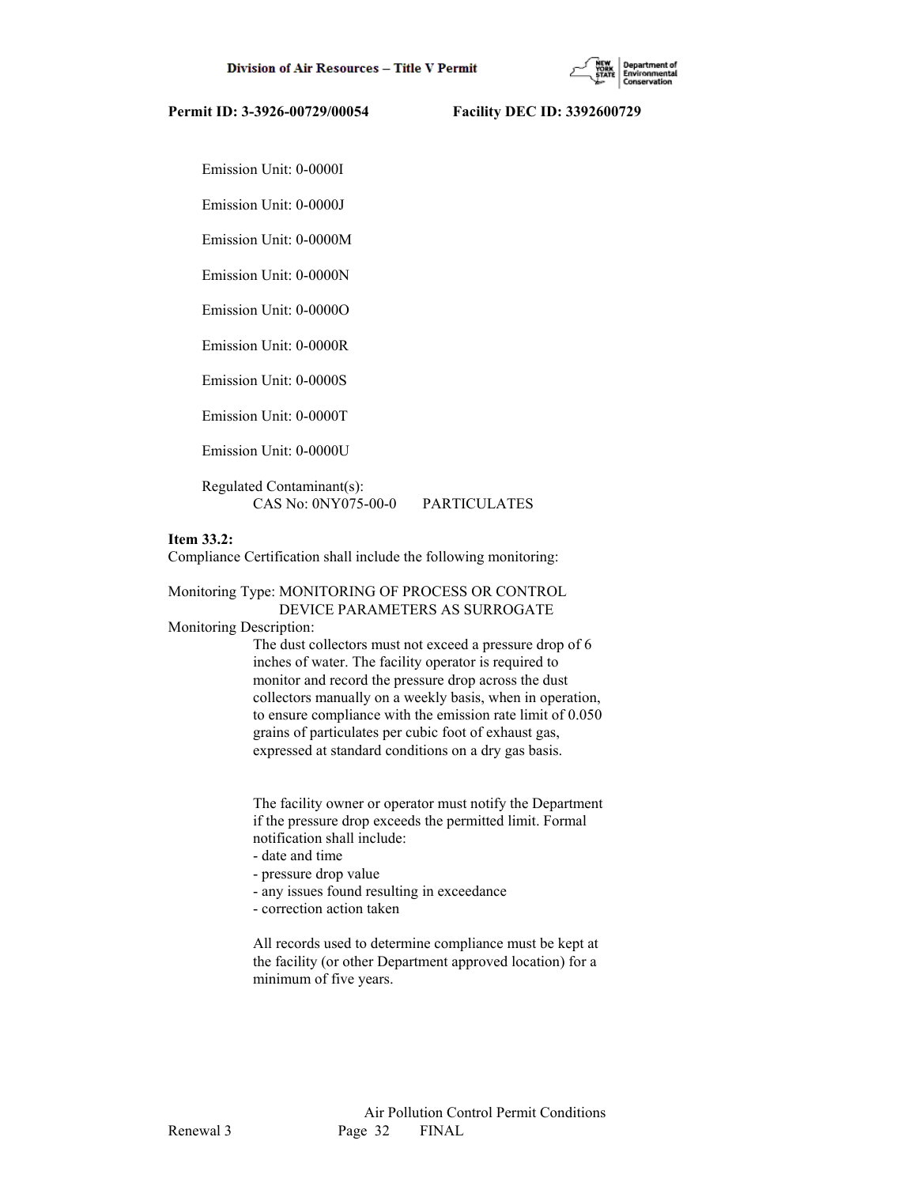

Emission Unit: 0-0000I

Emission Unit: 0-0000J

Emission Unit: 0-0000M

Emission Unit: 0-0000N

Emission Unit: 0-0000O

Emission Unit: 0-0000R

Emission Unit: 0-0000S

Emission Unit: 0-0000T

Emission Unit: 0-0000U

 Regulated Contaminant(s): CAS No: 0NY075-00-0 PARTICULATES

## **Item 33.2:**

Compliance Certification shall include the following monitoring:

## Monitoring Type: MONITORING OF PROCESS OR CONTROL DEVICE PARAMETERS AS SURROGATE

Monitoring Description:

 The dust collectors must not exceed a pressure drop of 6 inches of water. The facility operator is required to monitor and record the pressure drop across the dust collectors manually on a weekly basis, when in operation, to ensure compliance with the emission rate limit of 0.050 grains of particulates per cubic foot of exhaust gas, expressed at standard conditions on a dry gas basis.

 The facility owner or operator must notify the Department if the pressure drop exceeds the permitted limit. Formal notification shall include:

- date and time
- pressure drop value
- any issues found resulting in exceedance
- correction action taken

 All records used to determine compliance must be kept at the facility (or other Department approved location) for a minimum of five years.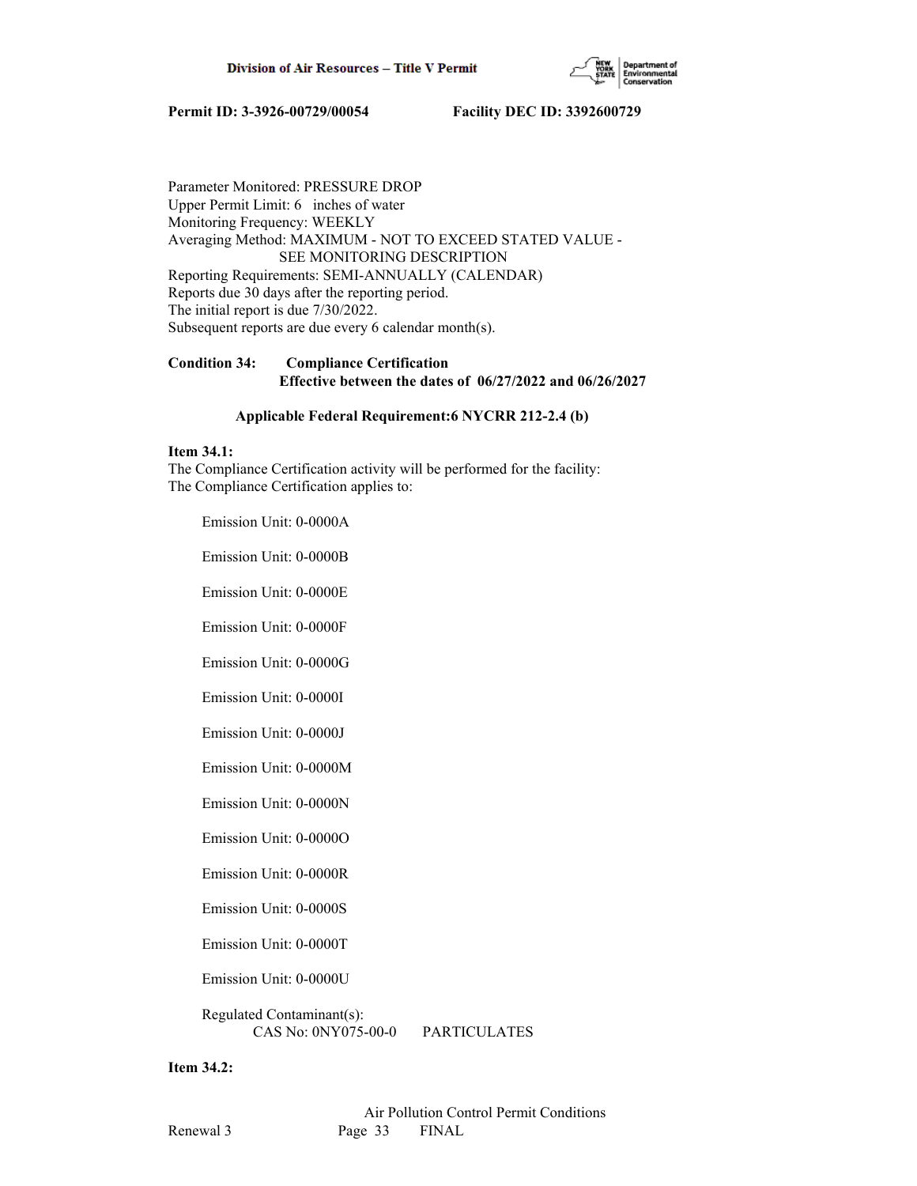

Parameter Monitored: PRESSURE DROP Upper Permit Limit: 6 inches of water Monitoring Frequency: WEEKLY Averaging Method: MAXIMUM - NOT TO EXCEED STATED VALUE - SEE MONITORING DESCRIPTION Reporting Requirements: SEMI-ANNUALLY (CALENDAR) Reports due 30 days after the reporting period. The initial report is due 7/30/2022. Subsequent reports are due every 6 calendar month(s).

## **Condition 34: Compliance Certification Effective between the dates of 06/27/2022 and 06/26/2027**

#### **Applicable Federal Requirement:6 NYCRR 212-2.4 (b)**

## **Item 34.1:**

The Compliance Certification activity will be performed for the facility: The Compliance Certification applies to:

Emission Unit: 0-0000A

Emission Unit: 0-0000B

Emission Unit: 0-0000E

Emission Unit: 0-0000F

Emission Unit: 0-0000G

Emission Unit: 0-0000I

Emission Unit: 0-0000J

Emission Unit: 0-0000M

Emission Unit: 0-0000N

Emission Unit: 0-0000O

Emission Unit: 0-0000R

Emission Unit: 0-0000S

Emission Unit: 0-0000T

Emission Unit: 0-0000U

 Regulated Contaminant(s): CAS No: 0NY075-00-0 PARTICULATES

**Item 34.2:**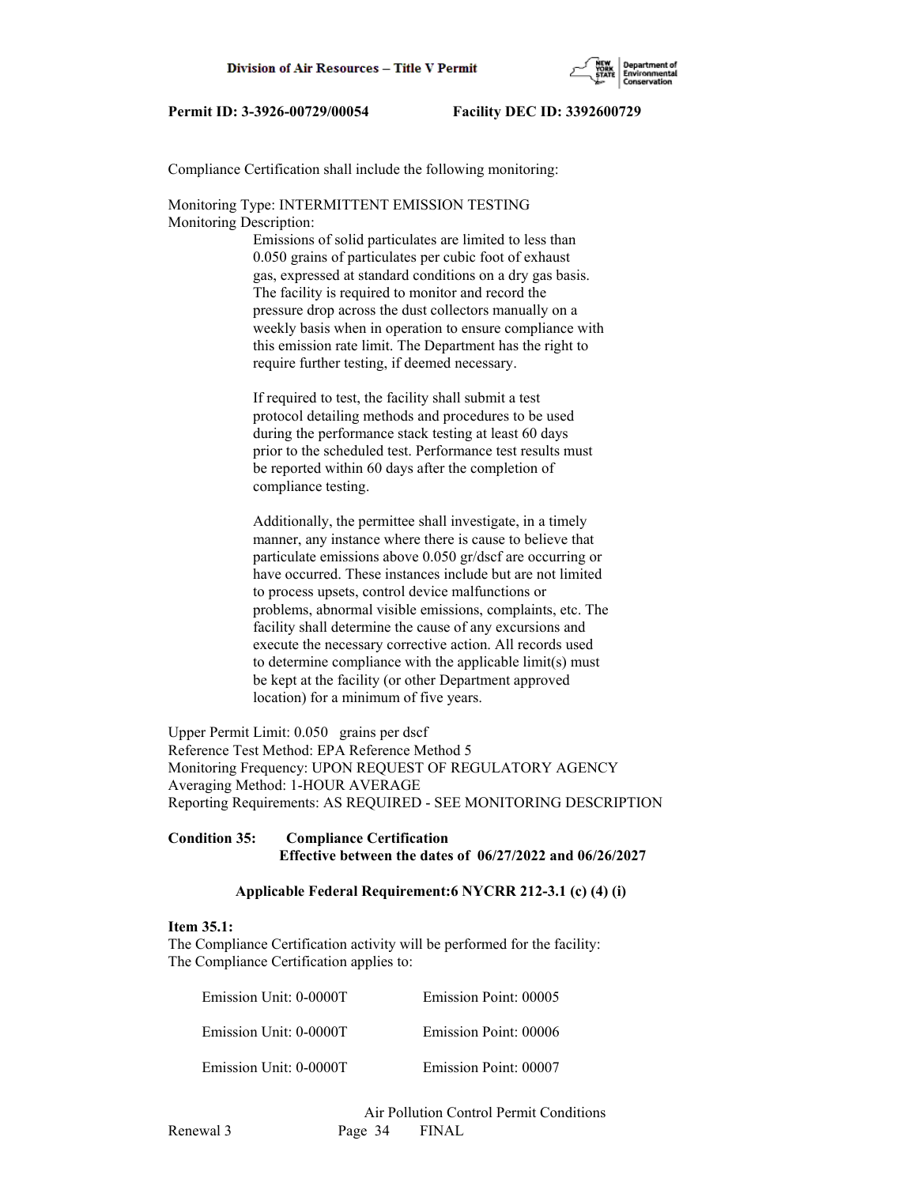

Compliance Certification shall include the following monitoring:

Monitoring Type: INTERMITTENT EMISSION TESTING Monitoring Description:

> Emissions of solid particulates are limited to less than 0.050 grains of particulates per cubic foot of exhaust gas, expressed at standard conditions on a dry gas basis. The facility is required to monitor and record the pressure drop across the dust collectors manually on a weekly basis when in operation to ensure compliance with this emission rate limit. The Department has the right to require further testing, if deemed necessary.

 If required to test, the facility shall submit a test protocol detailing methods and procedures to be used during the performance stack testing at least 60 days prior to the scheduled test. Performance test results must be reported within 60 days after the completion of compliance testing.

 Additionally, the permittee shall investigate, in a timely manner, any instance where there is cause to believe that particulate emissions above 0.050 gr/dscf are occurring or have occurred. These instances include but are not limited to process upsets, control device malfunctions or problems, abnormal visible emissions, complaints, etc. The facility shall determine the cause of any excursions and execute the necessary corrective action. All records used to determine compliance with the applicable limit(s) must be kept at the facility (or other Department approved location) for a minimum of five years.

Upper Permit Limit: 0.050 grains per dscf Reference Test Method: EPA Reference Method 5 Monitoring Frequency: UPON REQUEST OF REGULATORY AGENCY Averaging Method: 1-HOUR AVERAGE Reporting Requirements: AS REQUIRED - SEE MONITORING DESCRIPTION

## **Condition 35: Compliance Certification Effective between the dates of 06/27/2022 and 06/26/2027**

## **Applicable Federal Requirement:6 NYCRR 212-3.1 (c) (4) (i)**

#### **Item 35.1:**

The Compliance Certification activity will be performed for the facility: The Compliance Certification applies to:

| Emission Point: 00005 | Emission Unit: 0-0000T |
|-----------------------|------------------------|
| Emission Point: 00006 | Emission Unit: 0-0000T |
| Emission Point: 00007 | Emission Unit: 0-0000T |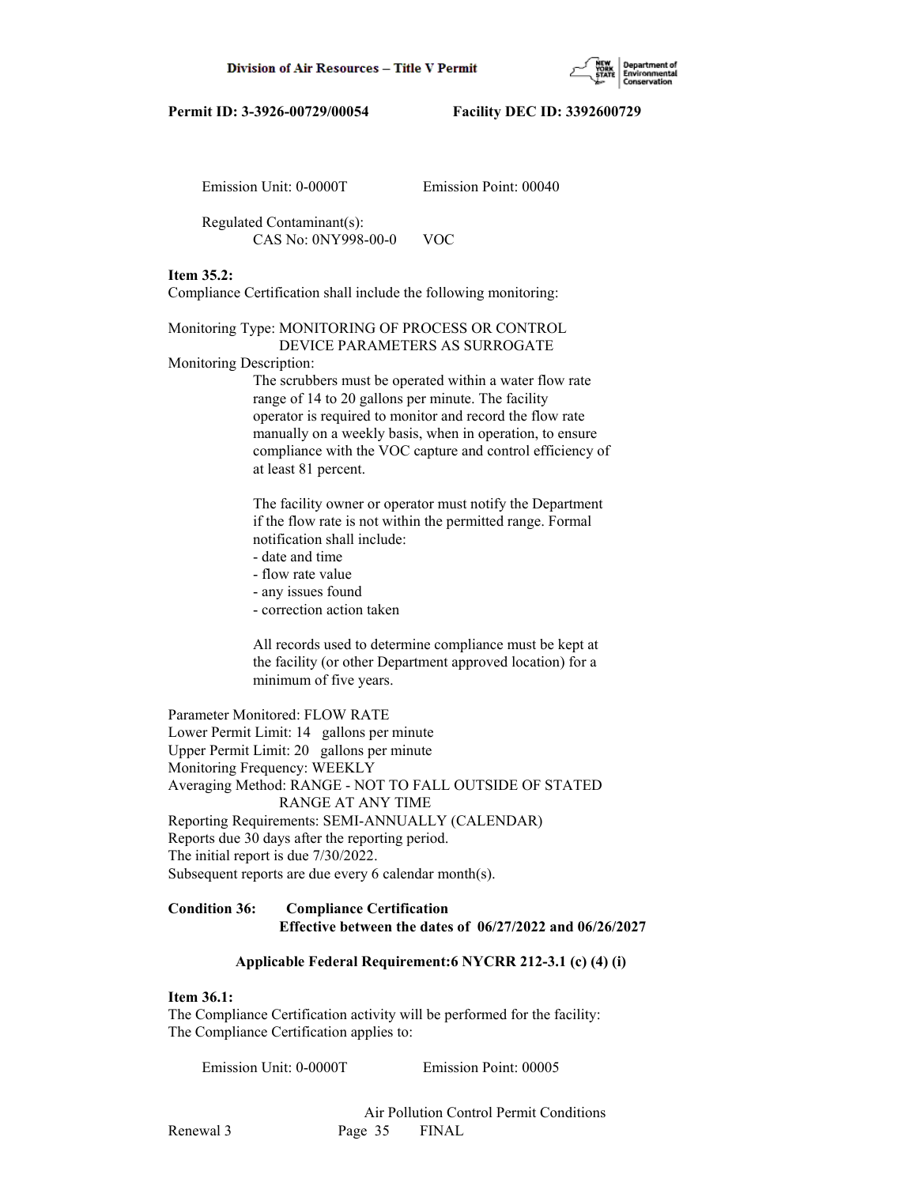

Emission Unit: 0-0000T Emission Point: 00040

 Regulated Contaminant(s): CAS No: 0NY998-00-0 VOC

## **Item 35.2:**

Compliance Certification shall include the following monitoring:

## Monitoring Type: MONITORING OF PROCESS OR CONTROL

DEVICE PARAMETERS AS SURROGATE

Monitoring Description:

 The scrubbers must be operated within a water flow rate range of 14 to 20 gallons per minute. The facility operator is required to monitor and record the flow rate manually on a weekly basis, when in operation, to ensure compliance with the VOC capture and control efficiency of at least 81 percent.

 The facility owner or operator must notify the Department if the flow rate is not within the permitted range. Formal notification shall include:

- date and time
- flow rate value
- any issues found
- correction action taken

 All records used to determine compliance must be kept at the facility (or other Department approved location) for a minimum of five years.

Parameter Monitored: FLOW RATE Lower Permit Limit: 14 gallons per minute Upper Permit Limit: 20 gallons per minute Monitoring Frequency: WEEKLY Averaging Method: RANGE - NOT TO FALL OUTSIDE OF STATED RANGE AT ANY TIME Reporting Requirements: SEMI-ANNUALLY (CALENDAR) Reports due 30 days after the reporting period. The initial report is due 7/30/2022. Subsequent reports are due every 6 calendar month(s).

# **Condition 36: Compliance Certification**

## **Effective between the dates of 06/27/2022 and 06/26/2027**

## **Applicable Federal Requirement:6 NYCRR 212-3.1 (c) (4) (i)**

## **Item 36.1:**

The Compliance Certification activity will be performed for the facility: The Compliance Certification applies to:

Emission Unit: 0-0000T Emission Point: 00005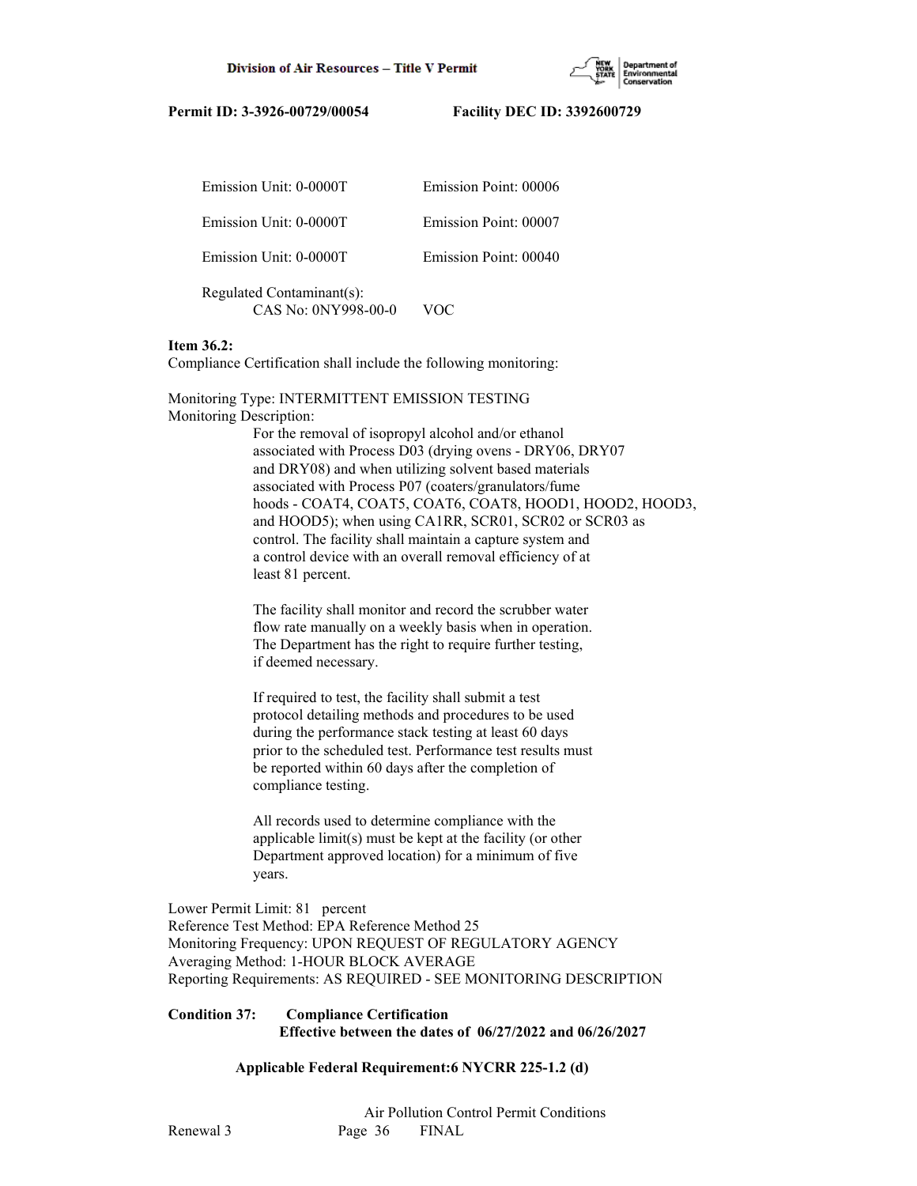

| Emission Unit: 0-0000T                           | Emission Point: 00006 |
|--------------------------------------------------|-----------------------|
| Emission Unit: 0-0000T                           | Emission Point: 00007 |
| Emission Unit: 0-0000T                           | Emission Point: 00040 |
| Regulated Contaminant(s):<br>CAS No: 0NY998-00-0 | റല                    |

## **Item 36.2:**

Compliance Certification shall include the following monitoring:

Monitoring Type: INTERMITTENT EMISSION TESTING Monitoring Description:

> For the removal of isopropyl alcohol and/or ethanol associated with Process D03 (drying ovens - DRY06, DRY07 and DRY08) and when utilizing solvent based materials associated with Process P07 (coaters/granulators/fume hoods - COAT4, COAT5, COAT6, COAT8, HOOD1, HOOD2, HOOD3, and HOOD5); when using CA1RR, SCR01, SCR02 or SCR03 as control. The facility shall maintain a capture system and a control device with an overall removal efficiency of at least 81 percent.

 The facility shall monitor and record the scrubber water flow rate manually on a weekly basis when in operation. The Department has the right to require further testing, if deemed necessary.

 If required to test, the facility shall submit a test protocol detailing methods and procedures to be used during the performance stack testing at least 60 days prior to the scheduled test. Performance test results must be reported within 60 days after the completion of compliance testing.

 All records used to determine compliance with the applicable limit(s) must be kept at the facility (or other Department approved location) for a minimum of five years.

Lower Permit Limit: 81 percent Reference Test Method: EPA Reference Method 25 Monitoring Frequency: UPON REQUEST OF REGULATORY AGENCY Averaging Method: 1-HOUR BLOCK AVERAGE Reporting Requirements: AS REQUIRED - SEE MONITORING DESCRIPTION

#### **Condition 37: Compliance Certification Effective between the dates of 06/27/2022 and 06/26/2027**

## **Applicable Federal Requirement:6 NYCRR 225-1.2 (d)**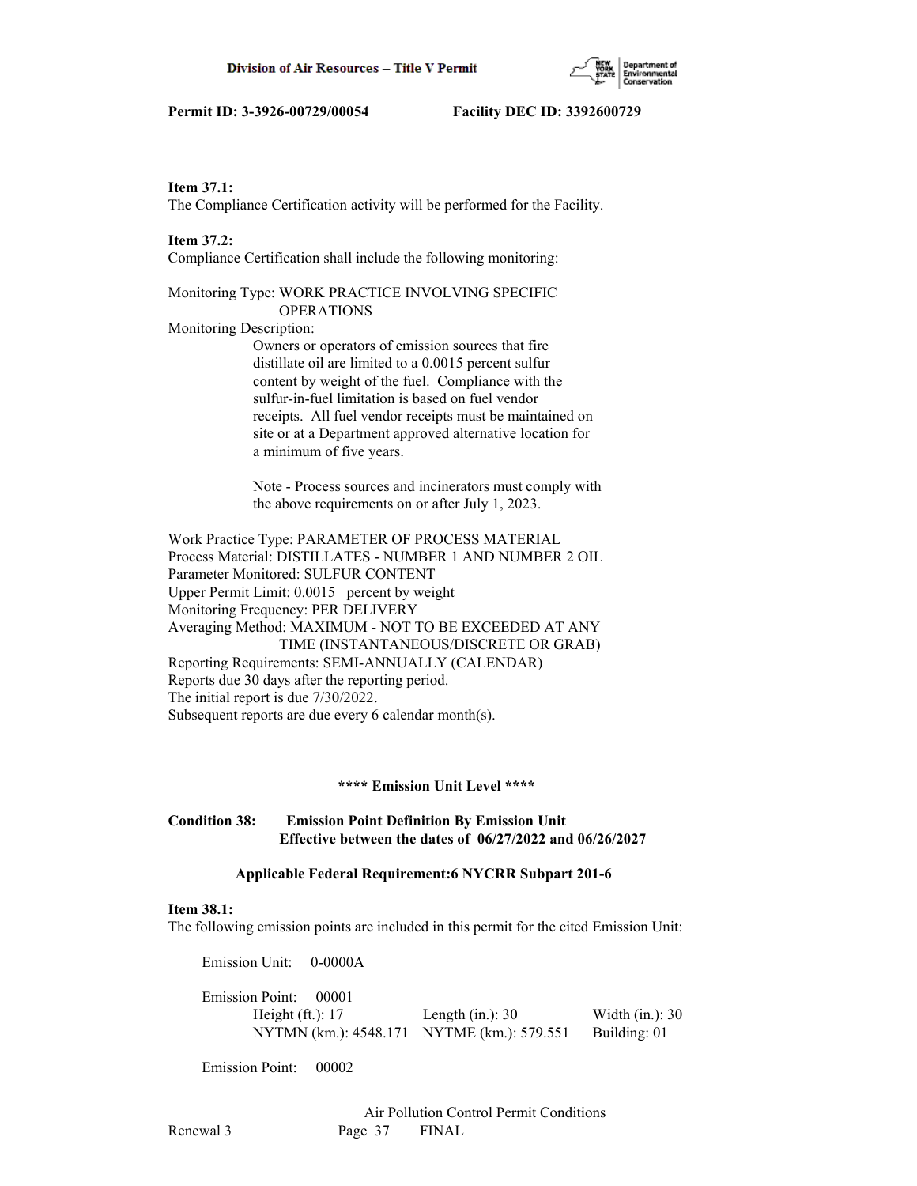#### **Item 37.1:**

The Compliance Certification activity will be performed for the Facility.

#### **Item 37.2:**

Compliance Certification shall include the following monitoring:

## Monitoring Type: WORK PRACTICE INVOLVING SPECIFIC OPERATIONS

Monitoring Description:

 Owners or operators of emission sources that fire distillate oil are limited to a 0.0015 percent sulfur content by weight of the fuel. Compliance with the sulfur-in-fuel limitation is based on fuel vendor receipts. All fuel vendor receipts must be maintained on site or at a Department approved alternative location for a minimum of five years.

 Note - Process sources and incinerators must comply with the above requirements on or after July 1, 2023.

Work Practice Type: PARAMETER OF PROCESS MATERIAL Process Material: DISTILLATES - NUMBER 1 AND NUMBER 2 OIL Parameter Monitored: SULFUR CONTENT Upper Permit Limit: 0.0015 percent by weight Monitoring Frequency: PER DELIVERY Averaging Method: MAXIMUM - NOT TO BE EXCEEDED AT ANY TIME (INSTANTANEOUS/DISCRETE OR GRAB) Reporting Requirements: SEMI-ANNUALLY (CALENDAR) Reports due 30 days after the reporting period. The initial report is due 7/30/2022. Subsequent reports are due every 6 calendar month(s).

## **\*\*\*\* Emission Unit Level \*\*\*\***

## **Condition 38: Emission Point Definition By Emission Unit Effective between the dates of 06/27/2022 and 06/26/2027**

## **Applicable Federal Requirement:6 NYCRR Subpart 201-6**

## **Item 38.1:**

The following emission points are included in this permit for the cited Emission Unit:

 Emission Unit: 0-0000A Emission Point: 00001 Height (ft.): 17 Length (in.): 30 Width (in.): 30 NYTMN (km.): 4548.171 NYTME (km.): 579.551 Building: 01

Emission Point: 00002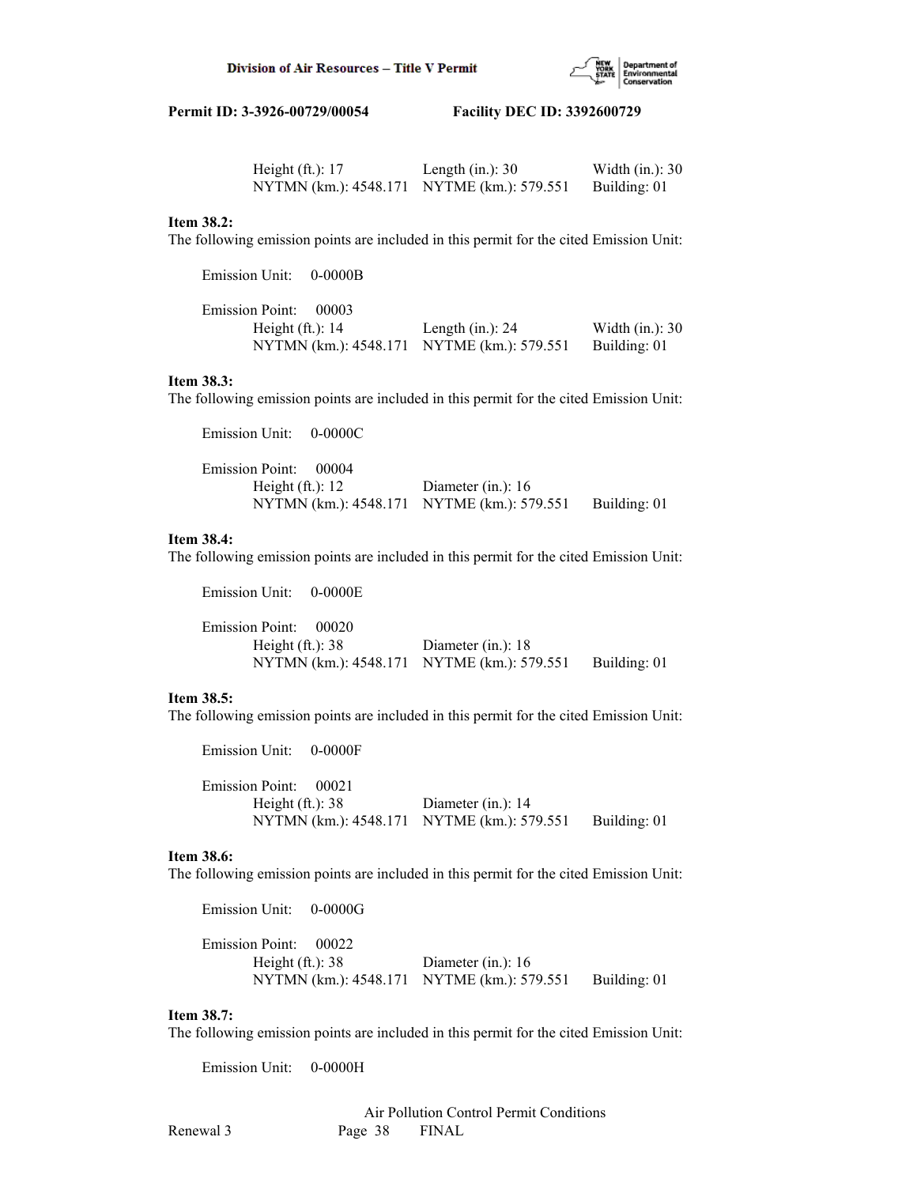

| Height $(ft.)$ : 17                        | Length $(in.)$ : 30 | Width $(in.)$ : 30 |
|--------------------------------------------|---------------------|--------------------|
| NYTMN (km.): 4548.171 NYTME (km.): 579.551 |                     | Building: 01       |

## **Item 38.2:**

The following emission points are included in this permit for the cited Emission Unit:

| Emission Unit: 0-0000B |       |                                            |                    |
|------------------------|-------|--------------------------------------------|--------------------|
| <b>Emission Point:</b> | 00003 |                                            |                    |
| Height $(ft.): 14$     |       | Length $(in.)$ : 24                        | Width $(in.)$ : 30 |
|                        |       | NYTMN (km.): 4548.171 NYTME (km.): 579.551 | Building: 01       |

## **Item 38.3:**

The following emission points are included in this permit for the cited Emission Unit:

| Emission Unit: 0-0000C                     |                      |              |
|--------------------------------------------|----------------------|--------------|
| Emission Point: 00004                      |                      |              |
| Height $(ft.): 12$                         | Diameter (in.): $16$ |              |
| NYTMN (km.): 4548.171 NYTME (km.): 579.551 |                      | Building: 01 |

#### **Item 38.4:**

The following emission points are included in this permit for the cited Emission Unit:

 Emission Unit: 0-0000E Emission Point: 00020 Height (ft.): 38 Diameter (in.): 18 NYTMN (km.): 4548.171 NYTME (km.): 579.551 Building: 01

#### **Item 38.5:**

The following emission points are included in this permit for the cited Emission Unit:

 Emission Point: 00021 Height (ft.): 38 Diameter (in.): 14 NYTMN (km.): 4548.171 NYTME (km.): 579.551 Building: 01

#### **Item 38.6:**

The following emission points are included in this permit for the cited Emission Unit:

 Emission Unit: 0-0000G Emission Point: 00022 Height (ft.): 38 Diameter (in.): 16 NYTMN (km.): 4548.171 NYTME (km.): 579.551 Building: 01

#### **Item 38.7:**

The following emission points are included in this permit for the cited Emission Unit:

Emission Unit: 0-0000H

Emission Unit: 0-0000F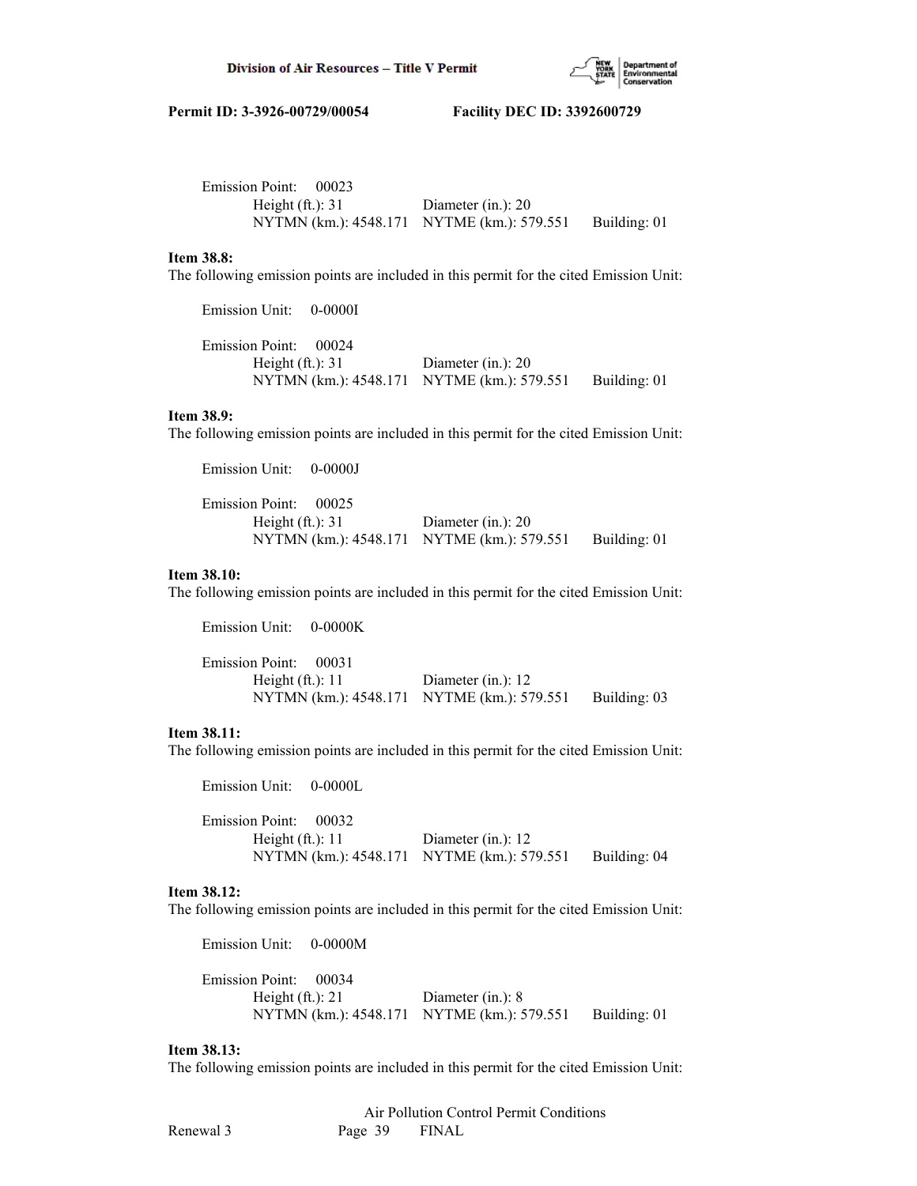

| Emission Point: 00023 |                                            |              |
|-----------------------|--------------------------------------------|--------------|
| Height $(ft.): 31$    | Diameter (in.): $20$                       |              |
|                       | NYTMN (km.): 4548.171 NYTME (km.): 579.551 | Building: 01 |

## **Item 38.8:**

The following emission points are included in this permit for the cited Emission Unit:

Emission Unit: 0-0000I

 Emission Point: 00024 Height (ft.): 31 Diameter (in.): 20 NYTMN (km.): 4548.171 NYTME (km.): 579.551 Building: 01

#### **Item 38.9:**

The following emission points are included in this permit for the cited Emission Unit:

 Emission Unit: 0-0000J Emission Point: 00025 Height (ft.): 31 Diameter (in.): 20 NYTMN (km.): 4548.171 NYTME (km.): 579.551 Building: 01

## **Item 38.10:**

The following emission points are included in this permit for the cited Emission Unit:

| $Emission$ Unit: $U-UUUV$ |                                            |              |
|---------------------------|--------------------------------------------|--------------|
| Emission Point: 00031     |                                            |              |
| Height $(ft.): 11$        | Diameter (in.): $12$                       |              |
|                           | NYTMN (km.): 4548.171 NYTME (km.): 579.551 | Building: 03 |
|                           |                                            |              |

## **Item 38.11:**

The following emission points are included in this permit for the cited Emission Unit:

Emission Unit: 0-0000L

 $E^{\dagger}$ : 0-0000 $K$ 

 Emission Point: 00032 Height (ft.): 11 Diameter (in.): 12 NYTMN (km.): 4548.171 NYTME (km.): 579.551 Building: 04

## **Item 38.12:**

The following emission points are included in this permit for the cited Emission Unit:

 Emission Unit: 0-0000M Emission Point: 00034 Height (ft.): 21 Diameter (in.): 8 NYTMN (km.): 4548.171 NYTME (km.): 579.551 Building: 01

#### **Item 38.13:**

The following emission points are included in this permit for the cited Emission Unit: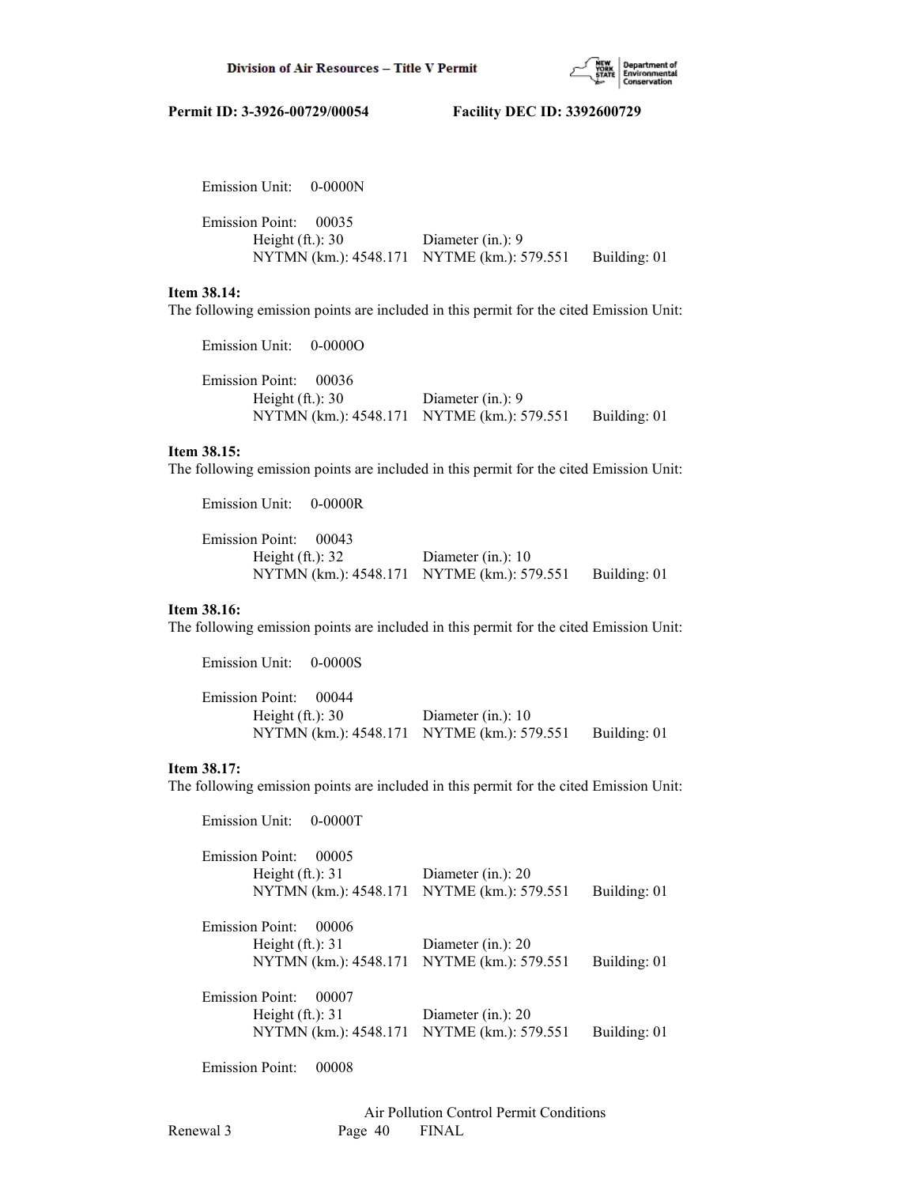

| Emission Unit: 0-0000N                       |                                                                    |              |
|----------------------------------------------|--------------------------------------------------------------------|--------------|
| Emission Point: 00035<br>Height $(ft.)$ : 30 | Diameter $(in.)$ : 9<br>NYTMN (km.): 4548.171 NYTME (km.): 579.551 | Building: 01 |

## **Item 38.14:**

The following emission points are included in this permit for the cited Emission Unit:

 Emission Point: 00036 Height (ft.): 30 Diameter (in.): 9 NYTMN (km.): 4548.171 NYTME (km.): 579.551 Building: 01

#### **Item 38.15:**

The following emission points are included in this permit for the cited Emission Unit:

Emission Unit: 0-0000R

Emission Unit: 0-0000O

| Emission Point: 00043                      |                       |              |
|--------------------------------------------|-----------------------|--------------|
| Height $(ft.)$ : 32                        | Diameter $(in.)$ : 10 |              |
| NYTMN (km.): 4548.171 NYTME (km.): 579.551 |                       | Building: 01 |

## **Item 38.16:**

The following emission points are included in this permit for the cited Emission Unit:

| Emission Unit: 0-0000S |                                            |              |
|------------------------|--------------------------------------------|--------------|
| Emission Point: 00044  |                                            |              |
| Height $(ft.): 30$     | Diameter $(in.)$ : 10                      |              |
|                        | NYTMN (km.): 4548.171 NYTME (km.): 579.551 | Building: 01 |

## **Item 38.17:**

The following emission points are included in this permit for the cited Emission Unit:

| <b>Emission Unit:</b><br>$0 - 0000T$ |                      |              |
|--------------------------------------|----------------------|--------------|
| <b>Emission Point:</b><br>00005      |                      |              |
| Height $(ft.)$ : 31                  | Diameter (in.): 20   |              |
| NYTMN (km.): 4548.171                | NYTME (km.): 579.551 | Building: 01 |
| Emission Point:<br>00006             |                      |              |
| Height $(ft.): 31$                   | Diameter (in.): $20$ |              |
| NYTMN (km.): 4548.171                | NYTME (km.): 579.551 | Building: 01 |
| <b>Emission Point:</b><br>00007      |                      |              |
| Height $(ft.)$ : 31                  | Diameter (in.): $20$ |              |
| NYTMN (km.): 4548.171                | NYTME (km.): 579.551 | Building: 01 |
|                                      |                      |              |

Emission Point: 00008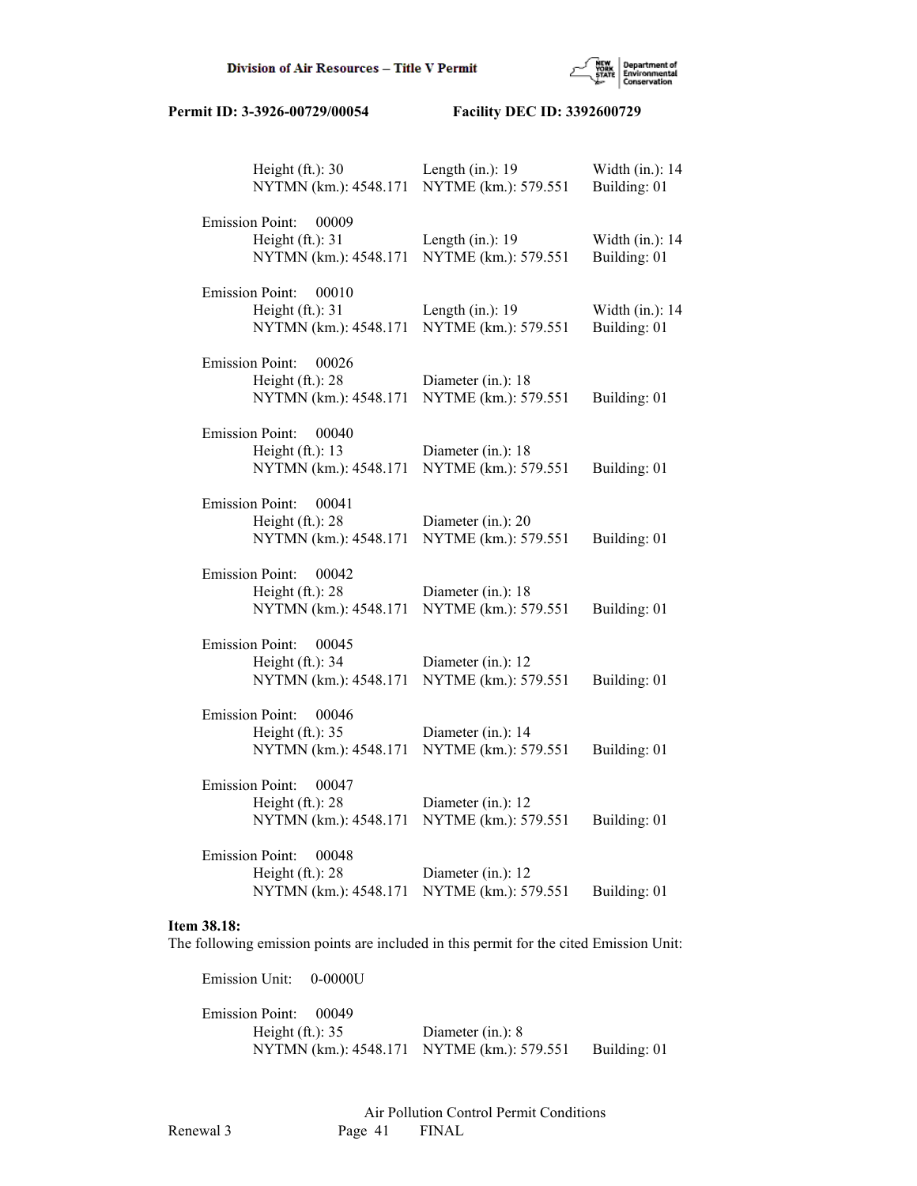

| Height $(ft.)$ : 30<br>NYTMN (km.): 4548.171                                    | Length $(in.)$ : 19<br>NYTME (km.): 579.551 | Width (in.): 14<br>Building: 01 |
|---------------------------------------------------------------------------------|---------------------------------------------|---------------------------------|
| <b>Emission Point:</b><br>00009<br>Height (ft.): 31<br>NYTMN (km.): 4548.171    | Length $(in.)$ : 19<br>NYTME (km.): 579.551 | Width (in.): 14<br>Building: 01 |
| <b>Emission Point:</b><br>00010<br>Height $(ft.): 31$<br>NYTMN (km.): 4548.171  | Length $(in.)$ : 19<br>NYTME (km.): 579.551 | Width (in.): 14<br>Building: 01 |
| <b>Emission Point:</b><br>00026<br>Height $(ft.)$ : 28<br>NYTMN (km.): 4548.171 | Diameter (in.): 18<br>NYTME (km.): 579.551  | Building: 01                    |
| <b>Emission Point:</b><br>00040<br>Height (ft.): 13<br>NYTMN (km.): 4548.171    | Diameter (in.): 18<br>NYTME (km.): 579.551  | Building: 01                    |
| <b>Emission Point:</b><br>00041<br>Height (ft.): 28<br>NYTMN (km.): 4548.171    | Diameter (in.): 20<br>NYTME (km.): 579.551  | Building: 01                    |
| <b>Emission Point:</b><br>00042<br>Height $(ft.)$ : 28<br>NYTMN (km.): 4548.171 | Diameter (in.): 18<br>NYTME (km.): 579.551  | Building: 01                    |
| <b>Emission Point:</b><br>00045<br>Height (ft.): 34<br>NYTMN (km.): 4548.171    | Diameter (in.): 12<br>NYTME (km.): 579.551  | Building: 01                    |
| <b>Emission Point:</b><br>00046<br>Height $(ft.)$ : 35<br>NYTMN (km.): 4548.171 | Diameter (in.): 14<br>NYTME (km.): 579.551  | Building: 01                    |
| <b>Emission Point:</b><br>00047<br>Height $(ft.)$ : 28<br>NYTMN (km.): 4548.171 | Diameter (in.): 12<br>NYTME (km.): 579.551  | Building: 01                    |
| <b>Emission Point:</b><br>00048<br>Height (ft.): 28<br>NYTMN (km.): 4548.171    | Diameter (in.): 12<br>NYTME (km.): 579.551  | Building: 01                    |

## **Item 38.18:**

The following emission points are included in this permit for the cited Emission Unit:

 Emission Unit: 0-0000U Emission Point: 00049 Height (ft.): 35 Diameter (in.): 8 NYTMN (km.): 4548.171 NYTME (km.): 579.551 Building: 01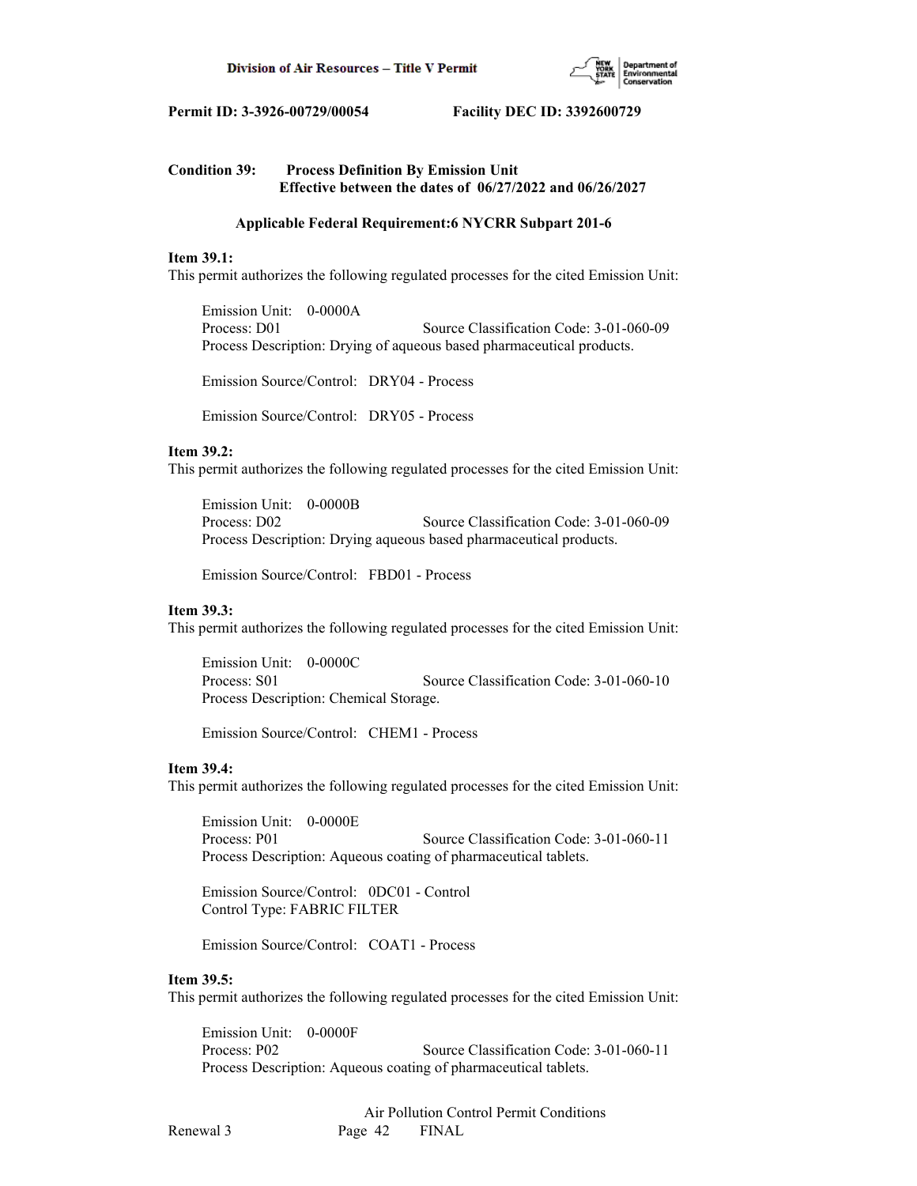

## **Condition 39: Process Definition By Emission Unit Effective between the dates of 06/27/2022 and 06/26/2027**

## **Applicable Federal Requirement:6 NYCRR Subpart 201-6**

## **Item 39.1:**

This permit authorizes the following regulated processes for the cited Emission Unit:

 Emission Unit: 0-0000A Process: D01 Source Classification Code: 3-01-060-09 Process Description: Drying of aqueous based pharmaceutical products.

Emission Source/Control: DRY04 - Process

Emission Source/Control: DRY05 - Process

## **Item 39.2:**

This permit authorizes the following regulated processes for the cited Emission Unit:

 Emission Unit: 0-0000B Process: D02 Source Classification Code: 3-01-060-09 Process Description: Drying aqueous based pharmaceutical products.

Emission Source/Control: FBD01 - Process

## **Item 39.3:**

This permit authorizes the following regulated processes for the cited Emission Unit:

 Emission Unit: 0-0000C Process: S01 Source Classification Code: 3-01-060-10 Process Description: Chemical Storage.

Emission Source/Control: CHEM1 - Process

## **Item 39.4:**

This permit authorizes the following regulated processes for the cited Emission Unit:

 Emission Unit: 0-0000E Process: P01 Source Classification Code: 3-01-060-11 Process Description: Aqueous coating of pharmaceutical tablets.

 Emission Source/Control: 0DC01 - Control Control Type: FABRIC FILTER

Emission Source/Control: COAT1 - Process

#### **Item 39.5:**

This permit authorizes the following regulated processes for the cited Emission Unit:

 Emission Unit: 0-0000F Process: P02 Source Classification Code: 3-01-060-11 Process Description: Aqueous coating of pharmaceutical tablets.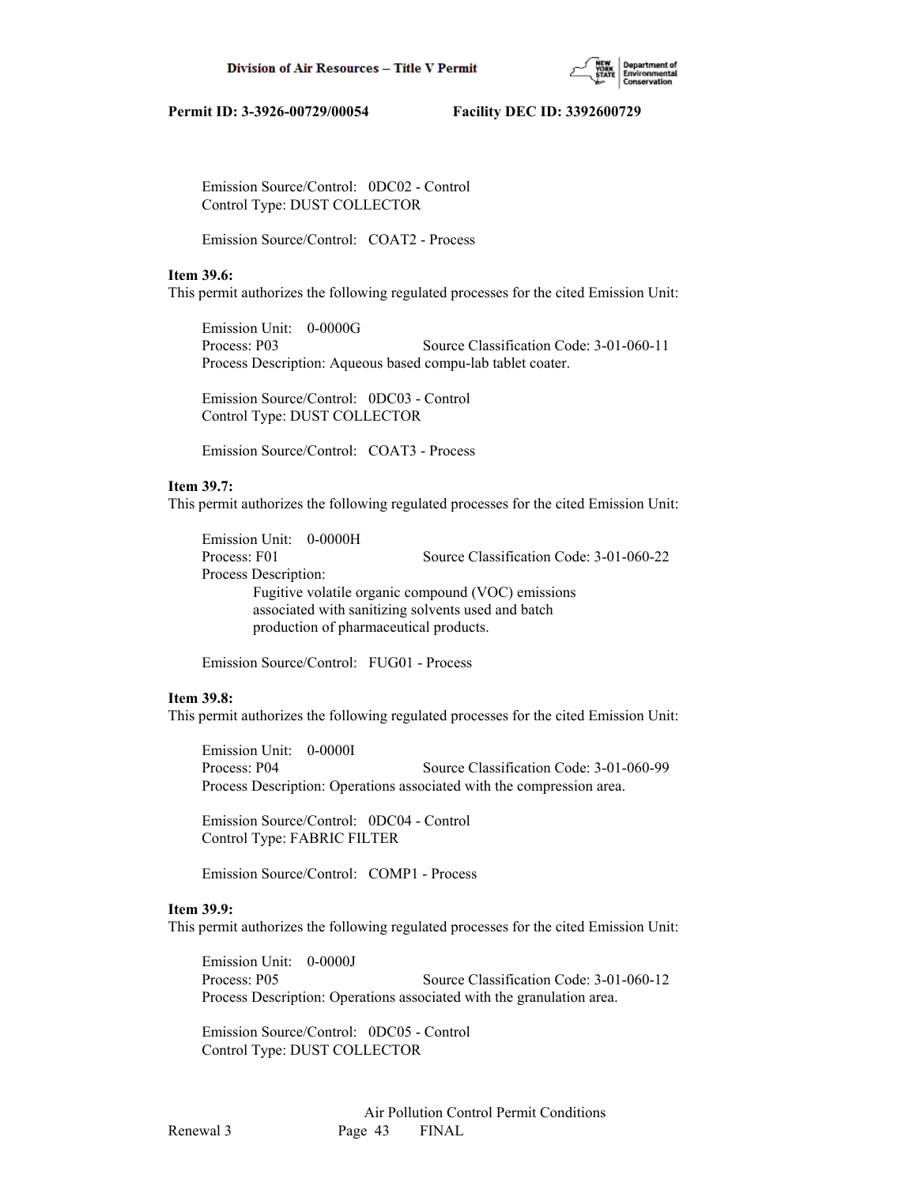

 Emission Source/Control: 0DC02 - Control Control Type: DUST COLLECTOR

Emission Source/Control: COAT2 - Process

#### **Item 39.6:**

This permit authorizes the following regulated processes for the cited Emission Unit:

 Emission Unit: 0-0000G Process: P03 Source Classification Code: 3-01-060-11 Process Description: Aqueous based compu-lab tablet coater.

 Emission Source/Control: 0DC03 - Control Control Type: DUST COLLECTOR

Emission Source/Control: COAT3 - Process

## **Item 39.7:**

This permit authorizes the following regulated processes for the cited Emission Unit:

 Emission Unit: 0-0000H Process: F01 Source Classification Code: 3-01-060-22 Process Description: Fugitive volatile organic compound (VOC) emissions associated with sanitizing solvents used and batch production of pharmaceutical products.

Emission Source/Control: FUG01 - Process

## **Item 39.8:**

This permit authorizes the following regulated processes for the cited Emission Unit:

 Emission Unit: 0-0000I Process: P04 Source Classification Code: 3-01-060-99 Process Description: Operations associated with the compression area.

 Emission Source/Control: 0DC04 - Control Control Type: FABRIC FILTER

Emission Source/Control: COMP1 - Process

#### **Item 39.9:**

This permit authorizes the following regulated processes for the cited Emission Unit:

 Emission Unit: 0-0000J Process: P05 Source Classification Code: 3-01-060-12 Process Description: Operations associated with the granulation area.

 Emission Source/Control: 0DC05 - Control Control Type: DUST COLLECTOR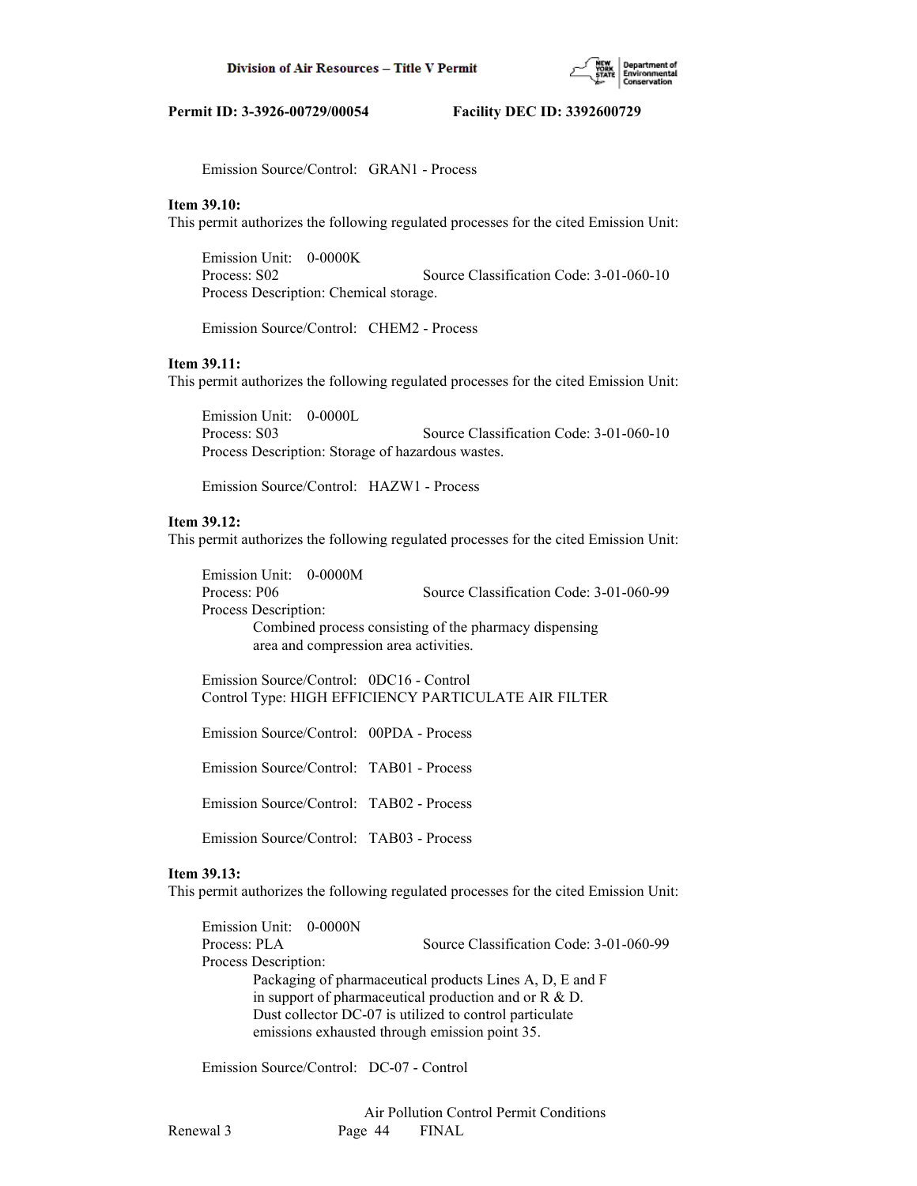

Emission Source/Control: GRAN1 - Process

#### **Item 39.10:**

This permit authorizes the following regulated processes for the cited Emission Unit:

 Emission Unit: 0-0000K Process: S02 Source Classification Code: 3-01-060-10 Process Description: Chemical storage.

Emission Source/Control: CHEM2 - Process

#### **Item 39.11:**

This permit authorizes the following regulated processes for the cited Emission Unit:

 Emission Unit: 0-0000L Process: S03 Source Classification Code: 3-01-060-10 Process Description: Storage of hazardous wastes.

Emission Source/Control: HAZW1 - Process

## **Item 39.12:**

This permit authorizes the following regulated processes for the cited Emission Unit:

 Emission Unit: 0-0000M Process: P06 Source Classification Code: 3-01-060-99 Process Description: Combined process consisting of the pharmacy dispensing area and compression area activities.

 Emission Source/Control: 0DC16 - Control Control Type: HIGH EFFICIENCY PARTICULATE AIR FILTER

Emission Source/Control: 00PDA - Process

Emission Source/Control: TAB01 - Process

Emission Source/Control: TAB02 - Process

Emission Source/Control: TAB03 - Process

## **Item 39.13:**

This permit authorizes the following regulated processes for the cited Emission Unit:

 Emission Unit: 0-0000N Process: PLA Source Classification Code: 3-01-060-99 Process Description: Packaging of pharmaceutical products Lines A, D, E and F in support of pharmaceutical production and or  $R \& D$ . Dust collector DC-07 is utilized to control particulate emissions exhausted through emission point 35.

Emission Source/Control: DC-07 - Control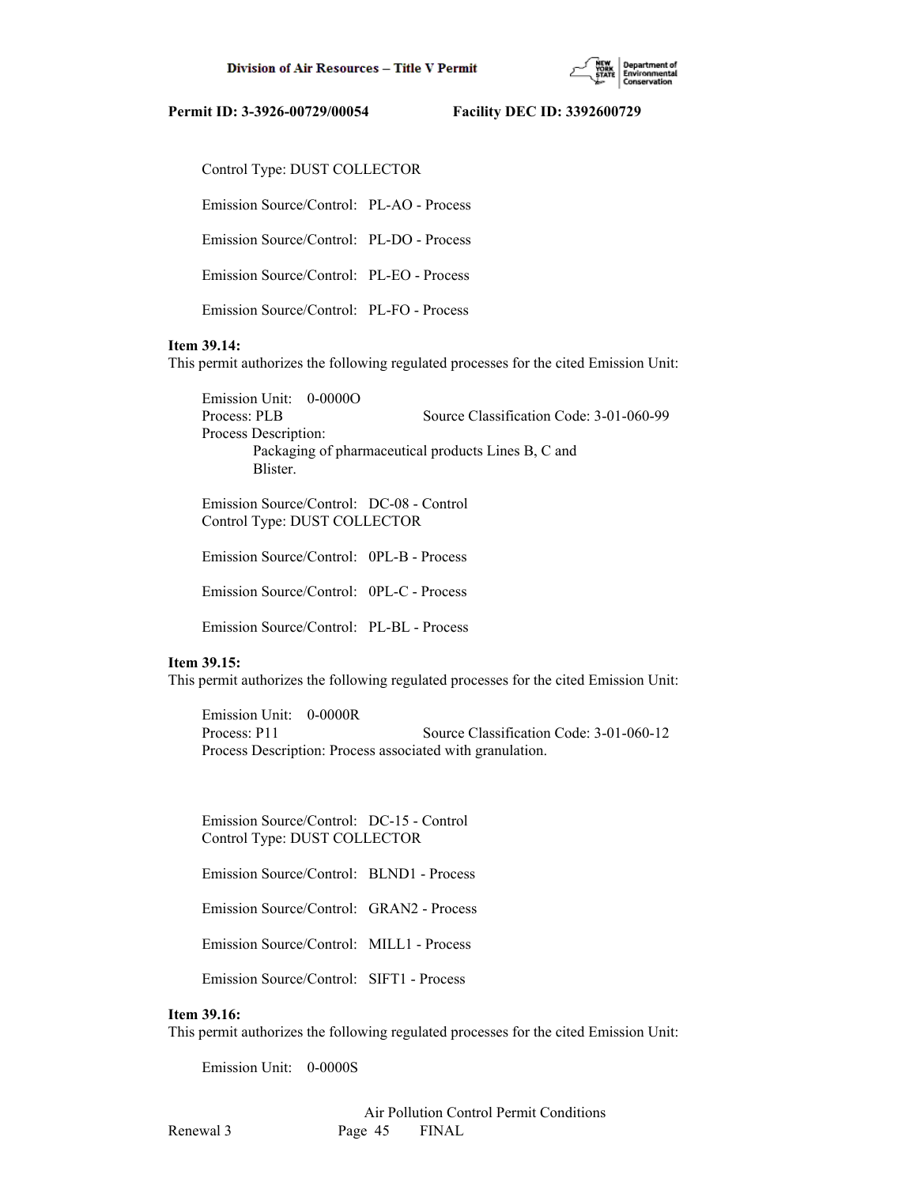

Control Type: DUST COLLECTOR

Emission Source/Control: PL-AO - Process

Emission Source/Control: PL-DO - Process

Emission Source/Control: PL-EO - Process

Emission Source/Control: PL-FO - Process

## **Item 39.14:**

This permit authorizes the following regulated processes for the cited Emission Unit:

 Emission Unit: 0-0000O Process: PLB Source Classification Code: 3-01-060-99 Process Description: Packaging of pharmaceutical products Lines B, C and Blister.

 Emission Source/Control: DC-08 - Control Control Type: DUST COLLECTOR

Emission Source/Control: 0PL-B - Process

Emission Source/Control: 0PL-C - Process

Emission Source/Control: PL-BL - Process

## **Item 39.15:**

This permit authorizes the following regulated processes for the cited Emission Unit:

 Emission Unit: 0-0000R Process: P11 Source Classification Code: 3-01-060-12 Process Description: Process associated with granulation.

 Emission Source/Control: DC-15 - Control Control Type: DUST COLLECTOR

Emission Source/Control: BLND1 - Process

Emission Source/Control: GRAN2 - Process

Emission Source/Control: MILL1 - Process

Emission Source/Control: SIFT1 - Process

#### **Item 39.16:**

This permit authorizes the following regulated processes for the cited Emission Unit:

Emission Unit: 0-0000S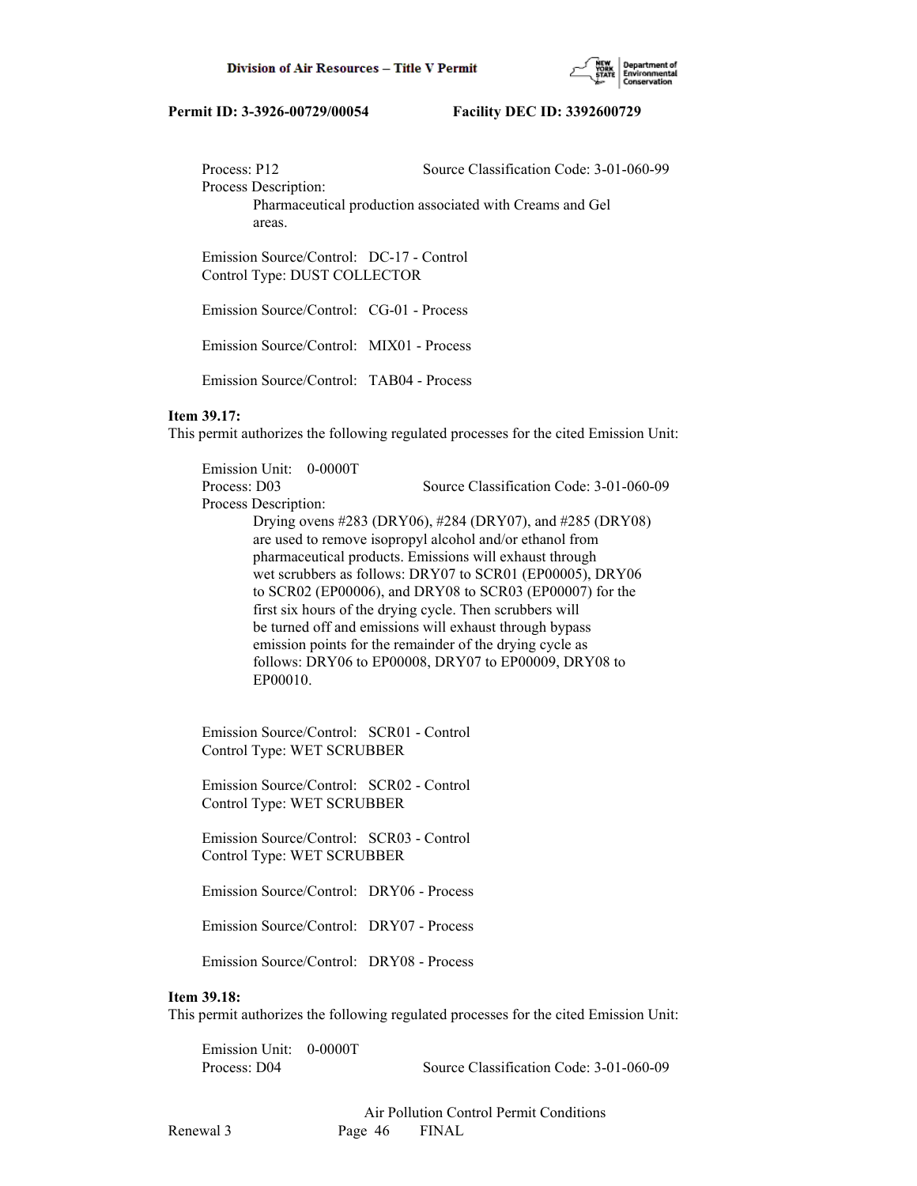

Process: P12 Source Classification Code: 3-01-060-99

Process Description:

 Pharmaceutical production associated with Creams and Gel areas.

 Emission Source/Control: DC-17 - Control Control Type: DUST COLLECTOR

Emission Source/Control: CG-01 - Process

Emission Source/Control: MIX01 - Process

Emission Source/Control: TAB04 - Process

## **Item 39.17:**

This permit authorizes the following regulated processes for the cited Emission Unit:

 Emission Unit: 0-0000T Process: D03 Source Classification Code: 3-01-060-09 Process Description: Drying ovens #283 (DRY06), #284 (DRY07), and #285 (DRY08) are used to remove isopropyl alcohol and/or ethanol from pharmaceutical products. Emissions will exhaust through wet scrubbers as follows: DRY07 to SCR01 (EP00005), DRY06 to SCR02 (EP00006), and DRY08 to SCR03 (EP00007) for the first six hours of the drying cycle. Then scrubbers will be turned off and emissions will exhaust through bypass emission points for the remainder of the drying cycle as follows: DRY06 to EP00008, DRY07 to EP00009, DRY08 to EP00010.

 Emission Source/Control: SCR01 - Control Control Type: WET SCRUBBER

 Emission Source/Control: SCR02 - Control Control Type: WET SCRUBBER

 Emission Source/Control: SCR03 - Control Control Type: WET SCRUBBER

Emission Source/Control: DRY06 - Process

Emission Source/Control: DRY07 - Process

Emission Source/Control: DRY08 - Process

## **Item 39.18:**

This permit authorizes the following regulated processes for the cited Emission Unit:

 Emission Unit: 0-0000T Process: D04 Source Classification Code: 3-01-060-09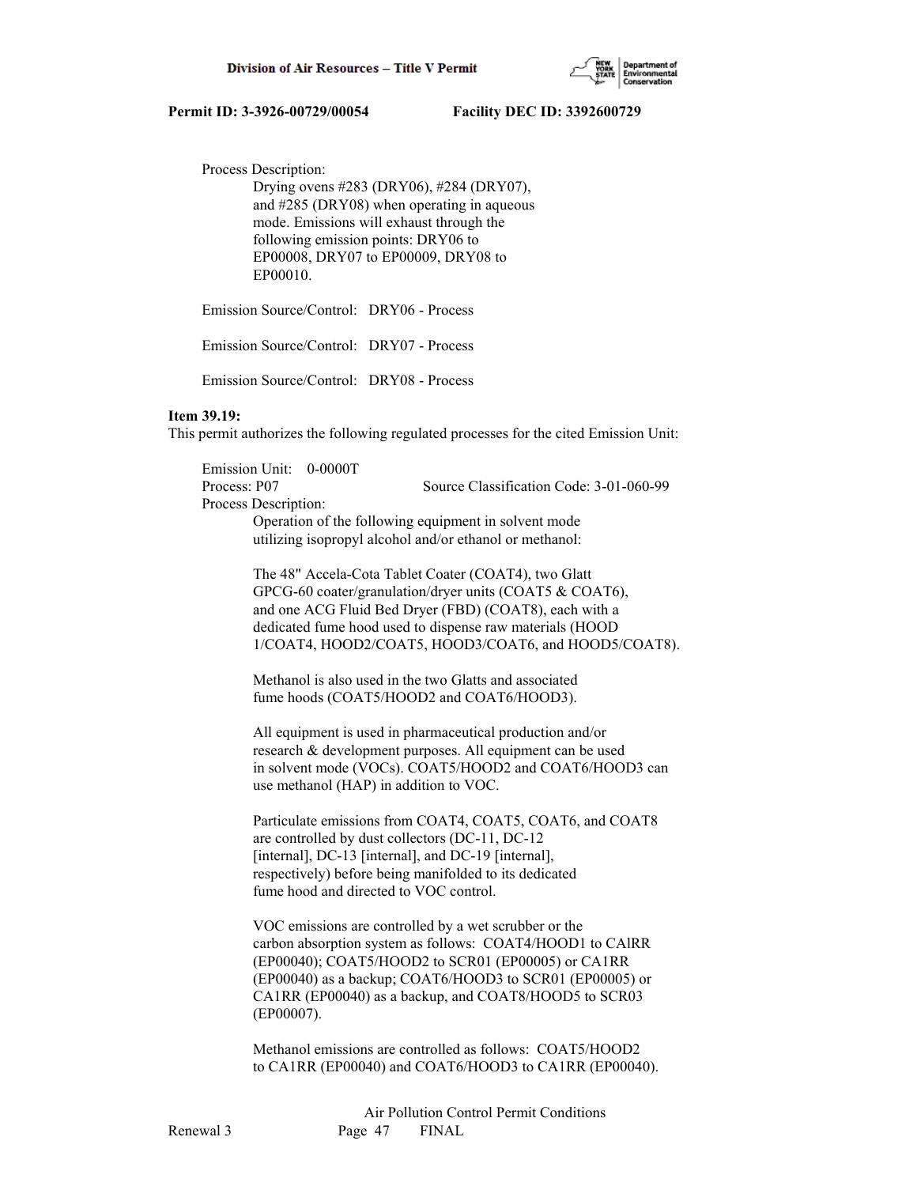

Process Description:

 Drying ovens #283 (DRY06), #284 (DRY07), and #285 (DRY08) when operating in aqueous mode. Emissions will exhaust through the following emission points: DRY06 to EP00008, DRY07 to EP00009, DRY08 to EP00010.

Emission Source/Control: DRY06 - Process

Emission Source/Control: DRY07 - Process

Emission Source/Control: DRY08 - Process

#### **Item 39.19:**

This permit authorizes the following regulated processes for the cited Emission Unit:

 Emission Unit: 0-0000T Process: P07 Source Classification Code: 3-01-060-99

Process Description:

 Operation of the following equipment in solvent mode utilizing isopropyl alcohol and/or ethanol or methanol:

 The 48" Accela-Cota Tablet Coater (COAT4), two Glatt GPCG-60 coater/granulation/dryer units (COAT5 & COAT6), and one ACG Fluid Bed Dryer (FBD) (COAT8), each with a dedicated fume hood used to dispense raw materials (HOOD 1/COAT4, HOOD2/COAT5, HOOD3/COAT6, and HOOD5/COAT8).

 Methanol is also used in the two Glatts and associated fume hoods (COAT5/HOOD2 and COAT6/HOOD3).

 All equipment is used in pharmaceutical production and/or research & development purposes. All equipment can be used in solvent mode (VOCs). COAT5/HOOD2 and COAT6/HOOD3 can use methanol (HAP) in addition to VOC.

 Particulate emissions from COAT4, COAT5, COAT6, and COAT8 are controlled by dust collectors (DC-11, DC-12 [internal], DC-13 [internal], and DC-19 [internal], respectively) before being manifolded to its dedicated fume hood and directed to VOC control.

 VOC emissions are controlled by a wet scrubber or the carbon absorption system as follows: COAT4/HOOD1 to CAlRR (EP00040); COAT5/HOOD2 to SCR01 (EP00005) or CA1RR (EP00040) as a backup; COAT6/HOOD3 to SCR01 (EP00005) or CA1RR (EP00040) as a backup, and COAT8/HOOD5 to SCR03 (EP00007).

 Methanol emissions are controlled as follows: COAT5/HOOD2 to CA1RR (EP00040) and COAT6/HOOD3 to CA1RR (EP00040).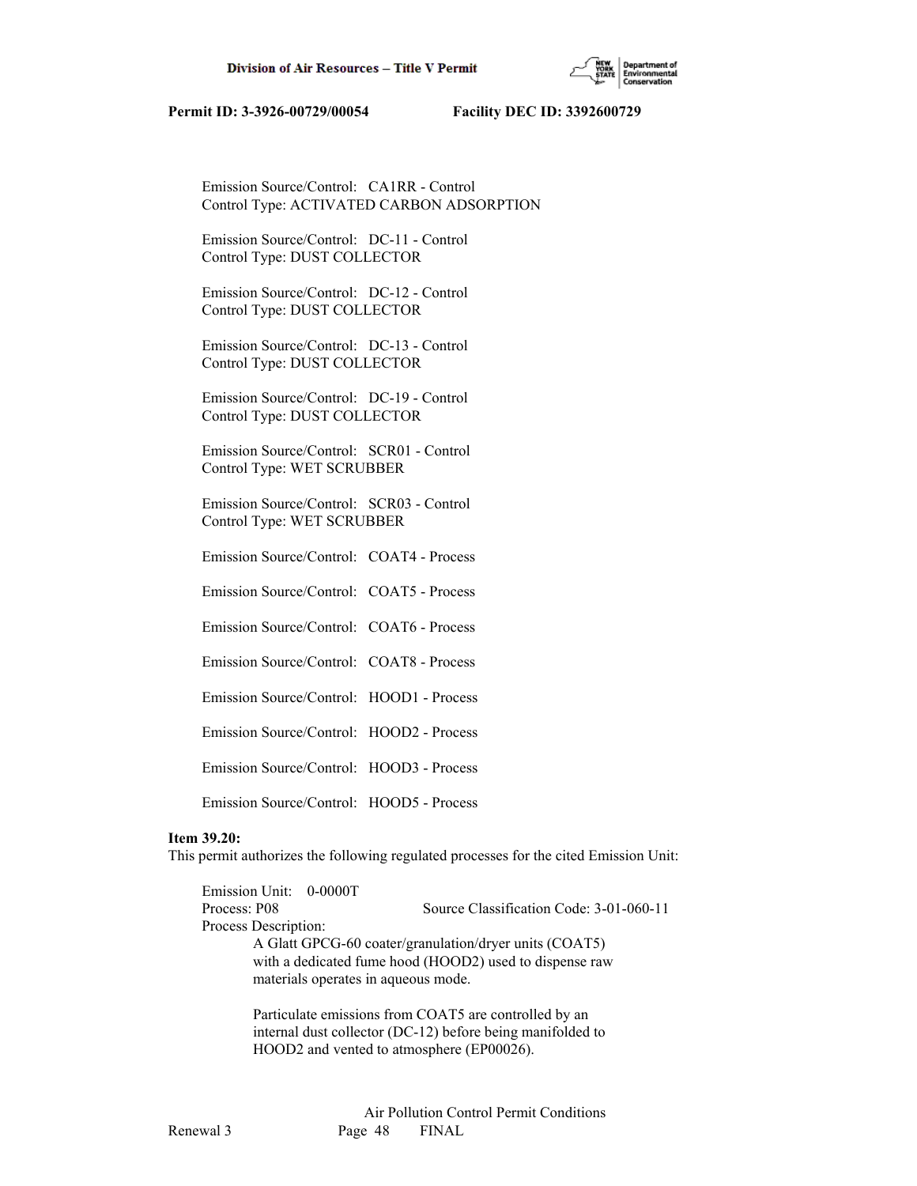

 Emission Source/Control: CA1RR - Control Control Type: ACTIVATED CARBON ADSORPTION

 Emission Source/Control: DC-11 - Control Control Type: DUST COLLECTOR

 Emission Source/Control: DC-12 - Control Control Type: DUST COLLECTOR

 Emission Source/Control: DC-13 - Control Control Type: DUST COLLECTOR

 Emission Source/Control: DC-19 - Control Control Type: DUST COLLECTOR

 Emission Source/Control: SCR01 - Control Control Type: WET SCRUBBER

 Emission Source/Control: SCR03 - Control Control Type: WET SCRUBBER

Emission Source/Control: COAT4 - Process

Emission Source/Control: COAT5 - Process

Emission Source/Control: COAT6 - Process

Emission Source/Control: COAT8 - Process

Emission Source/Control: HOOD1 - Process

Emission Source/Control: HOOD2 - Process

Emission Source/Control: HOOD3 - Process

Emission Source/Control: HOOD5 - Process

## **Item 39.20:**

This permit authorizes the following regulated processes for the cited Emission Unit:

 Emission Unit: 0-0000T Process: P08 Source Classification Code: 3-01-060-11 Process Description: A Glatt GPCG-60 coater/granulation/dryer units (COAT5) with a dedicated fume hood (HOOD2) used to dispense raw materials operates in aqueous mode.

> Particulate emissions from COAT5 are controlled by an internal dust collector (DC-12) before being manifolded to HOOD2 and vented to atmosphere (EP00026).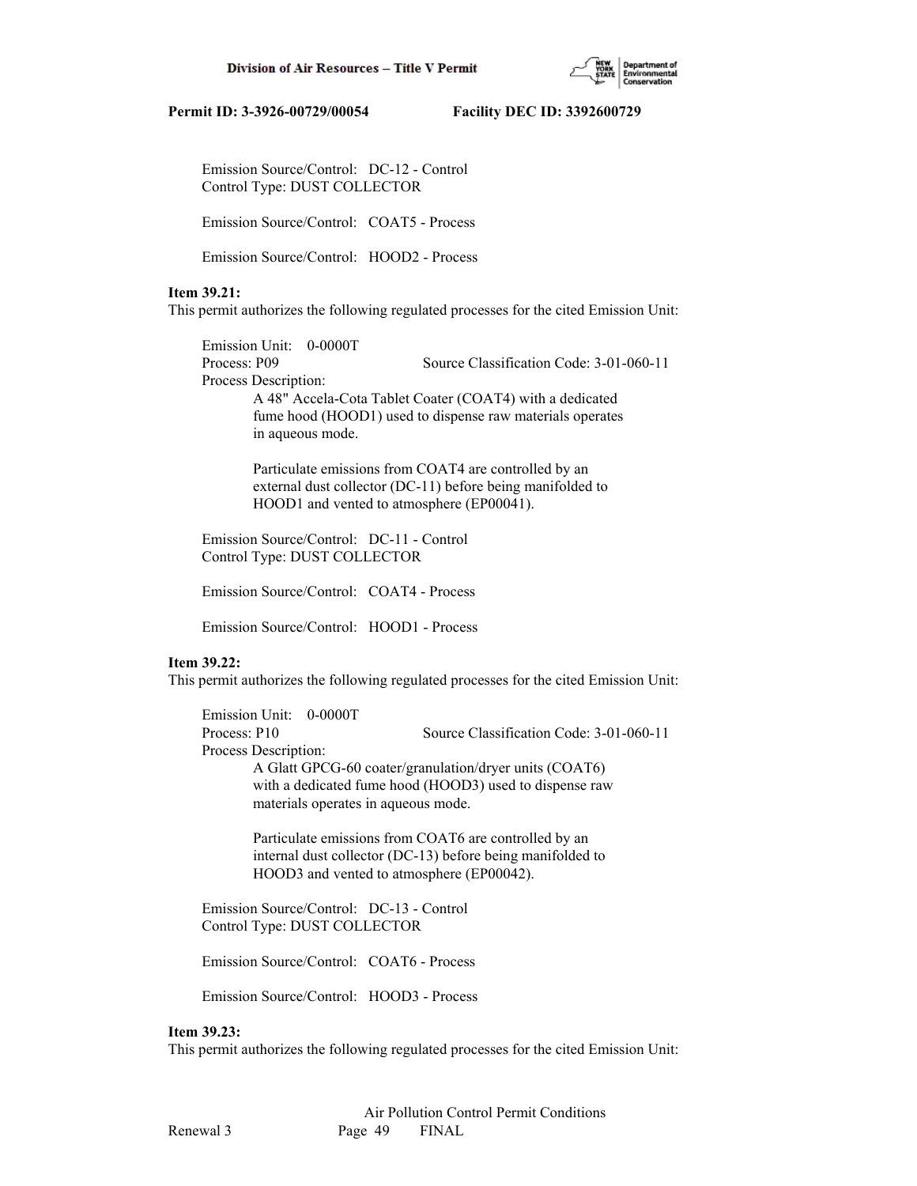

 Emission Source/Control: DC-12 - Control Control Type: DUST COLLECTOR

Emission Source/Control: COAT5 - Process

Emission Source/Control: HOOD2 - Process

## **Item 39.21:**

This permit authorizes the following regulated processes for the cited Emission Unit:

 Emission Unit: 0-0000T Process: P09 Source Classification Code: 3-01-060-11 Process Description: A 48" Accela-Cota Tablet Coater (COAT4) with a dedicated fume hood (HOOD1) used to dispense raw materials operates in aqueous mode.

> Particulate emissions from COAT4 are controlled by an external dust collector (DC-11) before being manifolded to HOOD1 and vented to atmosphere (EP00041).

 Emission Source/Control: DC-11 - Control Control Type: DUST COLLECTOR

Emission Source/Control: COAT4 - Process

Emission Source/Control: HOOD1 - Process

#### **Item 39.22:**

This permit authorizes the following regulated processes for the cited Emission Unit:

 Emission Unit: 0-0000T Process: P10 Source Classification Code: 3-01-060-11 Process Description: A Glatt GPCG-60 coater/granulation/dryer units (COAT6) with a dedicated fume hood (HOOD3) used to dispense raw materials operates in aqueous mode.

> Particulate emissions from COAT6 are controlled by an internal dust collector (DC-13) before being manifolded to HOOD3 and vented to atmosphere (EP00042).

 Emission Source/Control: DC-13 - Control Control Type: DUST COLLECTOR

Emission Source/Control: COAT6 - Process

Emission Source/Control: HOOD3 - Process

#### **Item 39.23:**

This permit authorizes the following regulated processes for the cited Emission Unit: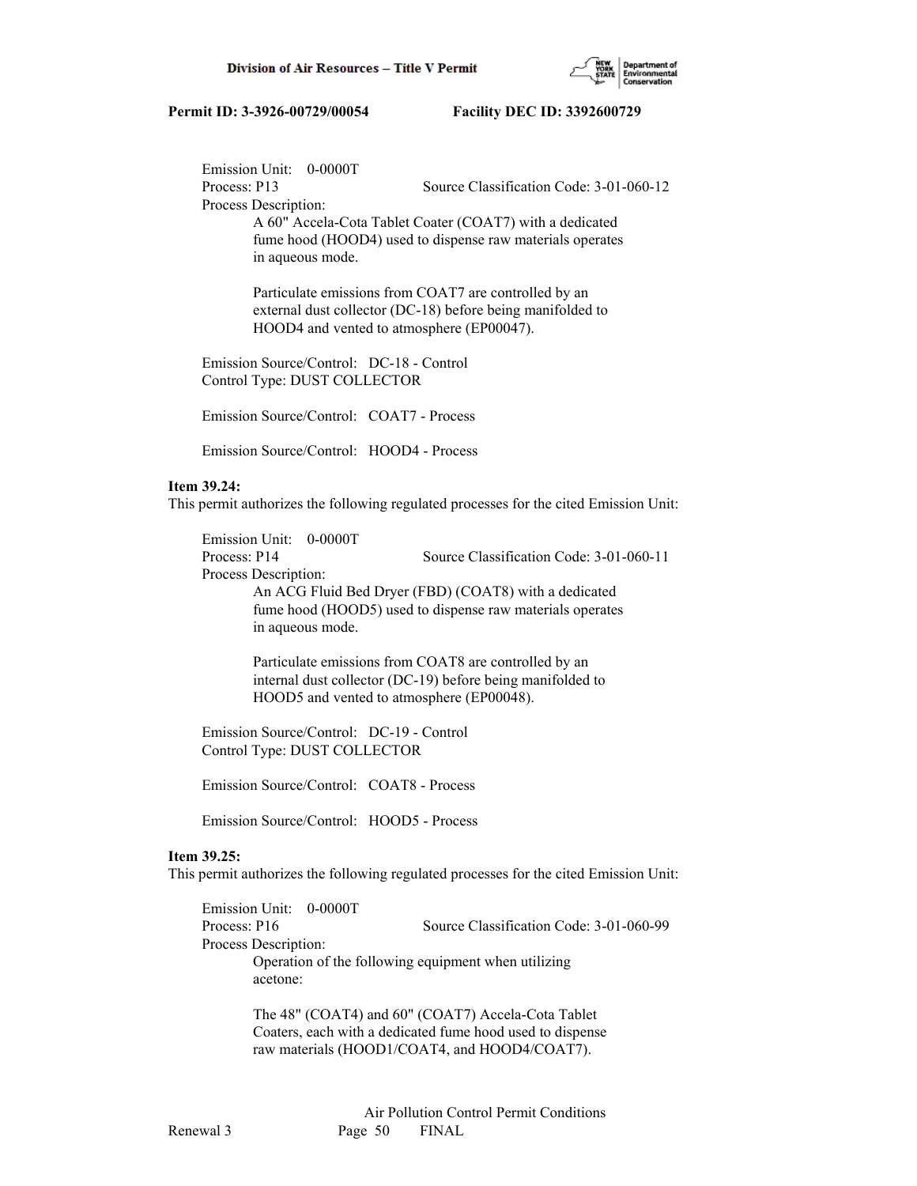

 Emission Unit: 0-0000T Process: P13 Source Classification Code: 3-01-060-12 Process Description: A 60" Accela-Cota Tablet Coater (COAT7) with a dedicated

 fume hood (HOOD4) used to dispense raw materials operates in aqueous mode.

 Particulate emissions from COAT7 are controlled by an external dust collector (DC-18) before being manifolded to HOOD4 and vented to atmosphere (EP00047).

 Emission Source/Control: DC-18 - Control Control Type: DUST COLLECTOR

Emission Source/Control: COAT7 - Process

Emission Source/Control: HOOD4 - Process

## **Item 39.24:**

This permit authorizes the following regulated processes for the cited Emission Unit:

 Emission Unit: 0-0000T Process: P14 Source Classification Code: 3-01-060-11 Process Description: An ACG Fluid Bed Dryer (FBD) (COAT8) with a dedicated fume hood (HOOD5) used to dispense raw materials operates in aqueous mode.

> Particulate emissions from COAT8 are controlled by an internal dust collector (DC-19) before being manifolded to HOOD5 and vented to atmosphere (EP00048).

 Emission Source/Control: DC-19 - Control Control Type: DUST COLLECTOR

Emission Source/Control: COAT8 - Process

Emission Source/Control: HOOD5 - Process

## **Item 39.25:**

This permit authorizes the following regulated processes for the cited Emission Unit:

| Emission Unit: 0-0000T |                                                     |
|------------------------|-----------------------------------------------------|
| Process: P16           | Source Classification Code: 3-01-060-99             |
| Process Description:   |                                                     |
| acetone:               | Operation of the following equipment when utilizing |
|                        |                                                     |

 The 48" (COAT4) and 60" (COAT7) Accela-Cota Tablet Coaters, each with a dedicated fume hood used to dispense raw materials (HOOD1/COAT4, and HOOD4/COAT7).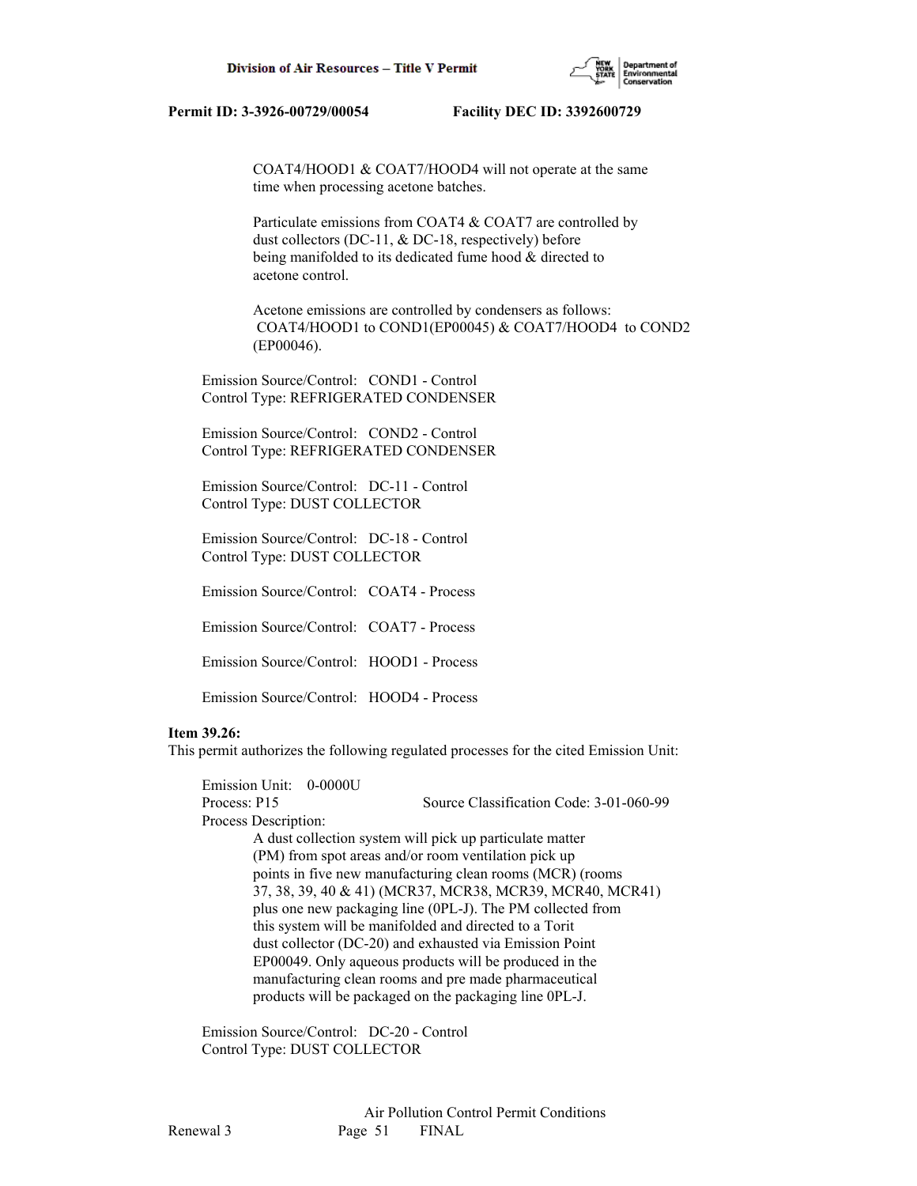

 COAT4/HOOD1 & COAT7/HOOD4 will not operate at the same time when processing acetone batches.

 Particulate emissions from COAT4 & COAT7 are controlled by dust collectors (DC-11, & DC-18, respectively) before being manifolded to its dedicated fume hood & directed to acetone control.

 Acetone emissions are controlled by condensers as follows: COAT4/HOOD1 to COND1(EP00045) & COAT7/HOOD4 to COND2 (EP00046).

 Emission Source/Control: COND1 - Control Control Type: REFRIGERATED CONDENSER

 Emission Source/Control: COND2 - Control Control Type: REFRIGERATED CONDENSER

 Emission Source/Control: DC-11 - Control Control Type: DUST COLLECTOR

 Emission Source/Control: DC-18 - Control Control Type: DUST COLLECTOR

Emission Source/Control: COAT4 - Process

Emission Source/Control: COAT7 - Process

Emission Source/Control: HOOD1 - Process

Emission Source/Control: HOOD4 - Process

## **Item 39.26:**

This permit authorizes the following regulated processes for the cited Emission Unit:

 Emission Unit: 0-0000U Process: P15 Source Classification Code: 3-01-060-99 Process Description: A dust collection system will pick up particulate matter (PM) from spot areas and/or room ventilation pick up points in five new manufacturing clean rooms (MCR) (rooms 37, 38, 39, 40 & 41) (MCR37, MCR38, MCR39, MCR40, MCR41) plus one new packaging line (0PL-J). The PM collected from this system will be manifolded and directed to a Torit dust collector (DC-20) and exhausted via Emission Point EP00049. Only aqueous products will be produced in the manufacturing clean rooms and pre made pharmaceutical products will be packaged on the packaging line 0PL-J.

 Emission Source/Control: DC-20 - Control Control Type: DUST COLLECTOR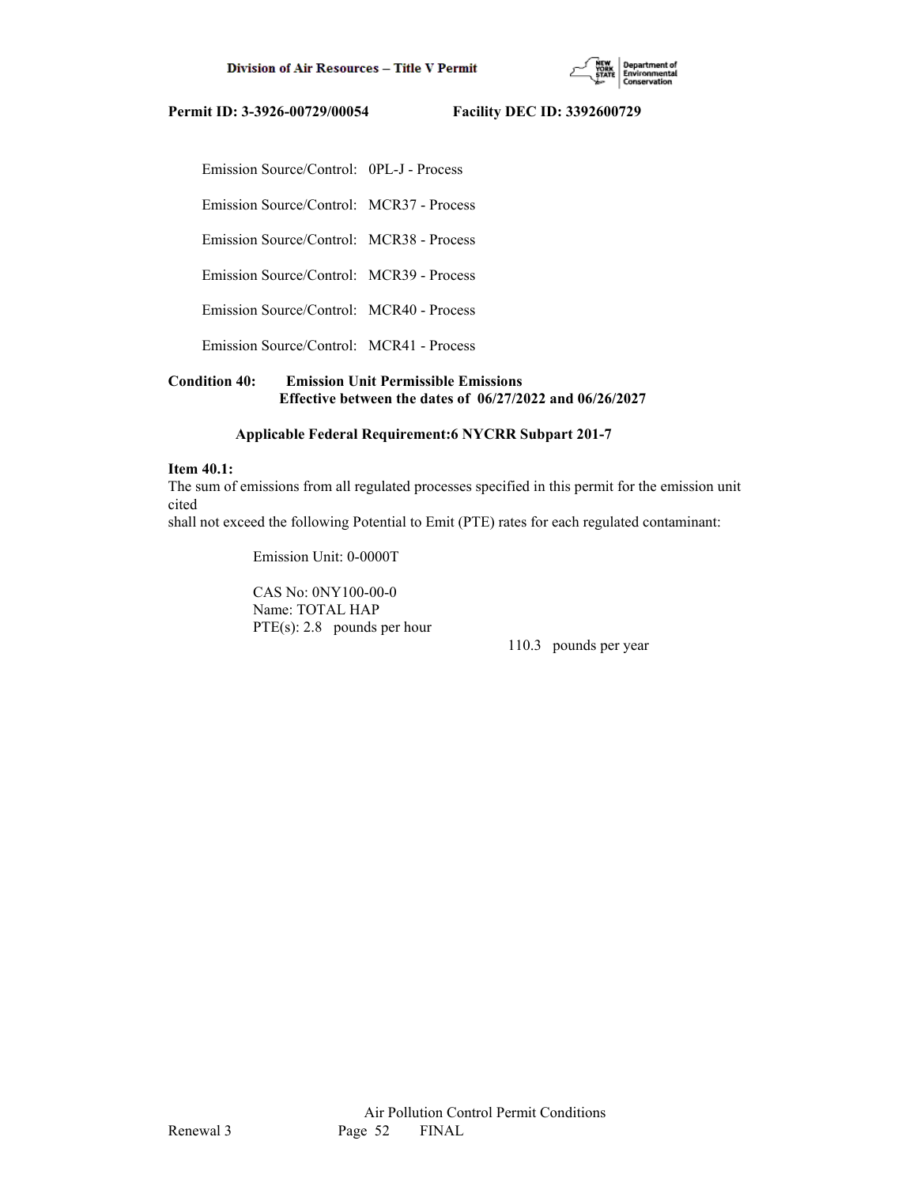

Emission Source/Control: 0PL-J - Process

Emission Source/Control: MCR37 - Process

Emission Source/Control: MCR38 - Process

Emission Source/Control: MCR39 - Process

Emission Source/Control: MCR40 - Process

Emission Source/Control: MCR41 - Process

## **Condition 40: Emission Unit Permissible Emissions Effective between the dates of 06/27/2022 and 06/26/2027**

## **Applicable Federal Requirement:6 NYCRR Subpart 201-7**

#### **Item 40.1:**

The sum of emissions from all regulated processes specified in this permit for the emission unit cited

shall not exceed the following Potential to Emit (PTE) rates for each regulated contaminant:

Emission Unit: 0-0000T

 CAS No: 0NY100-00-0 Name: TOTAL HAP PTE(s): 2.8 pounds per hour

110.3 pounds per year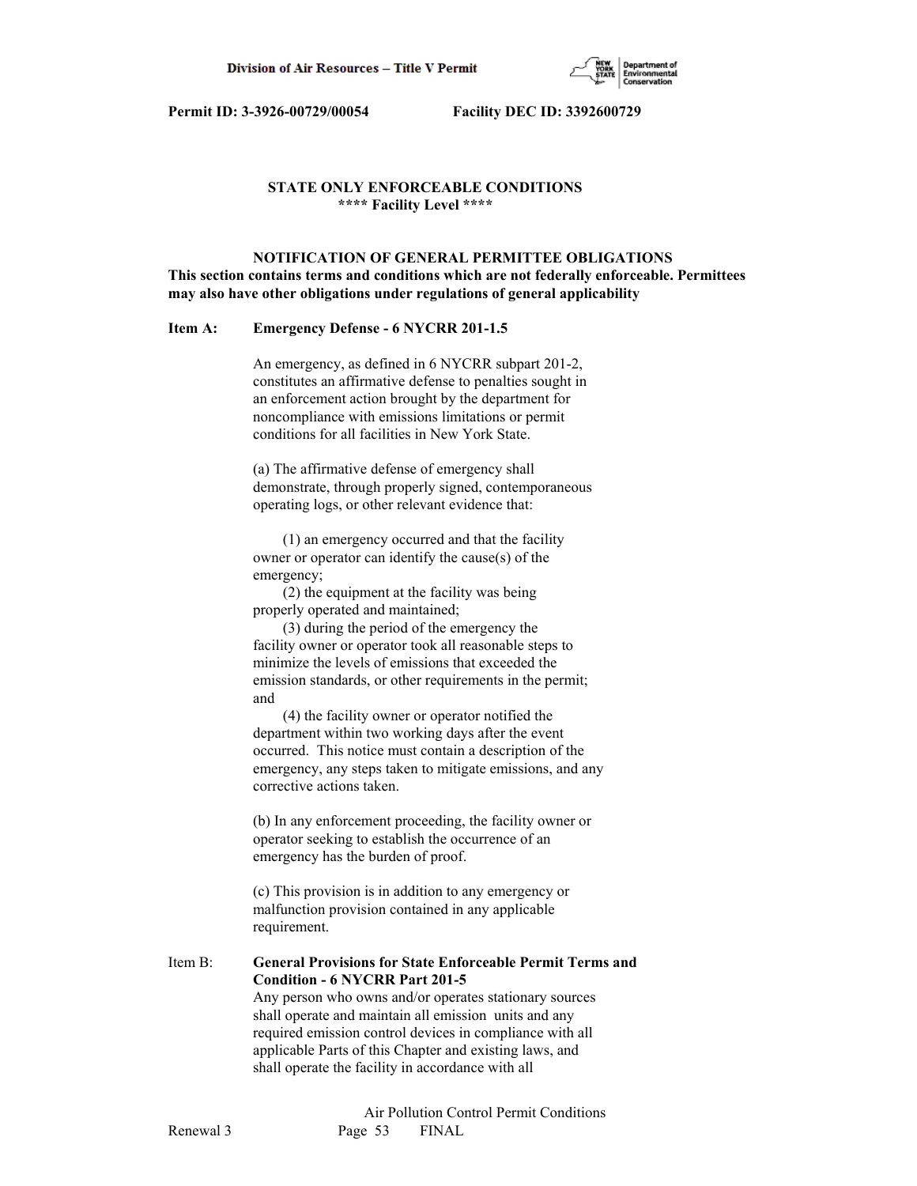

## **STATE ONLY ENFORCEABLE CONDITIONS \*\*\*\* Facility Level \*\*\*\***

 **NOTIFICATION OF GENERAL PERMITTEE OBLIGATIONS This section contains terms and conditions which are not federally enforceable. Permittees may also have other obligations under regulations of general applicability**

## **Item A: Emergency Defense - 6 NYCRR 201-1.5**

 An emergency, as defined in 6 NYCRR subpart 201-2, constitutes an affirmative defense to penalties sought in an enforcement action brought by the department for noncompliance with emissions limitations or permit conditions for all facilities in New York State.

 (a) The affirmative defense of emergency shall demonstrate, through properly signed, contemporaneous operating logs, or other relevant evidence that:

 (1) an emergency occurred and that the facility owner or operator can identify the cause(s) of the emergency;

 (2) the equipment at the facility was being properly operated and maintained;

 (3) during the period of the emergency the facility owner or operator took all reasonable steps to minimize the levels of emissions that exceeded the emission standards, or other requirements in the permit; and

 (4) the facility owner or operator notified the department within two working days after the event occurred. This notice must contain a description of the emergency, any steps taken to mitigate emissions, and any corrective actions taken.

 (b) In any enforcement proceeding, the facility owner or operator seeking to establish the occurrence of an emergency has the burden of proof.

 (c) This provision is in addition to any emergency or malfunction provision contained in any applicable requirement.

Item B: **General Provisions for State Enforceable Permit Terms and Condition - 6 NYCRR Part 201-5** Any person who owns and/or operates stationary sources shall operate and maintain all emission units and any required emission control devices in compliance with all

 applicable Parts of this Chapter and existing laws, and shall operate the facility in accordance with all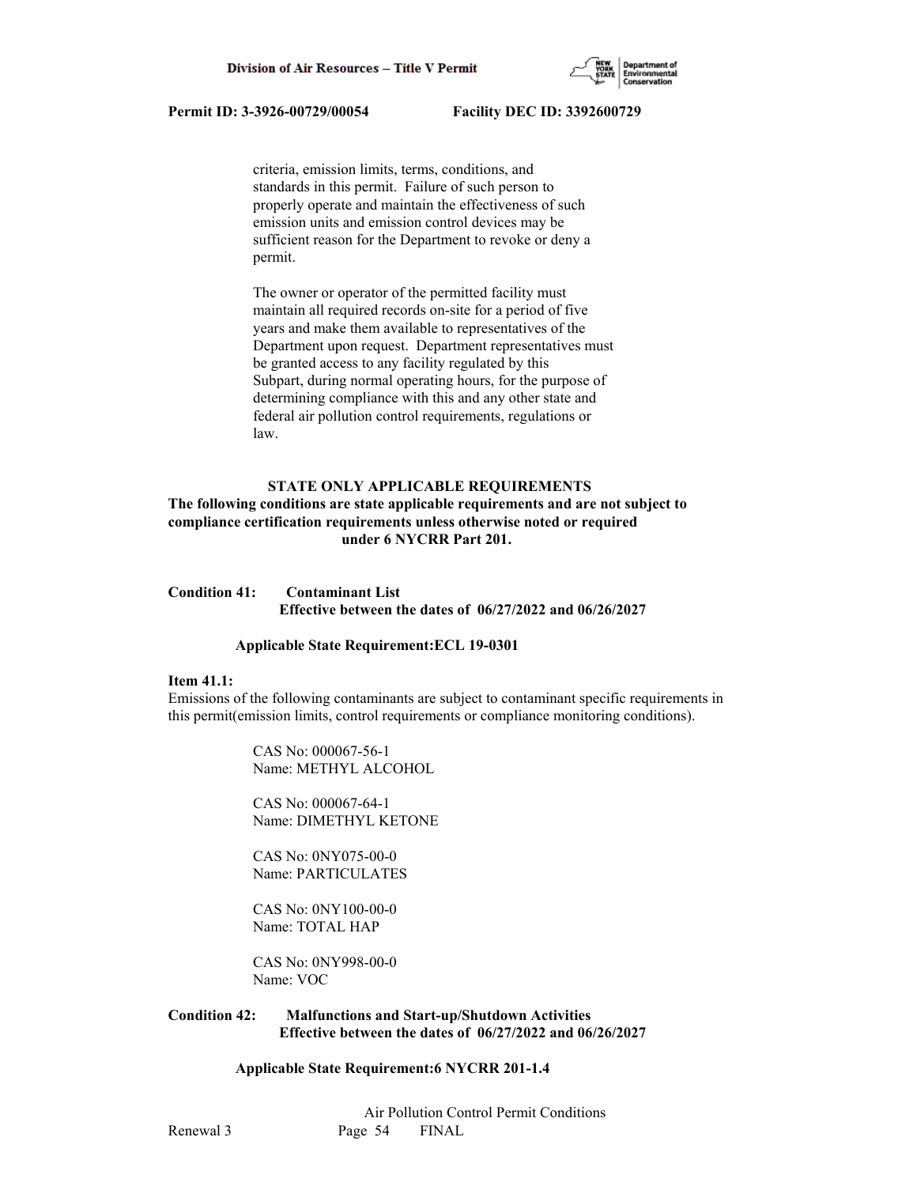

 criteria, emission limits, terms, conditions, and standards in this permit. Failure of such person to properly operate and maintain the effectiveness of such emission units and emission control devices may be sufficient reason for the Department to revoke or deny a permit.

 The owner or operator of the permitted facility must maintain all required records on-site for a period of five years and make them available to representatives of the Department upon request. Department representatives must be granted access to any facility regulated by this Subpart, during normal operating hours, for the purpose of determining compliance with this and any other state and federal air pollution control requirements, regulations or law.

## **STATE ONLY APPLICABLE REQUIREMENTS**

## **The following conditions are state applicable requirements and are not subject to compliance certification requirements unless otherwise noted or required under 6 NYCRR Part 201.**

## **Condition 41: Contaminant List Effective between the dates of 06/27/2022 and 06/26/2027**

#### **Applicable State Requirement:ECL 19-0301**

#### **Item 41.1:**

Emissions of the following contaminants are subject to contaminant specific requirements in this permit(emission limits, control requirements or compliance monitoring conditions).

> CAS No: 000067-56-1 Name: METHYL ALCOHOL

 CAS No: 000067-64-1 Name: DIMETHYL KETONE

 CAS No: 0NY075-00-0 Name: PARTICULATES

 CAS No: 0NY100-00-0 Name: TOTAL HAP

 CAS No: 0NY998-00-0 Name: VOC

## **Condition 42: Malfunctions and Start-up/Shutdown Activities Effective between the dates of 06/27/2022 and 06/26/2027**

## **Applicable State Requirement:6 NYCRR 201-1.4**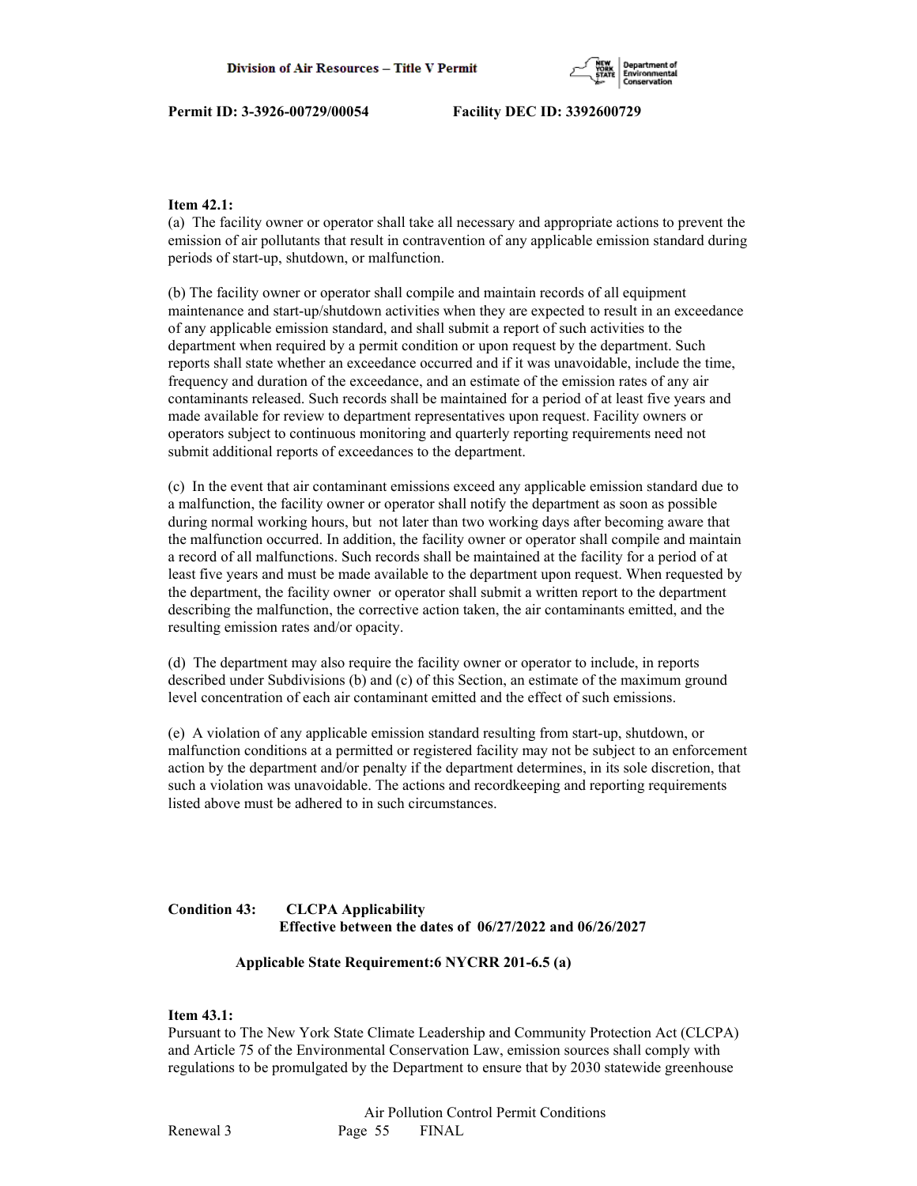

## **Item 42.1:**

(a) The facility owner or operator shall take all necessary and appropriate actions to prevent the emission of air pollutants that result in contravention of any applicable emission standard during periods of start-up, shutdown, or malfunction.

(b) The facility owner or operator shall compile and maintain records of all equipment maintenance and start-up/shutdown activities when they are expected to result in an exceedance of any applicable emission standard, and shall submit a report of such activities to the department when required by a permit condition or upon request by the department. Such reports shall state whether an exceedance occurred and if it was unavoidable, include the time, frequency and duration of the exceedance, and an estimate of the emission rates of any air contaminants released. Such records shall be maintained for a period of at least five years and made available for review to department representatives upon request. Facility owners or operators subject to continuous monitoring and quarterly reporting requirements need not submit additional reports of exceedances to the department.

(c) In the event that air contaminant emissions exceed any applicable emission standard due to a malfunction, the facility owner or operator shall notify the department as soon as possible during normal working hours, but not later than two working days after becoming aware that the malfunction occurred. In addition, the facility owner or operator shall compile and maintain a record of all malfunctions. Such records shall be maintained at the facility for a period of at least five years and must be made available to the department upon request. When requested by the department, the facility owner or operator shall submit a written report to the department describing the malfunction, the corrective action taken, the air contaminants emitted, and the resulting emission rates and/or opacity.

(d) The department may also require the facility owner or operator to include, in reports described under Subdivisions (b) and (c) of this Section, an estimate of the maximum ground level concentration of each air contaminant emitted and the effect of such emissions.

(e) A violation of any applicable emission standard resulting from start-up, shutdown, or malfunction conditions at a permitted or registered facility may not be subject to an enforcement action by the department and/or penalty if the department determines, in its sole discretion, that such a violation was unavoidable. The actions and recordkeeping and reporting requirements listed above must be adhered to in such circumstances.

## **Condition 43: CLCPA Applicability Effective between the dates of 06/27/2022 and 06/26/2027**

## **Applicable State Requirement:6 NYCRR 201-6.5 (a)**

## **Item 43.1:**

Pursuant to The New York State Climate Leadership and Community Protection Act (CLCPA) and Article 75 of the Environmental Conservation Law, emission sources shall comply with regulations to be promulgated by the Department to ensure that by 2030 statewide greenhouse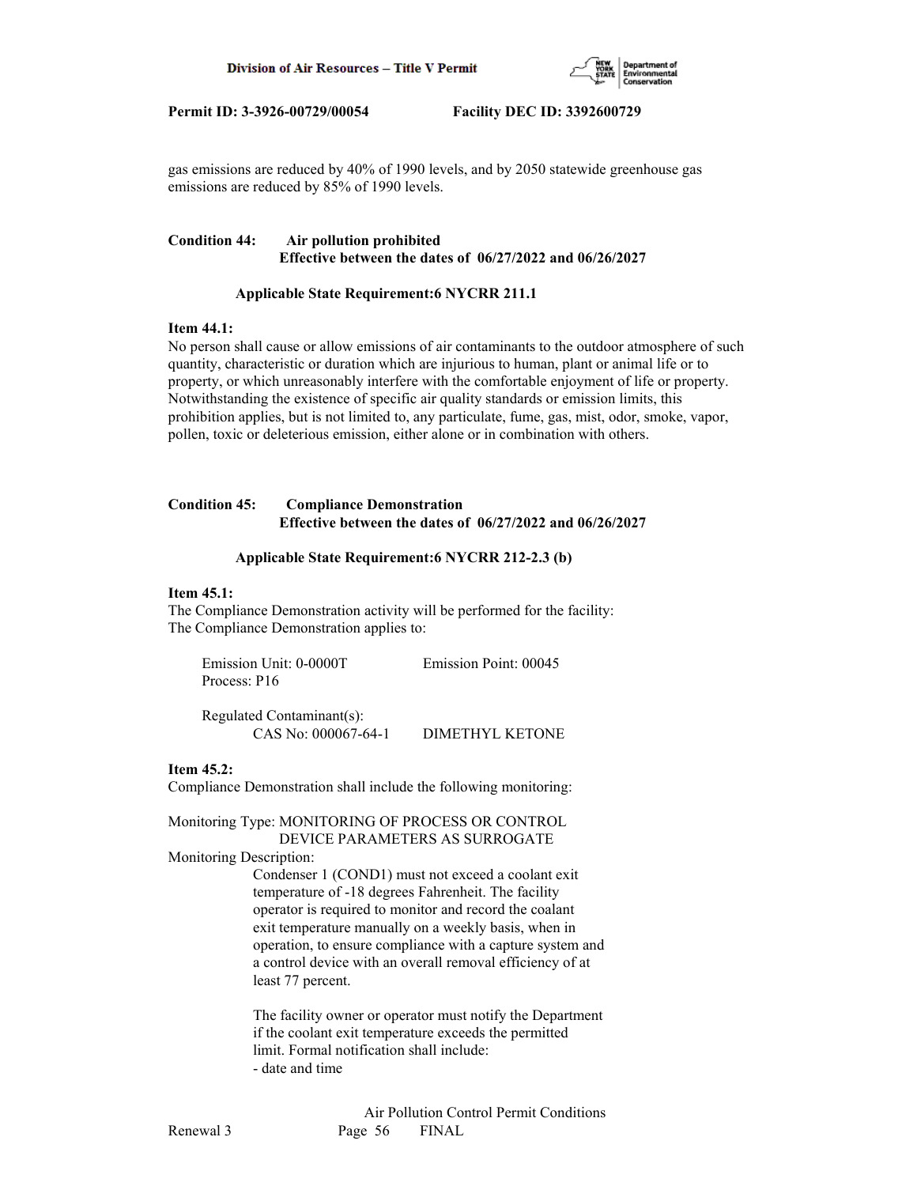

gas emissions are reduced by 40% of 1990 levels, and by 2050 statewide greenhouse gas emissions are reduced by 85% of 1990 levels.

## **Condition 44: Air pollution prohibited Effective between the dates of 06/27/2022 and 06/26/2027**

## **Applicable State Requirement:6 NYCRR 211.1**

## **Item 44.1:**

No person shall cause or allow emissions of air contaminants to the outdoor atmosphere of such quantity, characteristic or duration which are injurious to human, plant or animal life or to property, or which unreasonably interfere with the comfortable enjoyment of life or property. Notwithstanding the existence of specific air quality standards or emission limits, this prohibition applies, but is not limited to, any particulate, fume, gas, mist, odor, smoke, vapor, pollen, toxic or deleterious emission, either alone or in combination with others.

## **Condition 45: Compliance Demonstration Effective between the dates of 06/27/2022 and 06/26/2027**

## **Applicable State Requirement:6 NYCRR 212-2.3 (b)**

#### **Item 45.1:**

The Compliance Demonstration activity will be performed for the facility: The Compliance Demonstration applies to:

| Emission Unit: 0-0000T | Emission Point: 00045 |
|------------------------|-----------------------|
| Process: P16           |                       |

 Regulated Contaminant(s): CAS No: 000067-64-1 DIMETHYL KETONE

## **Item 45.2:**

Compliance Demonstration shall include the following monitoring:

Monitoring Type: MONITORING OF PROCESS OR CONTROL DEVICE PARAMETERS AS SURROGATE

## Monitoring Description:

 Condenser 1 (COND1) must not exceed a coolant exit temperature of -18 degrees Fahrenheit. The facility operator is required to monitor and record the coalant exit temperature manually on a weekly basis, when in operation, to ensure compliance with a capture system and a control device with an overall removal efficiency of at least 77 percent.

 The facility owner or operator must notify the Department if the coolant exit temperature exceeds the permitted limit. Formal notification shall include: - date and time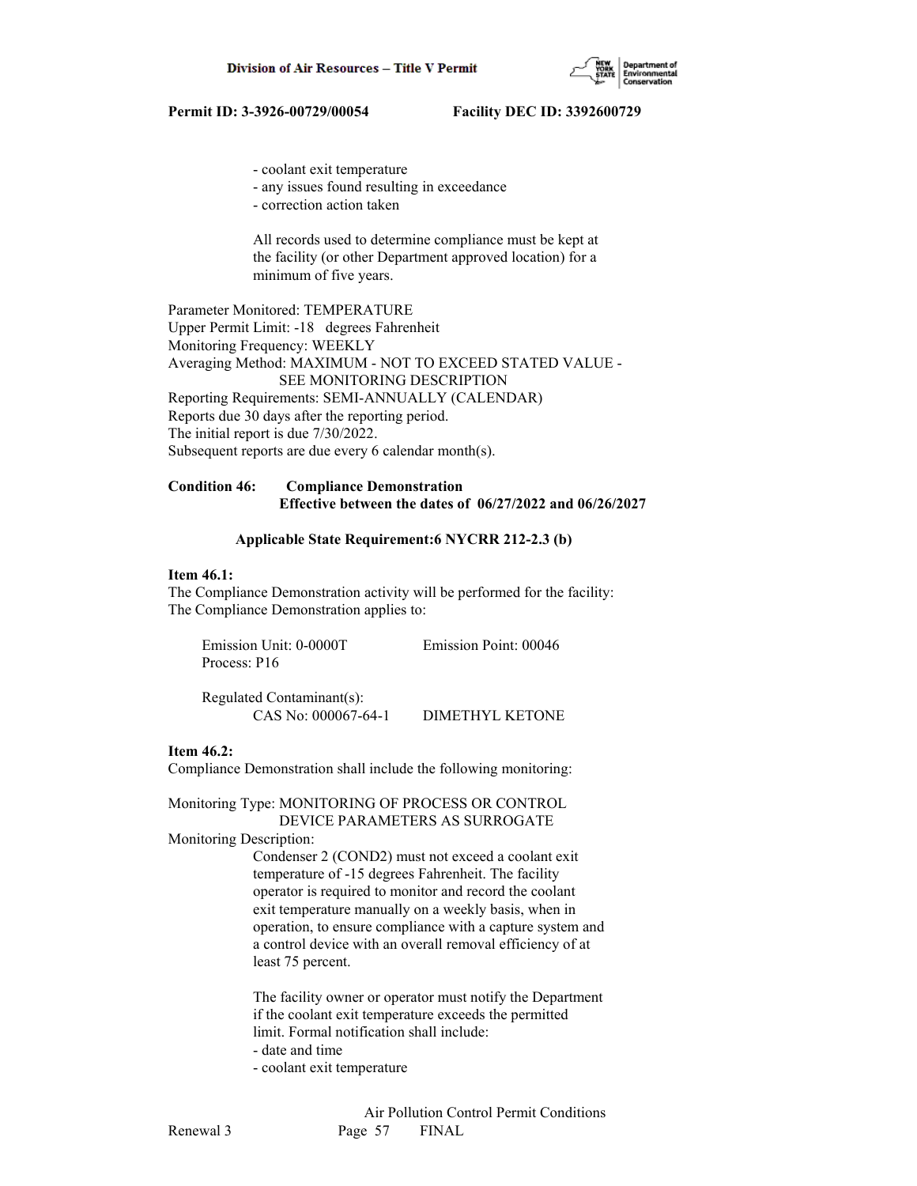

- coolant exit temperature
- any issues found resulting in exceedance
- correction action taken

 All records used to determine compliance must be kept at the facility (or other Department approved location) for a minimum of five years.

Parameter Monitored: TEMPERATURE Upper Permit Limit: -18 degrees Fahrenheit Monitoring Frequency: WEEKLY Averaging Method: MAXIMUM - NOT TO EXCEED STATED VALUE - SEE MONITORING DESCRIPTION Reporting Requirements: SEMI-ANNUALLY (CALENDAR) Reports due 30 days after the reporting period. The initial report is due 7/30/2022. Subsequent reports are due every 6 calendar month(s).

## **Condition 46: Compliance Demonstration Effective between the dates of 06/27/2022 and 06/26/2027**

## **Applicable State Requirement:6 NYCRR 212-2.3 (b)**

#### **Item 46.1:**

The Compliance Demonstration activity will be performed for the facility: The Compliance Demonstration applies to:

| Emission Unit: 0-0000T | Emission Point: 00046 |
|------------------------|-----------------------|
| Process: P16           |                       |
|                        |                       |

 Regulated Contaminant(s): CAS No: 000067-64-1 DIMETHYL KETONE

## **Item 46.2:**

Compliance Demonstration shall include the following monitoring:

Monitoring Type: MONITORING OF PROCESS OR CONTROL DEVICE PARAMETERS AS SURROGATE

Monitoring Description:

 Condenser 2 (COND2) must not exceed a coolant exit temperature of -15 degrees Fahrenheit. The facility operator is required to monitor and record the coolant exit temperature manually on a weekly basis, when in operation, to ensure compliance with a capture system and a control device with an overall removal efficiency of at least 75 percent.

 The facility owner or operator must notify the Department if the coolant exit temperature exceeds the permitted limit. Formal notification shall include: - date and time

- 
- coolant exit temperature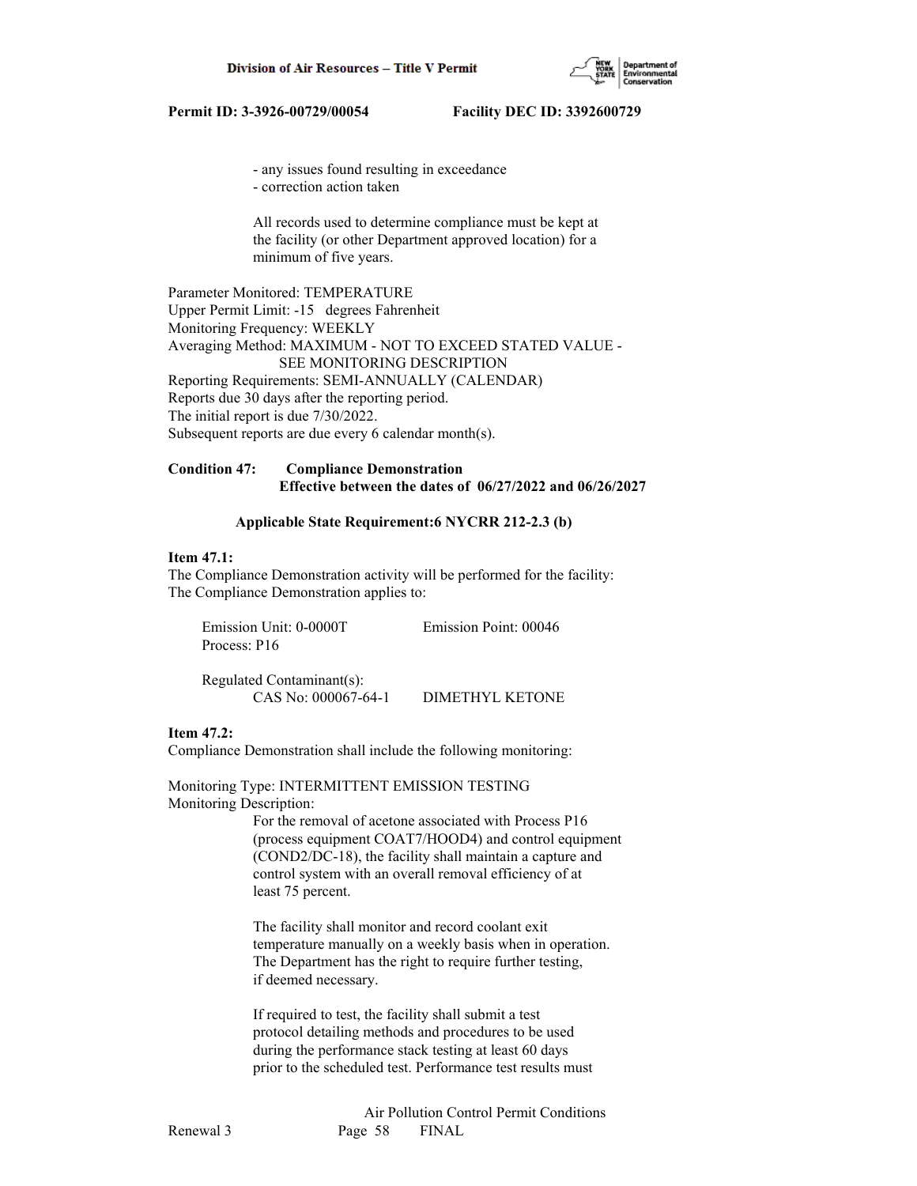

- any issues found resulting in exceedance

- correction action taken

 All records used to determine compliance must be kept at the facility (or other Department approved location) for a minimum of five years.

Parameter Monitored: TEMPERATURE Upper Permit Limit: -15 degrees Fahrenheit Monitoring Frequency: WEEKLY Averaging Method: MAXIMUM - NOT TO EXCEED STATED VALUE - SEE MONITORING DESCRIPTION Reporting Requirements: SEMI-ANNUALLY (CALENDAR) Reports due 30 days after the reporting period. The initial report is due 7/30/2022. Subsequent reports are due every 6 calendar month(s).

## **Condition 47: Compliance Demonstration Effective between the dates of 06/27/2022 and 06/26/2027**

#### **Applicable State Requirement:6 NYCRR 212-2.3 (b)**

#### **Item 47.1:**

The Compliance Demonstration activity will be performed for the facility: The Compliance Demonstration applies to:

| Emission Unit: 0-0000T    | Emission Point: 00046 |
|---------------------------|-----------------------|
| Process: P16              |                       |
| Regulated Contaminant(s): |                       |

CAS No: 000067-64-1 DIMETHYL KETONE

## **Item 47.2:**

Compliance Demonstration shall include the following monitoring:

Monitoring Type: INTERMITTENT EMISSION TESTING Monitoring Description:

> For the removal of acetone associated with Process P16 (process equipment COAT7/HOOD4) and control equipment (COND2/DC-18), the facility shall maintain a capture and control system with an overall removal efficiency of at least 75 percent.

 The facility shall monitor and record coolant exit temperature manually on a weekly basis when in operation. The Department has the right to require further testing, if deemed necessary.

 If required to test, the facility shall submit a test protocol detailing methods and procedures to be used during the performance stack testing at least 60 days prior to the scheduled test. Performance test results must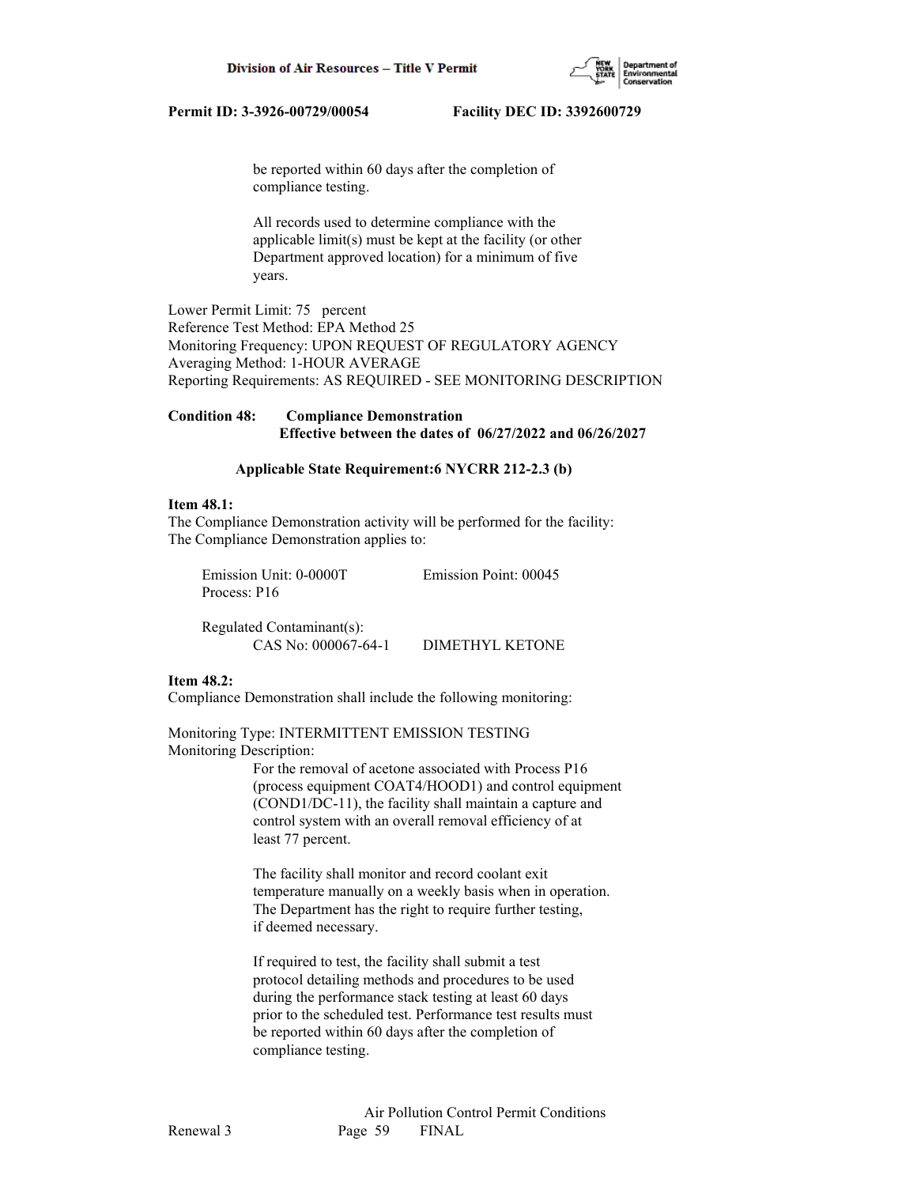

 be reported within 60 days after the completion of compliance testing.

 All records used to determine compliance with the applicable limit(s) must be kept at the facility (or other Department approved location) for a minimum of five years.

Lower Permit Limit: 75 percent Reference Test Method: EPA Method 25 Monitoring Frequency: UPON REQUEST OF REGULATORY AGENCY Averaging Method: 1-HOUR AVERAGE Reporting Requirements: AS REQUIRED - SEE MONITORING DESCRIPTION

**Condition 48: Compliance Demonstration Effective between the dates of 06/27/2022 and 06/26/2027**

#### **Applicable State Requirement:6 NYCRR 212-2.3 (b)**

#### **Item 48.1:**

The Compliance Demonstration activity will be performed for the facility: The Compliance Demonstration applies to:

| Emission Unit: 0-0000T | Emission Point: 00045 |
|------------------------|-----------------------|
| Process: P16           |                       |
|                        |                       |

| Regulated Contaminant(s): |                 |
|---------------------------|-----------------|
| CAS No: 000067-64-1       | DIMETHYL KETONE |

#### **Item 48.2:**

Compliance Demonstration shall include the following monitoring:

Monitoring Type: INTERMITTENT EMISSION TESTING Monitoring Description:

> For the removal of acetone associated with Process P16 (process equipment COAT4/HOOD1) and control equipment (COND1/DC-11), the facility shall maintain a capture and control system with an overall removal efficiency of at least 77 percent.

 The facility shall monitor and record coolant exit temperature manually on a weekly basis when in operation. The Department has the right to require further testing, if deemed necessary.

 If required to test, the facility shall submit a test protocol detailing methods and procedures to be used during the performance stack testing at least 60 days prior to the scheduled test. Performance test results must be reported within 60 days after the completion of compliance testing.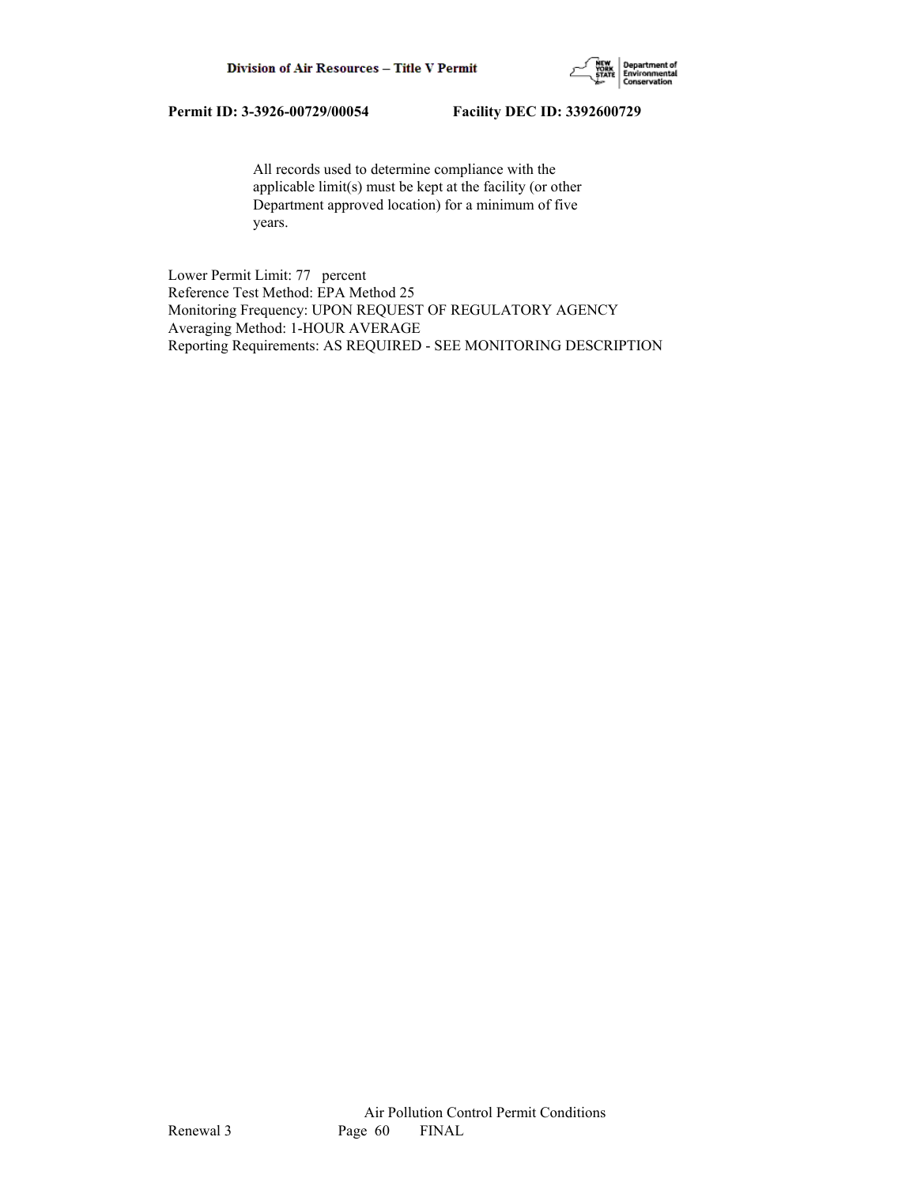

 All records used to determine compliance with the applicable limit(s) must be kept at the facility (or other Department approved location) for a minimum of five years.

Lower Permit Limit: 77 percent Reference Test Method: EPA Method 25 Monitoring Frequency: UPON REQUEST OF REGULATORY AGENCY Averaging Method: 1-HOUR AVERAGE Reporting Requirements: AS REQUIRED - SEE MONITORING DESCRIPTION